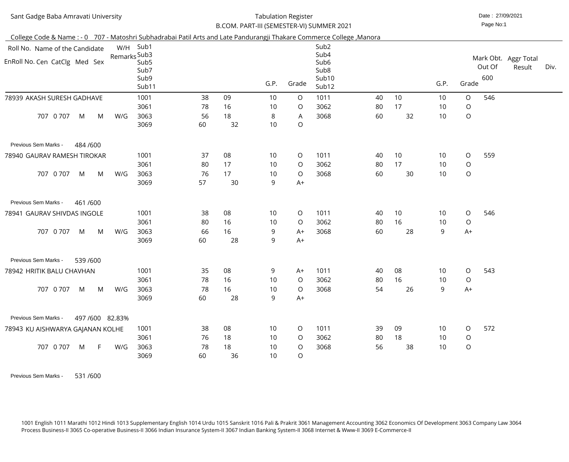| Sant Gadge Baba Amravati University                                                                                  |              |                                           |          | <b>Tabulation Register</b> |          | B.COM. PART-III (SEMESTER-VI) SUMMER 2021 |                                                                |    |    |                 | Date: 27/09/2021<br>Page No:1 |               |                                |      |
|----------------------------------------------------------------------------------------------------------------------|--------------|-------------------------------------------|----------|----------------------------|----------|-------------------------------------------|----------------------------------------------------------------|----|----|-----------------|-------------------------------|---------------|--------------------------------|------|
| College Code & Name: - 0 707 - Matoshri Subhadrabai Patil Arts and Late Pandurangji Thakare Commerce College, Manora |              |                                           |          |                            |          |                                           |                                                                |    |    |                 |                               |               |                                |      |
| Roll No. Name of the Candidate                                                                                       |              | W/H Sub1                                  |          |                            |          |                                           | Sub <sub>2</sub>                                               |    |    |                 |                               |               |                                |      |
| EnRoll No. Cen CatClg Med Sex                                                                                        | Remarks Sub3 | Sub <sub>5</sub><br>Sub7<br>Sub9<br>Sub11 |          |                            | G.P.     | Grade                                     | Sub4<br>Sub <sub>6</sub><br>Sub <sub>8</sub><br>Sub10<br>Sub12 |    |    | G.P.            | Grade                         | Out Of<br>600 | Mark Obt. Aggr Total<br>Result | Div. |
| 78939 AKASH SURESH GADHAVE                                                                                           |              | 1001                                      | 38       | 09                         | 10       | $\circ$                                   | 1011                                                           | 40 | 10 | 10              | $\circ$                       | 546           |                                |      |
|                                                                                                                      |              | 3061                                      | 78       | 16                         | 10       | $\circ$                                   | 3062                                                           | 80 | 17 | 10              | $\circ$                       |               |                                |      |
| 707 0 707<br>M<br>M                                                                                                  | W/G          | 3063<br>3069                              | 56<br>60 | 18<br>32                   | 8<br>10  | A<br>$\bigcirc$                           | 3068                                                           | 60 | 32 | 10              | $\bigcirc$                    |               |                                |      |
| Previous Sem Marks -<br>484/600                                                                                      |              |                                           |          |                            |          |                                           |                                                                |    |    |                 |                               |               |                                |      |
| 78940 GAURAV RAMESH TIROKAR                                                                                          |              | 1001                                      | 37       | 08                         | 10       | $\circ$                                   | 1011                                                           | 40 | 10 | 10              | $\circ$                       | 559           |                                |      |
|                                                                                                                      |              | 3061                                      | 80       | 17                         | 10       | $\circ$                                   | 3062                                                           | 80 | 17 | 10              | $\bigcirc$                    |               |                                |      |
| 707 0 707<br>M<br>M                                                                                                  | W/G          | 3063<br>3069                              | 76<br>57 | 17<br>30                   | 10<br>9  | $\circ$<br>$A+$                           | 3068                                                           | 60 | 30 | 10              | $\bigcirc$                    |               |                                |      |
| Previous Sem Marks -<br>461/600                                                                                      |              |                                           |          |                            |          |                                           |                                                                |    |    |                 |                               |               |                                |      |
| 78941 GAURAV SHIVDAS INGOLE                                                                                          |              | 1001                                      | 38       | 08                         | 10       | $\circ$                                   | 1011                                                           | 40 | 10 | 10              | $\circ$                       | 546           |                                |      |
|                                                                                                                      |              | 3061                                      | 80       | 16                         | 10       | $\circ$                                   | 3062                                                           | 80 | 16 | 10              | $\circ$                       |               |                                |      |
| 0 707<br>707<br>M<br>M                                                                                               | W/G          | 3063<br>3069                              | 66<br>60 | 16<br>28                   | 9<br>9   | $A+$<br>$A+$                              | 3068                                                           | 60 | 28 | 9               | $A+$                          |               |                                |      |
| Previous Sem Marks -<br>539 /600                                                                                     |              |                                           |          |                            |          |                                           |                                                                |    |    |                 |                               |               |                                |      |
| 78942 HRITIK BALU CHAVHAN                                                                                            |              | 1001                                      | 35       | 08                         | 9        | $A+$                                      | 1011                                                           | 40 | 08 | 10 <sup>°</sup> | $\circ$                       | 543           |                                |      |
|                                                                                                                      |              | 3061                                      | 78       | 16                         | 10       | $\circ$                                   | 3062                                                           | 80 | 16 | 10              | $\circ$                       |               |                                |      |
| 707 0 707<br>M<br>M                                                                                                  | W/G          | 3063<br>3069                              | 78<br>60 | 16<br>28                   | 10<br>9  | $\circ$<br>$A+$                           | 3068                                                           | 54 | 26 | 9               | $A+$                          |               |                                |      |
| 497/600 82.83%<br>Previous Sem Marks -                                                                               |              |                                           |          |                            |          |                                           |                                                                |    |    |                 |                               |               |                                |      |
| 78943 KU AISHWARYA GAJANAN KOLHE                                                                                     |              | 1001                                      | 38       | 08                         | 10       | $\circ$                                   | 1011                                                           | 39 | 09 | 10 <sup>°</sup> | $\circ$                       | 572           |                                |      |
|                                                                                                                      |              | 3061                                      | 76       | 18                         | 10       | $\circ$                                   | 3062                                                           | 80 | 18 | 10              | $\circ$                       |               |                                |      |
| 707 0 707<br>M<br>F.                                                                                                 | W/G          | 3063<br>3069                              | 78<br>60 | 18<br>36                   | 10<br>10 | $\circ$<br>$\circ$                        | 3068                                                           | 56 | 38 | 10              | $\bigcirc$                    |               |                                |      |

Previous Sem Marks - 531/600

1001 English 1011 Marathi 1012 Hindi 1013 Supplementary English 1014 Urdu 1015 Sanskrit 1016 Pali & Prakrit 3061 Management Accounting 3062 Economics Of Development 3063 Company Law 3064Process Business-II 3065 Co-operative Business-II 3066 Indian Insurance System-II 3067 Indian Banking System-II 3068 Internet & Www-II 3069 E-Commerce-II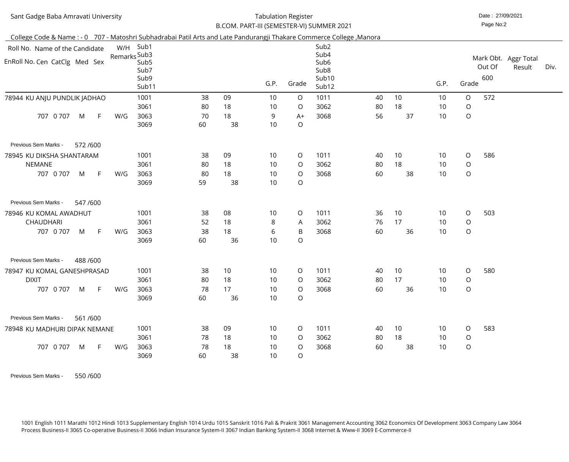#### Date : 27/09/2021 Tabulation RegisterB.COM. PART-III (SEMESTER-VI) SUMMER 2021

Page No:2

| College Code & Name: - 0 707 - Matoshri Subhadrabai Patil Arts and Late Pandurangji Thakare Commerce College, Manora |              |                          |    |                 |                 |                |                                      |    |       |      |                |        |                      |      |
|----------------------------------------------------------------------------------------------------------------------|--------------|--------------------------|----|-----------------|-----------------|----------------|--------------------------------------|----|-------|------|----------------|--------|----------------------|------|
| Roll No. Name of the Candidate                                                                                       |              | W/H Sub1                 |    |                 |                 |                | Sub <sub>2</sub>                     |    |       |      |                |        |                      |      |
|                                                                                                                      | Remarks Sub3 |                          |    |                 |                 |                | Sub4                                 |    |       |      |                |        | Mark Obt. Aggr Total |      |
| EnRoll No. Cen CatClg Med Sex                                                                                        |              | Sub <sub>5</sub><br>Sub7 |    |                 |                 |                | Sub <sub>6</sub><br>Sub <sub>8</sub> |    |       |      |                | Out Of | Result               | Div. |
|                                                                                                                      |              | Sub9                     |    |                 |                 |                | Sub10                                |    |       |      |                | 600    |                      |      |
|                                                                                                                      |              | Sub11                    |    |                 | G.P.            | Grade          | Sub12                                |    |       | G.P. | Grade          |        |                      |      |
| 78944 KU ANJU PUNDLIK JADHAO                                                                                         |              | 1001                     | 38 | 09              | 10              | $\circ$        | 1011                                 | 40 | 10    | 10   | $\circ$        | 572    |                      |      |
|                                                                                                                      |              | 3061                     | 80 | 18              | 10              | $\circ$        | 3062                                 | 80 | 18    | 10   | $\circ$        |        |                      |      |
| 707 0 707<br>M<br>- F                                                                                                | W/G          | 3063                     | 70 | 18              | 9               | $A+$           | 3068                                 | 56 | 37    | 10   | $\circ$        |        |                      |      |
|                                                                                                                      |              | 3069                     | 60 | 38              | 10              | O              |                                      |    |       |      |                |        |                      |      |
| Previous Sem Marks -<br>572/600                                                                                      |              |                          |    |                 |                 |                |                                      |    |       |      |                |        |                      |      |
| 78945 KU DIKSHA SHANTARAM                                                                                            |              | 1001                     | 38 | 09              | 10              | $\circ$        | 1011                                 | 40 | 10    | 10   | $\circ$        | 586    |                      |      |
| NEMANE                                                                                                               |              | 3061                     | 80 | 18              | 10              | $\circ$        | 3062                                 | 80 | 18    | 10   | $\circ$        |        |                      |      |
| 707 0 707<br>M<br>$-F$                                                                                               | W/G          | 3063                     | 80 | 18              | 10              | $\circ$        | 3068                                 | 60 | 38    | 10   | $\circ$        |        |                      |      |
|                                                                                                                      |              | 3069                     | 59 | 38              | 10              | O              |                                      |    |       |      |                |        |                      |      |
| 547/600<br>Previous Sem Marks -                                                                                      |              |                          |    |                 |                 |                |                                      |    |       |      |                |        |                      |      |
| 78946 KU KOMAL AWADHUT                                                                                               |              | 1001                     | 38 | 08              | 10              | $\circ$        | 1011                                 | 36 | 10    | 10   | $\circ$        | 503    |                      |      |
| <b>CHAUDHARI</b>                                                                                                     |              | 3061                     | 52 | 18              | 8               | A              | 3062                                 | 76 | 17    | 10   | $\circ$        |        |                      |      |
| 707 0 707<br>M<br>$-F$                                                                                               | W/G          | 3063                     | 38 | 18              | 6               | B              | 3068                                 | 60 | 36    | 10   | $\circ$        |        |                      |      |
|                                                                                                                      |              | 3069                     | 60 | 36              | 10              | O              |                                      |    |       |      |                |        |                      |      |
| Previous Sem Marks -<br>488 / 600                                                                                    |              |                          |    |                 |                 |                |                                      |    |       |      |                |        |                      |      |
| 78947 KU KOMAL GANESHPRASAD                                                                                          |              | 1001                     | 38 | 10 <sup>°</sup> | 10              |                | $O$ 1011                             |    | 40 10 | 10   | $\overline{O}$ | 580    |                      |      |
| <b>DIXIT</b>                                                                                                         |              | 3061                     | 80 | 18              | 10              | $\circ$        | 3062                                 | 80 | 17    | 10   | $\circ$        |        |                      |      |
| 707 0 707<br>M<br>$\mathsf{F}$                                                                                       | W/G          | 3063                     | 78 | 17              | 10              | $\circ$        | 3068                                 | 60 | 36    | 10   | $\circ$        |        |                      |      |
|                                                                                                                      |              | 3069                     | 60 | 36              | 10 <sup>°</sup> | O              |                                      |    |       |      |                |        |                      |      |
| 561/600<br>Previous Sem Marks -                                                                                      |              |                          |    |                 |                 |                |                                      |    |       |      |                |        |                      |      |
| 78948 KU MADHURI DIPAK NEMANE                                                                                        |              | 1001                     | 38 | 09              | 10              | $\circ$        | 1011                                 | 40 | 10    | 10   | $\circ$        | 583    |                      |      |
|                                                                                                                      |              | 3061                     | 78 | 18              | 10              | $\overline{O}$ | 3062                                 | 80 | 18    | 10   | $\circ$        |        |                      |      |
| 707 0 707<br>$\mathsf{F}$<br>M                                                                                       | W/G          | 3063                     | 78 | 18              | 10              | $\circ$        | 3068                                 | 60 | 38    | 10   | $\circ$        |        |                      |      |
|                                                                                                                      |              | 3069                     | 60 | 38              | 10              | O              |                                      |    |       |      |                |        |                      |      |

 Previous Sem Marks -550 /600

> 1001 English 1011 Marathi 1012 Hindi 1013 Supplementary English 1014 Urdu 1015 Sanskrit 1016 Pali & Prakrit 3061 Management Accounting 3062 Economics Of Development 3063 Company Law 3064Process Business-II 3065 Co-operative Business-II 3066 Indian Insurance System-II 3067 Indian Banking System-II 3068 Internet & Www-II 3069 E-Commerce-II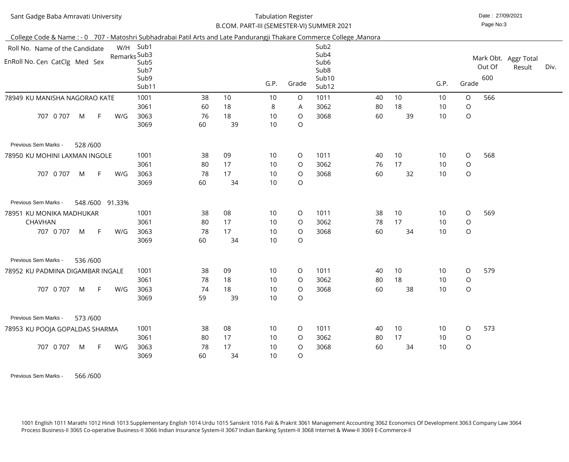| Sant Gadge Baba Amravati University                                                                                  |                                                           |          |          | <b>Tabulation Register</b> | B.COM. PART-III (SEMESTER-VI) SUMMER 2021 |                                                                                        |    |    |                 | Date: 27/09/2021<br>Page No:3 |               |                                |      |
|----------------------------------------------------------------------------------------------------------------------|-----------------------------------------------------------|----------|----------|----------------------------|-------------------------------------------|----------------------------------------------------------------------------------------|----|----|-----------------|-------------------------------|---------------|--------------------------------|------|
| College Code & Name: - 0 707 - Matoshri Subhadrabai Patil Arts and Late Pandurangji Thakare Commerce College, Manora |                                                           |          |          |                            |                                           |                                                                                        |    |    |                 |                               |               |                                |      |
| Roll No. Name of the Candidate                                                                                       | W/H Sub1                                                  |          |          |                            |                                           | Sub <sub>2</sub>                                                                       |    |    |                 |                               |               |                                |      |
| EnRoll No. Cen CatClg Med Sex                                                                                        | Remarks Sub3<br>Sub <sub>5</sub><br>Sub7<br>Sub9<br>Sub11 |          |          | G.P.                       | Grade                                     | Sub4<br>Sub <sub>6</sub><br>Sub <sub>8</sub><br>Sub <sub>10</sub><br>Sub <sub>12</sub> |    |    | G.P.            | Grade                         | Out Of<br>600 | Mark Obt. Aggr Total<br>Result | Div. |
| 78949 KU MANISHA NAGORAO KATE                                                                                        | 1001                                                      | 38       | 10       | 10                         | $\circ$                                   | 1011                                                                                   | 40 | 10 | 10              | O                             | 566           |                                |      |
|                                                                                                                      | 3061                                                      | 60       | 18       | 8                          | A                                         | 3062                                                                                   | 80 | 18 | 10              | $\bigcirc$                    |               |                                |      |
| 707 0 707<br>F<br>W/G<br>M                                                                                           | 3063<br>3069                                              | 76<br>60 | 18<br>39 | 10<br>10                   | $\circ$<br>$\circ$                        | 3068                                                                                   | 60 | 39 | 10              | $\bigcirc$                    |               |                                |      |
| Previous Sem Marks -<br>528/600                                                                                      |                                                           |          |          |                            |                                           |                                                                                        |    |    |                 |                               |               |                                |      |
| 78950 KU MOHINI LAXMAN INGOLE                                                                                        | 1001                                                      | 38       | 09       | 10                         | $\circ$                                   | 1011                                                                                   | 40 | 10 | 10              | O                             | 568           |                                |      |
|                                                                                                                      | 3061                                                      | 80       | 17       | 10                         | $\circ$                                   | 3062                                                                                   | 76 | 17 | 10              | $\bigcirc$                    |               |                                |      |
| 707 0 707<br>M<br>F<br>W/G                                                                                           | 3063<br>3069                                              | 78<br>60 | 17<br>34 | 10<br>10                   | $\circ$<br>$\circ$                        | 3068                                                                                   | 60 | 32 | 10              | $\bigcirc$                    |               |                                |      |
| Previous Sem Marks -<br>548/600 91.33%                                                                               |                                                           |          |          |                            |                                           |                                                                                        |    |    |                 |                               |               |                                |      |
| 78951 KU MONIKA MADHUKAR                                                                                             | 1001                                                      | 38       | 08       | 10                         | $\circ$                                   | 1011                                                                                   | 38 | 10 | 10              | $\circ$                       | 569           |                                |      |
| <b>CHAVHAN</b>                                                                                                       | 3061                                                      | 80       | 17       | 10                         | $\circ$                                   | 3062                                                                                   | 78 | 17 | 10              | $\bigcirc$                    |               |                                |      |
| 707 0 707<br>F.<br>W/G<br>M                                                                                          | 3063<br>3069                                              | 78<br>60 | 17<br>34 | 10<br>10                   | $\circ$<br>$\circ$                        | 3068                                                                                   | 60 | 34 | 10              | $\mathsf O$                   |               |                                |      |
| Previous Sem Marks -<br>536 /600                                                                                     |                                                           |          |          |                            |                                           |                                                                                        |    |    |                 |                               |               |                                |      |
| 78952 KU PADMINA DIGAMBAR INGALE                                                                                     | 1001                                                      | 38       | 09       | 10 <sup>°</sup>            | $\circ$                                   | 1011                                                                                   | 40 | 10 | 10 <sup>°</sup> | $\overline{O}$                | 579           |                                |      |
|                                                                                                                      | 3061                                                      | 78       | 18       | 10                         | $\circ$                                   | 3062                                                                                   | 80 | 18 | 10 <sup>°</sup> | $\bigcirc$                    |               |                                |      |
| 707 0 707<br>W/G<br>F.<br>M                                                                                          | 3063<br>3069                                              | 74<br>59 | 18<br>39 | 10<br>10                   | $\circ$<br>$\circ$                        | 3068                                                                                   | 60 | 38 | 10              | $\bigcirc$                    |               |                                |      |
| Previous Sem Marks -<br>573/600                                                                                      |                                                           |          |          |                            |                                           |                                                                                        |    |    |                 |                               |               |                                |      |
| 78953 KU POOJA GOPALDAS SHARMA                                                                                       | 1001                                                      | 38       | 08       | 10                         | $\circ$                                   | 1011                                                                                   | 40 | 10 | 10              | O                             | 573           |                                |      |
|                                                                                                                      | 3061                                                      | 80       | 17       | 10                         | $\circ$                                   | 3062                                                                                   | 80 | 17 | 10              | $\circ$                       |               |                                |      |
| 707 0 707<br>W/G<br>M<br>F.                                                                                          | 3063<br>3069                                              | 78<br>60 | 17<br>34 | 10<br>10 <sup>°</sup>      | $\circ$<br>$\circ$                        | 3068                                                                                   | 60 | 34 | 10              | $\bigcirc$                    |               |                                |      |

 Previous Sem Marks -566 /600

> 1001 English 1011 Marathi 1012 Hindi 1013 Supplementary English 1014 Urdu 1015 Sanskrit 1016 Pali & Prakrit 3061 Management Accounting 3062 Economics Of Development 3063 Company Law 3064Process Business-II 3065 Co-operative Business-II 3066 Indian Insurance System-II 3067 Indian Banking System-II 3068 Internet & Www-II 3069 E-Commerce-II

60 34 <sup>10</sup> <sup>O</sup>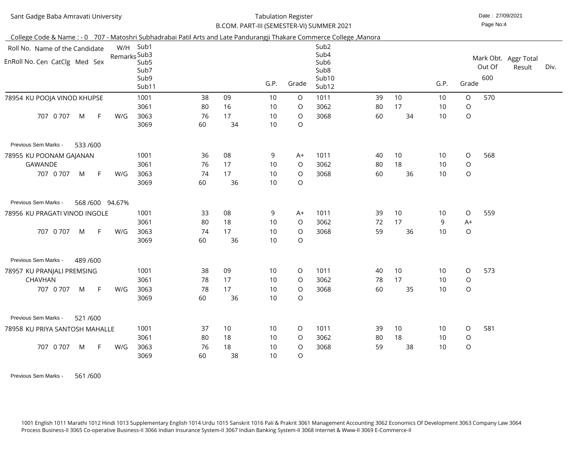| Sant Gadge Baba Amravati University                                                                                  |                                                                       |          | <b>Tabulation Register</b> |                 | B.COM. PART-III (SEMESTER-VI) SUMMER 2021 |                                                                                    |    |    |                 | Date: 27/09/2021<br>Page No:4 |               |                                |      |
|----------------------------------------------------------------------------------------------------------------------|-----------------------------------------------------------------------|----------|----------------------------|-----------------|-------------------------------------------|------------------------------------------------------------------------------------|----|----|-----------------|-------------------------------|---------------|--------------------------------|------|
| College Code & Name: - 0 707 - Matoshri Subhadrabai Patil Arts and Late Pandurangji Thakare Commerce College, Manora |                                                                       |          |                            |                 |                                           |                                                                                    |    |    |                 |                               |               |                                |      |
| Roll No. Name of the Candidate<br>EnRoll No. Cen CatClg Med Sex                                                      | W/H Sub1<br>Remarks Sub3<br>Sub <sub>5</sub><br>Sub7<br>Sub9<br>Sub11 |          |                            | G.P.            | Grade                                     | Sub <sub>2</sub><br>Sub4<br>Sub <sub>6</sub><br>Sub <sub>8</sub><br>Sub10<br>Sub12 |    |    | G.P.            | Grade                         | Out Of<br>600 | Mark Obt. Aggr Total<br>Result | Div. |
| 78954 KU POOJA VINOD KHUPSE                                                                                          | 1001                                                                  | 38       | 09                         | 10              | $\circ$                                   | 1011                                                                               | 39 | 10 | 10              | $\circ$                       | 570           |                                |      |
|                                                                                                                      | 3061                                                                  | 80       | 16                         | 10              | $\circ$                                   | 3062                                                                               | 80 | 17 | 10              | $\circ$                       |               |                                |      |
| 707 0 707<br>M<br>$-F$<br>W/G                                                                                        | 3063<br>3069                                                          | 76<br>60 | 17<br>34                   | 10<br>10        | $\circ$<br>$\circ$                        | 3068                                                                               | 60 | 34 | 10              | $\bigcirc$                    |               |                                |      |
| Previous Sem Marks -<br>533 /600                                                                                     |                                                                       |          |                            |                 |                                           |                                                                                    |    |    |                 |                               |               |                                |      |
| 78955 KU POONAM GAJANAN                                                                                              | 1001                                                                  | 36       | 08                         | 9               | $A+$                                      | 1011                                                                               | 40 | 10 | 10              | $\circ$                       | 568           |                                |      |
| <b>GAWANDE</b>                                                                                                       | 3061                                                                  | 76       | 17                         | 10              | $\circ$                                   | 3062                                                                               | 80 | 18 | 10              | $\bigcirc$                    |               |                                |      |
| 707 0 707<br>M<br>$-F$<br>W/G                                                                                        | 3063<br>3069                                                          | 74<br>60 | 17<br>36                   | 10<br>10        | $\circ$<br>$\circ$                        | 3068                                                                               | 60 | 36 | 10              | $\bigcirc$                    |               |                                |      |
| Previous Sem Marks -<br>568/600 94.67%                                                                               |                                                                       |          |                            |                 |                                           |                                                                                    |    |    |                 |                               |               |                                |      |
| 78956 KU PRAGATI VINOD INGOLE                                                                                        | 1001                                                                  | 33       | 08                         | 9               | $A+$                                      | 1011                                                                               | 39 | 10 | 10 <sup>°</sup> | $\circ$                       | 559           |                                |      |
|                                                                                                                      | 3061                                                                  | 80       | 18                         | 10              | $\circ$                                   | 3062                                                                               | 72 | 17 | 9               | $A+$                          |               |                                |      |
| $-F$<br>707 0 707<br>M<br>W/G                                                                                        | 3063<br>3069                                                          | 74<br>60 | 17<br>36                   | 10<br>10        | $\circ$<br>$\bigcirc$                     | 3068                                                                               | 59 | 36 | 10              | $\circ$                       |               |                                |      |
| Previous Sem Marks -<br>489 / 600                                                                                    |                                                                       |          |                            |                 |                                           |                                                                                    |    |    |                 |                               |               |                                |      |
| 78957 KU PRANJALI PREMSING                                                                                           | 1001                                                                  | 38       | 09                         | 10              | $\circ$                                   | 1011                                                                               | 40 | 10 | 10              | $\circ$                       | 573           |                                |      |
| <b>CHAVHAN</b>                                                                                                       | 3061                                                                  | 78       | 17                         | 10              | $\circ$                                   | 3062                                                                               | 78 | 17 | 10              | $\circ$                       |               |                                |      |
| 707 0 707<br>M<br>$-F$<br>W/G                                                                                        | 3063                                                                  | 78       | 17                         | 10              | $\circ$                                   | 3068                                                                               | 60 | 35 | 10              | $\circ$                       |               |                                |      |
|                                                                                                                      | 3069                                                                  | 60       | 36                         | 10              | $\circ$                                   |                                                                                    |    |    |                 |                               |               |                                |      |
| Previous Sem Marks -<br>521/600                                                                                      |                                                                       |          |                            |                 |                                           |                                                                                    |    |    |                 |                               |               |                                |      |
| 78958 KU PRIYA SANTOSH MAHALLE                                                                                       | 1001                                                                  | 37       | 10                         | 10 <sup>°</sup> | $\circ$                                   | 1011                                                                               | 39 | 10 | 10              | $\circ$                       | 581           |                                |      |
|                                                                                                                      | 3061                                                                  | 80       | 18                         | 10              | $\circ$                                   | 3062                                                                               | 80 | 18 | 10              | $\circ$                       |               |                                |      |
| 707 0 707<br>M<br>$-F$<br>W/G                                                                                        | 3063                                                                  | 76       | 18                         | 10              | $\circ$                                   | 3068                                                                               | 59 | 38 | 10              | $\circ$                       |               |                                |      |
|                                                                                                                      | 3069                                                                  | 60       | 38                         | 10              | $\circ$                                   |                                                                                    |    |    |                 |                               |               |                                |      |

Previous Sem Marks - 561/600

1001 English 1011 Marathi 1012 Hindi 1013 Supplementary English 1014 Urdu 1015 Sanskrit 1016 Pali & Prakrit 3061 Management Accounting 3062 Economics Of Development 3063 Company Law 3064<br>Process Business-II 3065 Co-operati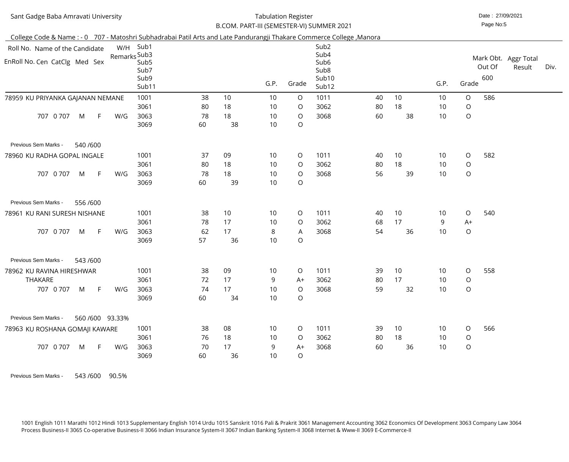| Sant Gadge Baba Amravati University                                                                                  |                                                                       |                      |                      | <b>Tabulation Register</b> |                                                  |                                                                                    |                |                |                             |                                      | Date: 27/09/2021<br>Page No:5 |                                |      |
|----------------------------------------------------------------------------------------------------------------------|-----------------------------------------------------------------------|----------------------|----------------------|----------------------------|--------------------------------------------------|------------------------------------------------------------------------------------|----------------|----------------|-----------------------------|--------------------------------------|-------------------------------|--------------------------------|------|
| College Code & Name: - 0 707 - Matoshri Subhadrabai Patil Arts and Late Pandurangji Thakare Commerce College, Manora |                                                                       |                      |                      |                            |                                                  | B.COM. PART-III (SEMESTER-VI) SUMMER 2021                                          |                |                |                             |                                      |                               |                                |      |
| Roll No. Name of the Candidate<br>EnRoll No. Cen CatClg Med Sex                                                      | W/H Sub1<br>Remarks Sub3<br>Sub <sub>5</sub><br>Sub7<br>Sub9<br>Sub11 |                      |                      | G.P.                       | Grade                                            | Sub <sub>2</sub><br>Sub4<br>Sub <sub>6</sub><br>Sub <sub>8</sub><br>Sub10<br>Sub12 |                |                | G.P.                        | Grade                                | Out Of<br>600                 | Mark Obt. Aggr Total<br>Result | Div. |
| 78959 KU PRIYANKA GAJANAN NEMANE<br>0 707<br>707<br>M<br>$\mathsf{F}$<br>W/G                                         | 1001<br>3061<br>3063<br>3069                                          | 38<br>80<br>78<br>60 | 10<br>18<br>18<br>38 | 10<br>10<br>10<br>10       | $\circ$<br>$\circ$<br>$\circ$<br>$\bigcirc$      | 1011<br>3062<br>3068                                                               | 40<br>80<br>60 | 10<br>18<br>38 | 10<br>10<br>10              | $\circ$<br>$\bigcirc$<br>$\bigcirc$  | 586                           |                                |      |
| Previous Sem Marks -<br>540 /600<br>78960 KU RADHA GOPAL INGALE<br>0 7 0 7<br>707<br>M<br>$-F$<br>W/G                | 1001<br>3061<br>3063<br>3069                                          | 37<br>80<br>78<br>60 | 09<br>18<br>18<br>39 | 10<br>10<br>10<br>10       | $\circ$<br>$\circ$<br>$\circ$<br>$\bigcirc$      | 1011<br>3062<br>3068                                                               | 40<br>80<br>56 | 10<br>18<br>39 | 10<br>10<br>10              | $\circ$<br>$\bigcirc$<br>$\mathsf O$ | 582                           |                                |      |
| Previous Sem Marks -<br>556 / 600<br>78961 KU RANI SURESH NISHANE<br>707<br>0 707<br>F.<br>M<br>W/G                  | 1001<br>3061<br>3063<br>3069                                          | 38<br>78<br>62<br>57 | 10<br>17<br>17<br>36 | 10<br>10<br>8<br>10        | $\circ$<br>$\circ$<br>$\mathsf{A}$<br>$\bigcirc$ | 1011<br>3062<br>3068                                                               | 40<br>68<br>54 | 10<br>17<br>36 | 10 <sup>°</sup><br>9<br>10  | $\circ$<br>$A+$<br>$\bigcirc$        | 540                           |                                |      |
| Previous Sem Marks -<br>543/600<br>78962 KU RAVINA HIRESHWAR<br><b>THAKARE</b><br>707 0 707<br>M<br>$-F$<br>W/G      | 1001<br>3061<br>3063<br>3069                                          | 38<br>72<br>74<br>60 | 09<br>17<br>17<br>34 | 10<br>9<br>10<br>10        | $\circ$<br>$A+$<br>$\circ$<br>$\overline{O}$     | 1011<br>3062<br>3068                                                               | 39<br>80<br>59 | 10<br>17<br>32 | 10 <sup>°</sup><br>10<br>10 | $\circ$<br>$\circ$<br>$\bigcirc$     | 558                           |                                |      |
| Previous Sem Marks -<br>560/600 93.33%<br>78963 KU ROSHANA GOMAJI KAWARE<br>707 0 707<br>W/G<br>M<br>F.              | 1001<br>3061<br>3063<br>3069                                          | 38<br>76<br>70<br>60 | 08<br>18<br>17<br>36 | 10<br>10<br>9<br>10        | $\circ$<br>$\circ$<br>$A+$<br>$\overline{O}$     | 1011<br>3062<br>3068                                                               | 39<br>80<br>60 | 10<br>18<br>36 | 10<br>10 <sup>°</sup><br>10 | $\circ$<br>$\bigcirc$<br>$\bigcirc$  | 566                           |                                |      |

Previous Sem Marks - 543 /600 90.5%

1001 English 1011 Marathi 1012 Hindi 1013 Supplementary English 1014 Urdu 1015 Sanskrit 1016 Pali & Prakrit 3061 Management Accounting 3062 Economics Of Development 3063 Company Law 3064<br>Process Business-II 3065 Co-operati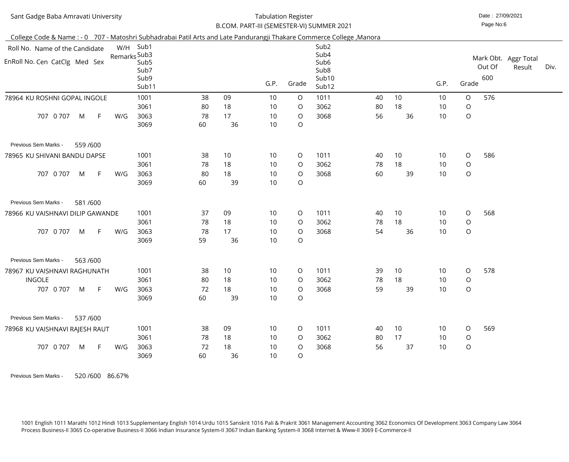| Sant Gadge Baba Amravati University                                                                                  |     |                                  | <b>Tabulation Register</b> |          |          |                       |                                               |    |    | Date: 27/09/2021 |             |               |            |      |
|----------------------------------------------------------------------------------------------------------------------|-----|----------------------------------|----------------------------|----------|----------|-----------------------|-----------------------------------------------|----|----|------------------|-------------|---------------|------------|------|
|                                                                                                                      |     |                                  |                            |          |          |                       | B.COM. PART-III (SEMESTER-VI) SUMMER 2021     |    |    |                  |             | Page No:6     |            |      |
| College Code & Name: - 0 707 - Matoshri Subhadrabai Patil Arts and Late Pandurangji Thakare Commerce College, Manora |     |                                  |                            |          |          |                       |                                               |    |    |                  |             |               |            |      |
| Roll No. Name of the Candidate                                                                                       |     | W/H Sub1<br>Remarks Sub3         |                            |          |          |                       | Sub <sub>2</sub><br>Sub4                      |    |    |                  |             | Mark Obt.     | Aggr Total |      |
| EnRoll No. Cen CatClg Med Sex                                                                                        |     | Sub <sub>5</sub><br>Sub7<br>Sub9 |                            |          |          |                       | Sub <sub>6</sub><br>Sub <sub>8</sub><br>Sub10 |    |    |                  |             | Out Of<br>600 | Result     | Div. |
|                                                                                                                      |     | Sub11                            |                            |          | G.P.     | Grade                 | Sub12                                         |    |    | G.P.             | Grade       |               |            |      |
| 78964 KU ROSHNI GOPAL INGOLE                                                                                         |     | 1001                             | 38                         | 09       | 10       | $\circ$               | 1011                                          | 40 | 10 | 10               | $\circ$     | 576           |            |      |
|                                                                                                                      |     | 3061                             | 80                         | 18       | 10       | $\circ$               | 3062                                          | 80 | 18 | 10               | $\bigcirc$  |               |            |      |
| 0 7 0 7<br>707<br>$\mathsf{F}$<br>M                                                                                  | W/G | 3063<br>3069                     | 78<br>60                   | 17<br>36 | 10<br>10 | $\circ$<br>$\bigcirc$ | 3068                                          | 56 | 36 | 10               | $\bigcirc$  |               |            |      |
| Previous Sem Marks -<br>559 / 600                                                                                    |     |                                  |                            |          |          |                       |                                               |    |    |                  |             |               |            |      |
| 78965 KU SHIVANI BANDU DAPSE                                                                                         |     | 1001                             | 38                         | 10       | 10       | $\circ$               | 1011                                          | 40 | 10 | 10               | $\circ$     | 586           |            |      |
|                                                                                                                      |     | 3061                             | 78                         | 18       | 10       | $\circ$               | 3062                                          | 78 | 18 | 10               | $\mathsf O$ |               |            |      |
| 707 0 707<br>M<br>- F                                                                                                | W/G | 3063<br>3069                     | 80<br>60                   | 18<br>39 | 10<br>10 | $\circ$<br>$\bigcirc$ | 3068                                          | 60 | 39 | 10               | $\bigcirc$  |               |            |      |
| Previous Sem Marks -<br>581/600                                                                                      |     |                                  |                            |          |          |                       |                                               |    |    |                  |             |               |            |      |
| 78966 KU VAISHNAVI DILIP GAWANDE                                                                                     |     | 1001                             | 37                         | 09       | 10       | $\circ$               | 1011                                          | 40 | 10 | 10               | $\circ$     | 568           |            |      |
|                                                                                                                      |     | 3061                             | 78                         | 18       | 10       | $\circ$               | 3062                                          | 78 | 18 | 10               | $\bigcirc$  |               |            |      |
| 707 0 707<br>M<br>F.                                                                                                 | W/G | 3063                             | 78                         | 17       | 10       | $\circ$               | 3068                                          | 54 | 36 | 10               | $\bigcirc$  |               |            |      |
|                                                                                                                      |     | 3069                             | 59                         | 36       | 10       | $\circ$               |                                               |    |    |                  |             |               |            |      |
| Previous Sem Marks -<br>563/600                                                                                      |     |                                  |                            |          |          |                       |                                               |    |    |                  |             |               |            |      |
| 78967 KU VAISHNAVI RAGHUNATH                                                                                         |     | 1001                             | 38                         | 10       | 10       | $\circ$               | 1011                                          | 39 | 10 | 10 <sup>°</sup>  | $\circ$     | 578           |            |      |
| <b>INGOLE</b>                                                                                                        |     | 3061                             | 80                         | 18       | 10       | $\circ$               | 3062                                          | 78 | 18 | 10               | $\bigcirc$  |               |            |      |
| 707 0 707<br>M<br>$-F$                                                                                               | W/G | 3063                             | 72                         | 18       | 10       | $\circ$               | 3068                                          | 59 | 39 | 10               | $\circ$     |               |            |      |
|                                                                                                                      |     | 3069                             | 60                         | 39       | 10       | $\circ$               |                                               |    |    |                  |             |               |            |      |
| Previous Sem Marks -<br>537/600                                                                                      |     |                                  |                            |          |          |                       |                                               |    |    |                  |             |               |            |      |
| 78968 KU VAISHNAVI RAJESH RAUT                                                                                       |     | 1001                             | 38                         | 09       | 10       | $\circ$               | 1011                                          | 40 | 10 | 10               | $\circ$     | 569           |            |      |
|                                                                                                                      |     | 3061                             | 78                         | 18       | 10       | $\circ$               | 3062                                          | 80 | 17 | 10               | $\circ$     |               |            |      |
| 707 0 707<br>M<br>$-F$                                                                                               | W/G | 3063                             | 72                         | 18       | 10       | $\circ$               | 3068                                          | 56 | 37 | 10               | $\bigcirc$  |               |            |      |
|                                                                                                                      |     | 3069                             | 60                         | 36       | 10       | $\circ$               |                                               |    |    |                  |             |               |            |      |

Previous Sem Marks - 520 /600 86.67%

1001 English 1011 Marathi 1012 Hindi 1013 Supplementary English 1014 Urdu 1015 Sanskrit 1016 Pali & Prakrit 3061 Management Accounting 3062 Economics Of Development 3063 Company Law 3064<br>Process Business-II 3065 Co-operati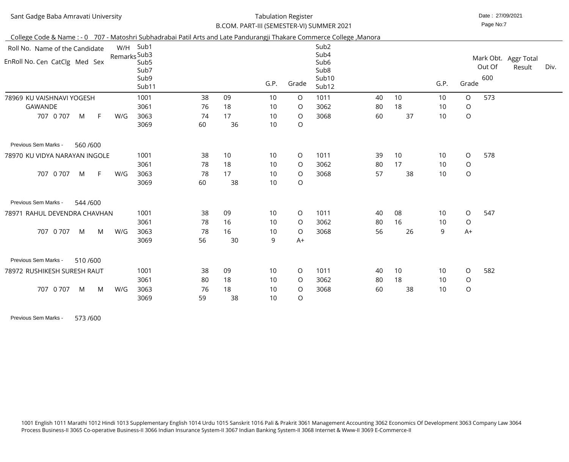| Sant Gadge Baba Amravati University                                                                                  |                                                                   |          |          | <b>Tabulation Register</b> |                    | B.COM. PART-III (SEMESTER-VI) SUMMER 2021                                          |    |    |      |         | Date: 27/09/2021<br>Page No:7 |                                |      |
|----------------------------------------------------------------------------------------------------------------------|-------------------------------------------------------------------|----------|----------|----------------------------|--------------------|------------------------------------------------------------------------------------|----|----|------|---------|-------------------------------|--------------------------------|------|
| College Code & Name: - 0 707 - Matoshri Subhadrabai Patil Arts and Late Pandurangji Thakare Commerce College, Manora |                                                                   |          |          |                            |                    |                                                                                    |    |    |      |         |                               |                                |      |
| W/H<br>Roll No. Name of the Candidate<br>EnRoll No. Cen CatClg Med Sex                                               | Sub1<br>Remarks Sub3<br>Sub <sub>5</sub><br>Sub7<br>Sub9<br>Sub11 |          |          | G.P.                       | Grade              | Sub <sub>2</sub><br>Sub4<br>Sub <sub>6</sub><br>Sub <sub>8</sub><br>Sub10<br>Sub12 |    |    | G.P. | Grade   | Out Of<br>600                 | Mark Obt. Aggr Total<br>Result | Div. |
| 78969 KU VAISHNAVI YOGESH                                                                                            | 1001                                                              | 38       | 09       | 10                         | $\circ$            | 1011                                                                               | 40 | 10 | 10   | $\circ$ | 573                           |                                |      |
| <b>GAWANDE</b>                                                                                                       | 3061                                                              | 76       | 18       | 10                         | $\circ$            | 3062                                                                               | 80 | 18 | 10   | $\circ$ |                               |                                |      |
| 707 0 707<br>M<br>F.<br>W/G                                                                                          | 3063<br>3069                                                      | 74<br>60 | 17<br>36 | 10<br>10                   | $\circ$<br>$\circ$ | 3068                                                                               | 60 | 37 | 10   | $\circ$ |                               |                                |      |
| Previous Sem Marks -<br>560/600                                                                                      |                                                                   |          |          |                            |                    |                                                                                    |    |    |      |         |                               |                                |      |
| 78970 KU VIDYA NARAYAN INGOLE                                                                                        | 1001                                                              | 38       | 10       | 10                         | $\circ$            | 1011                                                                               | 39 | 10 | 10   | $\circ$ | 578                           |                                |      |
|                                                                                                                      | 3061                                                              | 78       | 18       | 10                         | $\circ$            | 3062                                                                               | 80 | 17 | 10   | $\circ$ |                               |                                |      |
| 707 0 707<br>F.<br>M<br>W/G                                                                                          | 3063<br>3069                                                      | 78<br>60 | 17<br>38 | 10<br>10                   | $\circ$<br>$\circ$ | 3068                                                                               | 57 | 38 | 10   | $\circ$ |                               |                                |      |
| Previous Sem Marks -<br>544 / 600                                                                                    |                                                                   |          |          |                            |                    |                                                                                    |    |    |      |         |                               |                                |      |
| RAHUL DEVENDRA CHAVHAN<br>78971                                                                                      | 1001                                                              | 38       | 09       | 10                         | $\circ$            | 1011                                                                               | 40 | 08 | 10   | $\circ$ | 547                           |                                |      |
|                                                                                                                      | 3061                                                              | 78       | 16       | 10                         | $\circ$            | 3062                                                                               | 80 | 16 | 10   | $\circ$ |                               |                                |      |
| 0 707<br>M<br>W/G<br>707<br>M                                                                                        | 3063                                                              | 78       | 16       | 10                         | $\circ$            | 3068                                                                               | 56 | 26 | 9    | $A+$    |                               |                                |      |
|                                                                                                                      | 3069                                                              | 56       | 30       | 9                          | $A+$               |                                                                                    |    |    |      |         |                               |                                |      |
| Previous Sem Marks -<br>510/600                                                                                      |                                                                   |          |          |                            |                    |                                                                                    |    |    |      |         |                               |                                |      |
| 78972 RUSHIKESH SURESH RAUT                                                                                          | 1001                                                              | 38       | 09       | 10                         | $\circ$            | 1011                                                                               | 40 | 10 | 10   | $\circ$ | 582                           |                                |      |
|                                                                                                                      | 3061                                                              | 80       | 18       | 10                         | $\circ$            | 3062                                                                               | 80 | 18 | 10   | $\circ$ |                               |                                |      |
| 707 0 707<br>W/G<br>M<br>M                                                                                           | 3063                                                              | 76       | 18       | 10                         | $\circ$            | 3068                                                                               | 60 | 38 | 10   | $\circ$ |                               |                                |      |
|                                                                                                                      | 3069                                                              | 59       | 38       | 10                         | $\circ$            |                                                                                    |    |    |      |         |                               |                                |      |

Previous Sem Marks - 573/600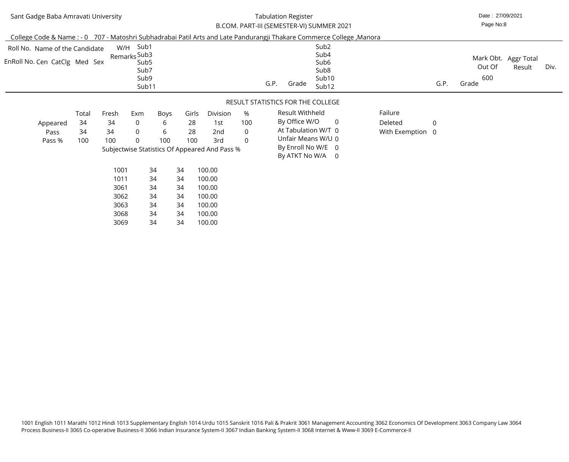# Tabulation Register

| Sant Gadge Baba Amravati University                                                                                  |                          |                                                  |                                                                       |                                         |                                            |                                                                                                              |                                              | <b>Tabulation Register</b>                                                                                              |                                                                                                |                                        |                | Date: 27/09/2021       |                                |      |
|----------------------------------------------------------------------------------------------------------------------|--------------------------|--------------------------------------------------|-----------------------------------------------------------------------|-----------------------------------------|--------------------------------------------|--------------------------------------------------------------------------------------------------------------|----------------------------------------------|-------------------------------------------------------------------------------------------------------------------------|------------------------------------------------------------------------------------------------|----------------------------------------|----------------|------------------------|--------------------------------|------|
|                                                                                                                      |                          |                                                  |                                                                       |                                         |                                            |                                                                                                              |                                              | B.COM. PART-III (SEMESTER-VI) SUMMER 2021                                                                               |                                                                                                |                                        |                | Page No:8              |                                |      |
| College Code & Name: - 0 707 - Matoshri Subhadrabai Patil Arts and Late Pandurangji Thakare Commerce College, Manora |                          |                                                  |                                                                       |                                         |                                            |                                                                                                              |                                              |                                                                                                                         |                                                                                                |                                        |                |                        |                                |      |
| Roll No. Name of the Candidate<br>EnRoll No. Cen CatClg Med Sex                                                      |                          |                                                  | W/H Sub1<br>Remarks Sub3<br>Sub <sub>5</sub><br>Sub7<br>Sub9<br>Sub11 |                                         |                                            |                                                                                                              |                                              | G.P.<br>Grade                                                                                                           | Sub <sub>2</sub><br>Sub4<br>Sub <sub>6</sub><br>Sub <sub>8</sub><br>Sub10<br>Sub <sub>12</sub> |                                        | G.P.           | Out Of<br>600<br>Grade | Mark Obt. Aggr Total<br>Result | Div. |
|                                                                                                                      |                          |                                                  |                                                                       |                                         |                                            |                                                                                                              |                                              | RESULT STATISTICS FOR THE COLLEGE                                                                                       |                                                                                                |                                        |                |                        |                                |      |
| Appeared<br>Pass<br>Pass %                                                                                           | Total<br>34<br>34<br>100 | Fresh<br>34<br>34<br>100<br>1001<br>1011<br>3061 | Exm<br>$\overline{0}$<br>$\overline{0}$<br>$\Omega$                   | Boys<br>6<br>6<br>100<br>34<br>34<br>34 | Girls<br>28<br>28<br>100<br>34<br>34<br>34 | Division<br>1st<br>2nd<br>3rd<br>Subjectwise Statistics Of Appeared And Pass %<br>100.00<br>100.00<br>100.00 | %<br>100<br>$\overline{0}$<br>$\overline{0}$ | Result Withheld<br>By Office W/O<br>At Tabulation W/T 0<br>Unfair Means W/U 0<br>By Enroll No W/E 0<br>By ATKT No W/A 0 | $\overline{0}$                                                                                 | Failure<br>Deleted<br>With Exemption 0 | $\overline{0}$ |                        |                                |      |
|                                                                                                                      |                          | 3062                                             |                                                                       | 34                                      | 34                                         | 100.00                                                                                                       |                                              |                                                                                                                         |                                                                                                |                                        |                |                        |                                |      |

 34 3434

 34 3434

 3063 30683069  100.00 100.00100.00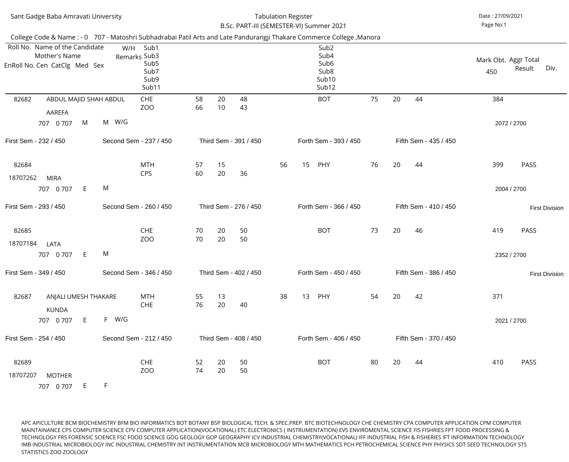|                   | Sant Gadge Baba Amravati University                                                                                   |       |                                                                   |          |          | B.Sc. PART-III (SEMESTER-VI) Summer 2021 | <b>Tabulation Register</b> |    |                                                                                    |    |    |                       | Date: 27/09/2021<br>Page No:1 |                            |                       |
|-------------------|-----------------------------------------------------------------------------------------------------------------------|-------|-------------------------------------------------------------------|----------|----------|------------------------------------------|----------------------------|----|------------------------------------------------------------------------------------|----|----|-----------------------|-------------------------------|----------------------------|-----------------------|
|                   | College Code & Name : - 0 707 - Matoshri Subhadrabai Patil Arts and Late Pandurangji Thakare Commerce College, Manora |       |                                                                   |          |          |                                          |                            |    |                                                                                    |    |    |                       |                               |                            |                       |
|                   | Roll No. Name of the Candidate<br>Mother's Name<br>EnRoll No. Cen CatClg Med Sex                                      | W/H   | Sub1<br>Remarks Sub3<br>Sub <sub>5</sub><br>Sub7<br>Sub9<br>Sub11 |          |          |                                          |                            |    | Sub <sub>2</sub><br>Sub4<br>Sub <sub>6</sub><br>Sub <sub>8</sub><br>Sub10<br>Sub12 |    |    |                       | Mark Obt. Aggr Total<br>450   | Result                     | Div.                  |
| 82682             | ABDUL MAJID SHAH ABDUL<br>AAREFA                                                                                      |       | <b>CHE</b><br>ZOO                                                 | 58<br>66 | 20<br>10 | 48<br>43                                 |                            |    | <b>BOT</b>                                                                         | 75 | 20 | 44                    | 384                           |                            |                       |
|                   | M<br>707 0 707                                                                                                        | M W/G |                                                                   |          |          |                                          |                            |    |                                                                                    |    |    |                       |                               | 2072 / 2700                |                       |
|                   | First Sem - 232 / 450                                                                                                 |       | Second Sem - 237 / 450                                            |          |          | Third Sem - 391 / 450                    |                            |    | Forth Sem - 393 / 450                                                              |    |    | Fifth Sem - 435 / 450 |                               |                            |                       |
| 82684<br>18707262 | <b>MIRA</b>                                                                                                           |       | <b>MTH</b><br><b>CPS</b>                                          | 57<br>60 | 15<br>20 | 36                                       | 56                         | 15 | PHY                                                                                | 76 | 20 | 44                    | 399                           | <b>PASS</b>                |                       |
|                   | E<br>707 0 707                                                                                                        | M     |                                                                   |          |          |                                          |                            |    |                                                                                    |    |    |                       |                               | 2004 / 2700                |                       |
|                   | First Sem - 293 / 450                                                                                                 |       | Second Sem - 260 / 450                                            |          |          | Third Sem - 276 / 450                    |                            |    | Forth Sem - 366 / 450                                                              |    |    | Fifth Sem - 410 / 450 |                               |                            | <b>First Division</b> |
| 82685<br>18707184 | LATA<br>E<br>707 0 707                                                                                                | M     | <b>CHE</b><br>ZO <sub>O</sub>                                     | 70<br>70 | 20<br>20 | 50<br>50                                 |                            |    | <b>BOT</b>                                                                         | 73 | 20 | 46                    | 419                           | <b>PASS</b><br>2352 / 2700 |                       |
|                   | First Sem - 349 / 450                                                                                                 |       | Second Sem - 346 / 450                                            |          |          | Third Sem - 402 / 450                    |                            |    | Forth Sem - 450 / 450                                                              |    |    | Fifth Sem - 386 / 450 |                               |                            | <b>First Division</b> |
| 82687             | ANJALI UMESH THAKARE<br><b>KUNDA</b>                                                                                  |       | <b>MTH</b><br><b>CHE</b>                                          | 55<br>76 | 13<br>20 | 40                                       | 38                         | 13 | PHY                                                                                | 54 | 20 | 42                    | 371                           |                            |                       |
|                   | E<br>707 0 707                                                                                                        | F W/G |                                                                   |          |          |                                          |                            |    |                                                                                    |    |    |                       |                               | 2021 / 2700                |                       |
|                   | First Sem - 254 / 450                                                                                                 |       | Second Sem - 212 / 450                                            |          |          | Third Sem - 408 / 450                    |                            |    | Forth Sem - 406 / 450                                                              |    |    | Fifth Sem - 370 / 450 |                               |                            |                       |
| 82689<br>18707207 | <b>MOTHER</b><br>E.<br>707 0 707                                                                                      | F.    | <b>CHE</b><br>ZO <sub>O</sub>                                     | 52<br>74 | 20<br>20 | 50<br>50                                 |                            |    | <b>BOT</b>                                                                         | 80 | 20 | 44                    | 410                           | <b>PASS</b>                |                       |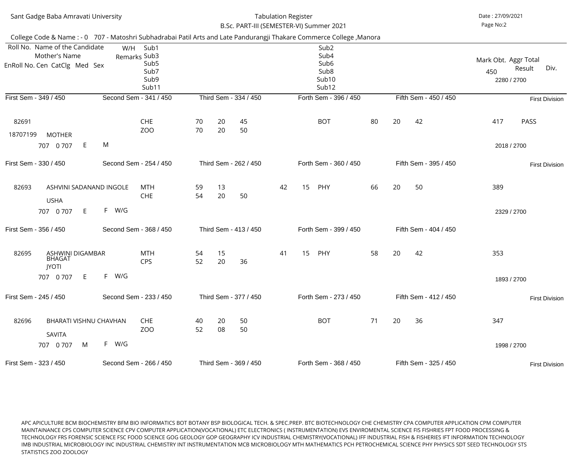| Sant Gadge Baba Amravati University                                                                                   |                                                                          |          |                       | <b>Tabulation Register</b> | B.Sc. PART-III (SEMESTER-VI) Summer 2021                                                       |    |                       | Date: 27/09/2021<br>Page No:2                                |
|-----------------------------------------------------------------------------------------------------------------------|--------------------------------------------------------------------------|----------|-----------------------|----------------------------|------------------------------------------------------------------------------------------------|----|-----------------------|--------------------------------------------------------------|
| College Code & Name : - 0 707 - Matoshri Subhadrabai Patil Arts and Late Pandurangji Thakare Commerce College, Manora |                                                                          |          |                       |                            |                                                                                                |    |                       |                                                              |
| Roll No. Name of the Candidate<br>Mother's Name<br>EnRoll No. Cen CatClg Med Sex                                      | W/H<br>Sub1<br>Remarks Sub3<br>Sub <sub>5</sub><br>Sub7<br>Sub9<br>Sub11 |          |                       |                            | Sub <sub>2</sub><br>Sub4<br>Sub <sub>6</sub><br>Sub <sub>8</sub><br>Sub <sub>10</sub><br>Sub12 |    |                       | Mark Obt. Aggr Total<br>Result<br>Div.<br>450<br>2280 / 2700 |
| First Sem - 349 / 450                                                                                                 | Second Sem - 341 / 450                                                   |          | Third Sem - 334 / 450 |                            | Forth Sem - 396 / 450                                                                          |    | Fifth Sem - 450 / 450 | <b>First Division</b>                                        |
| 82691<br>18707199<br><b>MOTHER</b>                                                                                    | <b>CHE</b><br>ZO <sub>O</sub>                                            | 70<br>70 | 20<br>45<br>50<br>20  |                            | <b>BOT</b>                                                                                     | 80 | 20<br>42              | 417<br><b>PASS</b>                                           |
| E.<br>707 0 707                                                                                                       | M                                                                        |          |                       |                            |                                                                                                |    |                       | 2018 / 2700                                                  |
| First Sem - 330 / 450                                                                                                 | Second Sem - 254 / 450                                                   |          | Third Sem - 262 / 450 |                            | Forth Sem - 360 / 450                                                                          |    | Fifth Sem - 395 / 450 | <b>First Division</b>                                        |
| ASHVINI SADANAND INGOLE<br>82693<br><b>USHA</b>                                                                       | <b>MTH</b><br><b>CHE</b>                                                 | 59<br>54 | 13<br>50<br>20        | 42                         | 15<br>PHY                                                                                      | 66 | 20<br>50              | 389                                                          |
| E.<br>707 0 707                                                                                                       | F<br>W/G                                                                 |          |                       |                            |                                                                                                |    |                       | 2329 / 2700                                                  |
| First Sem - 356 / 450                                                                                                 | Second Sem - 368 / 450                                                   |          | Third Sem - 413 / 450 |                            | Forth Sem - 399 / 450                                                                          |    | Fifth Sem - 404 / 450 |                                                              |
| 82695<br><b>ASHWINI DIGAMBAR</b><br><b>BHAGAT</b><br><b>JYOTI</b>                                                     | <b>MTH</b><br><b>CPS</b>                                                 | 54<br>52 | 15<br>20<br>36        | 41                         | 15<br>PHY                                                                                      | 58 | 42<br>20              | 353                                                          |
| E.<br>707 0 707                                                                                                       | W/G<br>F.                                                                |          |                       |                            |                                                                                                |    |                       | 1893 / 2700                                                  |
| First Sem - 245 / 450                                                                                                 | Second Sem - 233 / 450                                                   |          | Third Sem - 377 / 450 |                            | Forth Sem - 273 / 450                                                                          |    | Fifth Sem - 412 / 450 | <b>First Division</b>                                        |
| 82696<br>BHARATI VISHNU CHAVHAN<br>SAVITA                                                                             | <b>CHE</b><br>ZO <sub>O</sub>                                            | 40<br>52 | 50<br>20<br>08<br>50  |                            | <b>BOT</b>                                                                                     | 71 | 20<br>36              | 347                                                          |
| M<br>707 0 707                                                                                                        | W/G<br>F.                                                                |          |                       |                            |                                                                                                |    |                       | 1998 / 2700                                                  |
| First Sem - 323 / 450                                                                                                 | Second Sem - 266 / 450                                                   |          | Third Sem - 369 / 450 |                            | Forth Sem - 368 / 450                                                                          |    | Fifth Sem - 325 / 450 | <b>First Division</b>                                        |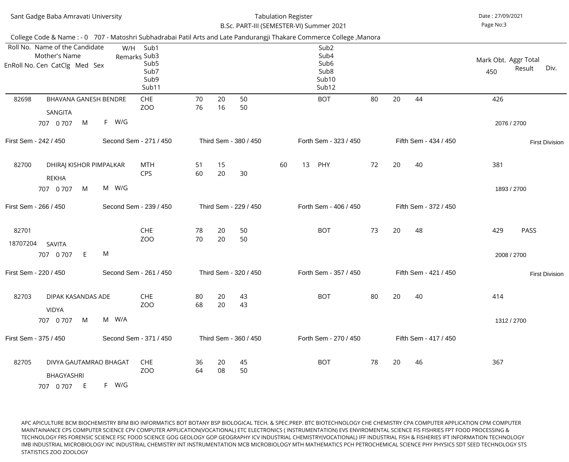|                   | Sant Gadge Baba Amravati University                                                                                                                                                                       |       |                                                                   |          |          | B.Sc. PART-III (SEMESTER-VI) Summer 2021 | <b>Tabulation Register</b> |    |                                                                                    |    |    |    |                       | Date: 27/09/2021<br>Page No:3 |                            |
|-------------------|-----------------------------------------------------------------------------------------------------------------------------------------------------------------------------------------------------------|-------|-------------------------------------------------------------------|----------|----------|------------------------------------------|----------------------------|----|------------------------------------------------------------------------------------|----|----|----|-----------------------|-------------------------------|----------------------------|
|                   | College Code & Name : - 0 707 - Matoshri Subhadrabai Patil Arts and Late Pandurangji Thakare Commerce College, Manora<br>Roll No. Name of the Candidate<br>Mother's Name<br>EnRoll No. Cen CatClg Med Sex | W/H   | Sub1<br>Remarks Sub3<br>Sub <sub>5</sub><br>Sub7<br>Sub9<br>Sub11 |          |          |                                          |                            |    | Sub <sub>2</sub><br>Sub4<br>Sub <sub>6</sub><br>Sub <sub>8</sub><br>Sub10<br>Sub12 |    |    |    |                       | Mark Obt. Aggr Total<br>450   | Div.<br>Result             |
| 82698             | <b>BHAVANA GANESH BENDRE</b><br>SANGITA<br>707 0 707<br>M                                                                                                                                                 | F W/G | <b>CHE</b><br>ZOO                                                 | 70<br>76 | 20<br>16 | 50<br>50                                 |                            |    | <b>BOT</b>                                                                         | 80 | 20 | 44 |                       | 426                           | 2076 / 2700                |
|                   | First Sem - 242 / 450                                                                                                                                                                                     |       | Second Sem - 271 / 450                                            |          |          | Third Sem - 380 / 450                    |                            |    | Forth Sem - 323 / 450                                                              |    |    |    | Fifth Sem - 434 / 450 |                               | <b>First Division</b>      |
| 82700             | DHIRAJ KISHOR PIMPALKAR<br><b>REKHA</b><br>M<br>707 0 707                                                                                                                                                 | M W/G | <b>MTH</b><br><b>CPS</b>                                          | 51<br>60 | 15<br>20 | 30                                       | 60                         | 13 | PHY                                                                                | 72 | 20 | 40 |                       | 381                           | 1893 / 2700                |
|                   | First Sem - 266 / 450                                                                                                                                                                                     |       | Second Sem - 239 / 450                                            |          |          | Third Sem - 229 / 450                    |                            |    | Forth Sem - 406 / 450                                                              |    |    |    | Fifth Sem - 372 / 450 |                               |                            |
| 82701<br>18707204 | SAVITA<br>707 0 707<br>E                                                                                                                                                                                  | M     | <b>CHE</b><br>ZOO                                                 | 78<br>70 | 20<br>20 | 50<br>50                                 |                            |    | <b>BOT</b>                                                                         | 73 | 20 | 48 |                       | 429                           | <b>PASS</b><br>2008 / 2700 |
|                   | First Sem - 220 / 450                                                                                                                                                                                     |       | Second Sem - 261 / 450                                            |          |          | Third Sem - 320 / 450                    |                            |    | Forth Sem - 357 / 450                                                              |    |    |    | Fifth Sem - 421 / 450 |                               | <b>First Division</b>      |
| 82703             | DIPAK KASANDAS ADE<br><b>VIDYA</b><br>M<br>707 0 707                                                                                                                                                      | M W/A | <b>CHE</b><br>ZO <sub>O</sub>                                     | 80<br>68 | 20<br>20 | 43<br>43                                 |                            |    | <b>BOT</b>                                                                         | 80 | 20 | 40 |                       | 414                           | 1312 / 2700                |
|                   | First Sem - 375 / 450                                                                                                                                                                                     |       | Second Sem - 371 / 450                                            |          |          | Third Sem - 360 / 450                    |                            |    | Forth Sem - 270 / 450                                                              |    |    |    | Fifth Sem - 417 / 450 |                               |                            |
| 82705             | DIVYA GAUTAMRAO BHAGAT<br><b>BHAGYASHRI</b><br>707 0 707<br>E                                                                                                                                             | F W/G | <b>CHE</b><br>ZOO                                                 | 36<br>64 | 20<br>08 | 45<br>50                                 |                            |    | <b>BOT</b>                                                                         | 78 | 20 | 46 |                       | 367                           |                            |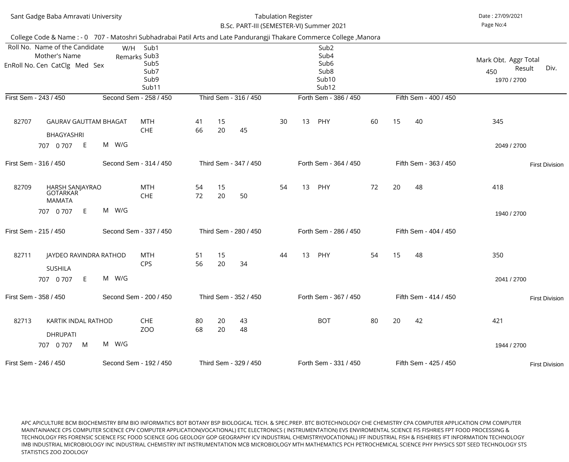| Sant Gadge Baba Amravati University |                                                                                                                       |       |                                                                   |          |          | <b>Tabulation Register</b><br>B.Sc. PART-III (SEMESTER-VI) Summer 2021 |    | Date: 27/09/2021<br>Page No:4 |                                                                                                            |    |    |                       |                                            |                       |
|-------------------------------------|-----------------------------------------------------------------------------------------------------------------------|-------|-------------------------------------------------------------------|----------|----------|------------------------------------------------------------------------|----|-------------------------------|------------------------------------------------------------------------------------------------------------|----|----|-----------------------|--------------------------------------------|-----------------------|
|                                     | College Code & Name : - 0 707 - Matoshri Subhadrabai Patil Arts and Late Pandurangji Thakare Commerce College, Manora |       |                                                                   |          |          |                                                                        |    |                               |                                                                                                            |    |    |                       |                                            |                       |
|                                     | Roll No. Name of the Candidate<br>Mother's Name<br>EnRoll No. Cen CatClg Med Sex                                      | W/H   | Sub1<br>Remarks Sub3<br>Sub <sub>5</sub><br>Sub7<br>Sub9<br>Sub11 |          |          |                                                                        |    |                               | Sub <sub>2</sub><br>Sub4<br>Sub <sub>6</sub><br>Sub <sub>8</sub><br>Sub <sub>10</sub><br>Sub <sub>12</sub> |    |    |                       | Mark Obt. Aggr Total<br>450<br>1970 / 2700 | Div.<br>Result        |
|                                     | First Sem - 243 / 450                                                                                                 |       | Second Sem - 258 / 450                                            |          |          | Third Sem - 316 / 450                                                  |    |                               | Forth Sem - 386 / 450                                                                                      |    |    | Fifth Sem - 400 / 450 |                                            |                       |
| 82707                               | <b>GAURAV GAUTTAM BHAGAT</b><br><b>BHAGYASHRI</b>                                                                     |       | <b>MTH</b><br><b>CHE</b>                                          | 41<br>66 | 15<br>20 | 45                                                                     | 30 | 13                            | PHY                                                                                                        | 60 | 15 | 40                    | 345                                        |                       |
|                                     | E<br>707 0 707                                                                                                        | M W/G |                                                                   |          |          |                                                                        |    |                               |                                                                                                            |    |    |                       | 2049 / 2700                                |                       |
|                                     | First Sem - 316 / 450                                                                                                 |       | Second Sem - 314 / 450                                            |          |          | Third Sem - 347 / 450                                                  |    |                               | Forth Sem - 364 / 450                                                                                      |    |    | Fifth Sem - 363 / 450 |                                            | <b>First Division</b> |
| 82709                               | HARSH SANJAYRAO<br>GOTARKAR<br><b>MAMATA</b>                                                                          |       | <b>MTH</b><br><b>CHE</b>                                          | 54<br>72 | 15<br>20 | 50                                                                     | 54 | 13                            | PHY                                                                                                        | 72 | 20 | 48                    | 418                                        |                       |
|                                     | E.<br>707 0 707                                                                                                       | M W/G |                                                                   |          |          |                                                                        |    |                               |                                                                                                            |    |    |                       | 1940 / 2700                                |                       |
|                                     | First Sem - 215 / 450                                                                                                 |       | Second Sem - 337 / 450                                            |          |          | Third Sem - 280 / 450                                                  |    |                               | Forth Sem - 286 / 450                                                                                      |    |    | Fifth Sem - 404 / 450 |                                            |                       |
| 82711                               | JAYDEO RAVINDRA RATHOD<br><b>SUSHILA</b>                                                                              |       | <b>MTH</b><br><b>CPS</b>                                          | 51<br>56 | 15<br>20 | 34                                                                     | 44 | 13                            | PHY                                                                                                        | 54 | 15 | 48                    | 350                                        |                       |
|                                     | 707 0 707<br>E.                                                                                                       | M W/G |                                                                   |          |          |                                                                        |    |                               |                                                                                                            |    |    |                       | 2041 / 2700                                |                       |
|                                     | First Sem - 358 / 450                                                                                                 |       | Second Sem - 200 / 450                                            |          |          | Third Sem - 352 / 450                                                  |    |                               | Forth Sem - 367 / 450                                                                                      |    |    | Fifth Sem - 414 / 450 |                                            | <b>First Division</b> |
| 82713                               | KARTIK INDAL RATHOD<br><b>DHRUPATI</b><br>M<br>707 0 707                                                              | M W/G | <b>CHE</b><br><b>ZOO</b>                                          | 80<br>68 | 20<br>20 | 43<br>48                                                               |    |                               | <b>BOT</b>                                                                                                 | 80 | 20 | 42                    | 421<br>1944 / 2700                         |                       |
|                                     |                                                                                                                       |       |                                                                   |          |          |                                                                        |    |                               |                                                                                                            |    |    |                       |                                            |                       |
|                                     | First Sem - 246 / 450<br>Second Sem - 192 / 450                                                                       |       |                                                                   |          |          | Third Sem - 329 / 450                                                  |    |                               | Forth Sem - 331 / 450                                                                                      |    |    | Fifth Sem - 425 / 450 |                                            | <b>First Division</b> |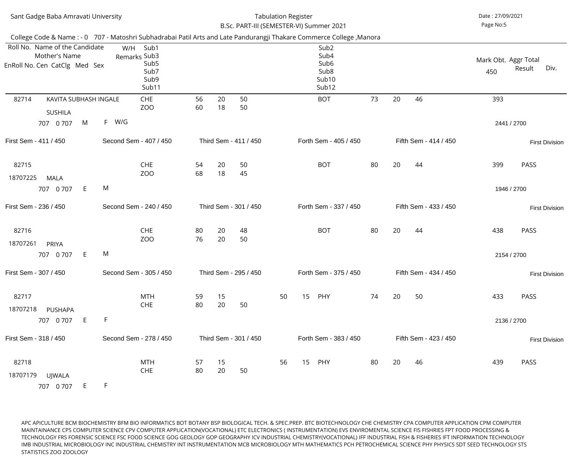| Sant Gadge Baba Amravati University                                              |                                                                                                                                                                                                   |          |          | <b>Tabulation Register</b><br>B.Sc. PART-III (SEMESTER-VI) Summer 2021 |    | Date: 27/09/2021<br>Page No:5 |                                                                                                |    |    |    |                       |                             |             |                       |
|----------------------------------------------------------------------------------|---------------------------------------------------------------------------------------------------------------------------------------------------------------------------------------------------|----------|----------|------------------------------------------------------------------------|----|-------------------------------|------------------------------------------------------------------------------------------------|----|----|----|-----------------------|-----------------------------|-------------|-----------------------|
| Roll No. Name of the Candidate<br>Mother's Name<br>EnRoll No. Cen CatClg Med Sex | College Code & Name : - 0 707 - Matoshri Subhadrabai Patil Arts and Late Pandurangji Thakare Commerce College, Manora<br>Sub1<br>W/H<br>Remarks Sub3<br>Sub <sub>5</sub><br>Sub7<br>Sub9<br>Sub11 |          |          |                                                                        |    |                               | Sub <sub>2</sub><br>Sub4<br>Sub <sub>6</sub><br>Sub <sub>8</sub><br>Sub <sub>10</sub><br>Sub12 |    |    |    |                       | Mark Obt. Aggr Total<br>450 | Result      | Div.                  |
| 82714<br>KAVITA SUBHASH INGALE<br><b>SUSHILA</b>                                 | <b>CHE</b><br>ZOO                                                                                                                                                                                 | 56<br>60 | 20<br>18 | 50<br>50                                                               |    |                               | <b>BOT</b>                                                                                     | 73 | 20 | 46 |                       | 393                         |             |                       |
| M<br>707 0 707                                                                   | F W/G                                                                                                                                                                                             |          |          |                                                                        |    |                               |                                                                                                |    |    |    |                       |                             | 2441 / 2700 |                       |
| First Sem - 411 / 450                                                            | Second Sem - 407 / 450                                                                                                                                                                            |          |          | Third Sem - 411 / 450                                                  |    |                               | Forth Sem - 405 / 450                                                                          |    |    |    | Fifth Sem - 414 / 450 |                             |             | <b>First Division</b> |
| 82715<br>18707225<br><b>MALA</b>                                                 | <b>CHE</b><br>ZO <sub>O</sub>                                                                                                                                                                     | 54<br>68 | 20<br>18 | 50<br>45                                                               |    |                               | <b>BOT</b>                                                                                     | 80 | 20 | 44 |                       | 399                         | <b>PASS</b> |                       |
| E<br>707 0 707                                                                   | M                                                                                                                                                                                                 |          |          |                                                                        |    |                               |                                                                                                |    |    |    |                       |                             | 1946 / 2700 |                       |
| First Sem - 236 / 450                                                            | Second Sem - 240 / 450                                                                                                                                                                            |          |          | Third Sem - 301 / 450                                                  |    |                               | Forth Sem - 337 / 450                                                                          |    |    |    | Fifth Sem - 433 / 450 |                             |             | <b>First Division</b> |
| 82716<br>18707261<br><b>PRIYA</b>                                                | <b>CHE</b><br>ZO <sub>O</sub>                                                                                                                                                                     | 80<br>76 | 20<br>20 | 48<br>50                                                               |    |                               | <b>BOT</b>                                                                                     | 80 | 20 | 44 |                       | 438                         | <b>PASS</b> |                       |
| 707 0 707<br>E.                                                                  | M                                                                                                                                                                                                 |          |          |                                                                        |    |                               |                                                                                                |    |    |    |                       |                             | 2154 / 2700 |                       |
| First Sem - 307 / 450                                                            | Second Sem - 305 / 450                                                                                                                                                                            |          |          | Third Sem - 295 / 450                                                  |    |                               | Forth Sem - 375 / 450                                                                          |    |    |    | Fifth Sem - 434 / 450 |                             |             | <b>First Division</b> |
| 82717<br>18707218<br><b>PUSHAPA</b>                                              | <b>MTH</b><br><b>CHE</b>                                                                                                                                                                          | 59<br>80 | 15<br>20 | 50                                                                     | 50 | 15                            | PHY                                                                                            | 74 | 20 | 50 |                       | 433                         | <b>PASS</b> |                       |
| E<br>707 0 707                                                                   | $\mathsf F$                                                                                                                                                                                       |          |          |                                                                        |    |                               |                                                                                                |    |    |    |                       |                             | 2136 / 2700 |                       |
| First Sem - 318 / 450                                                            | Second Sem - 278 / 450                                                                                                                                                                            |          |          | Third Sem - 301 / 450                                                  |    |                               | Forth Sem - 383 / 450                                                                          |    |    |    | Fifth Sem - 423 / 450 |                             |             | <b>First Division</b> |
| 82718<br>18707179<br>UJWALA<br>E.<br>707 0 707                                   | <b>MTH</b><br><b>CHE</b><br>F.                                                                                                                                                                    | 57<br>80 | 15<br>20 | 50                                                                     | 56 | 15                            | PHY                                                                                            | 80 | 20 | 46 |                       | 439                         | <b>PASS</b> |                       |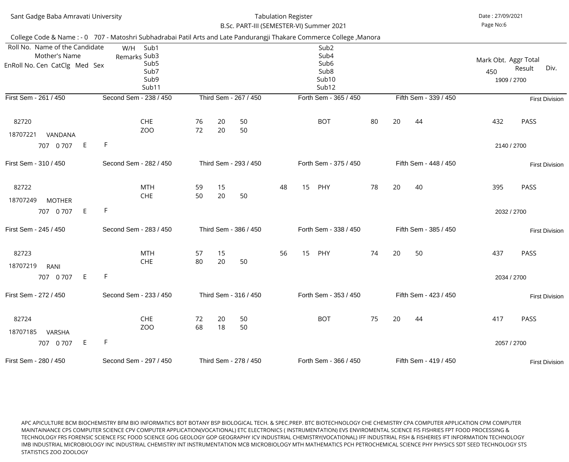| Sant Gadge Baba Amravati University                                              |                                                                                                                       |                       | <b>Tabulation Register</b><br>B.Sc. PART-III (SEMESTER-VI) Summer 2021 |                       | Date: 27/09/2021<br>Page No:6 |                       |                                                                                                            |                       |                       |                       |                                            |                       |  |  |
|----------------------------------------------------------------------------------|-----------------------------------------------------------------------------------------------------------------------|-----------------------|------------------------------------------------------------------------|-----------------------|-------------------------------|-----------------------|------------------------------------------------------------------------------------------------------------|-----------------------|-----------------------|-----------------------|--------------------------------------------|-----------------------|--|--|
|                                                                                  | College Code & Name : - 0 707 - Matoshri Subhadrabai Patil Arts and Late Pandurangji Thakare Commerce College, Manora |                       |                                                                        |                       |                               |                       |                                                                                                            |                       |                       |                       |                                            |                       |  |  |
| Roll No. Name of the Candidate<br>Mother's Name<br>EnRoll No. Cen CatClg Med Sex | Sub1<br>W/H<br>Remarks Sub3<br>Sub <sub>5</sub><br>Sub7<br>Sub9<br>Sub11                                              |                       |                                                                        |                       |                               |                       | Sub <sub>2</sub><br>Sub4<br>Sub <sub>6</sub><br>Sub <sub>8</sub><br>Sub <sub>10</sub><br>Sub <sub>12</sub> |                       |                       |                       | Mark Obt. Aggr Total<br>450<br>1909 / 2700 | Div.<br>Result        |  |  |
| First Sem - 261 / 450                                                            | Second Sem - 238 / 450                                                                                                |                       |                                                                        | Third Sem - 267 / 450 |                               |                       | Forth Sem - 365 / 450                                                                                      |                       |                       | Fifth Sem - 339 / 450 |                                            | <b>First Division</b> |  |  |
| 82720<br>18707221<br>VANDANA                                                     | <b>CHE</b><br>ZO <sub>O</sub>                                                                                         | 76<br>72              | 20<br>20                                                               | 50<br>50              |                               |                       | <b>BOT</b>                                                                                                 | 80                    | 20                    | 44                    | 432                                        | <b>PASS</b>           |  |  |
| E<br>707 0 707                                                                   | F                                                                                                                     |                       |                                                                        |                       |                               |                       |                                                                                                            |                       |                       |                       | 2140 / 2700                                |                       |  |  |
| First Sem - 310 / 450                                                            | Second Sem - 282 / 450                                                                                                | Third Sem - 293 / 450 |                                                                        |                       | Forth Sem - 375 / 450         |                       |                                                                                                            |                       | Fifth Sem - 448 / 450 |                       | <b>First Division</b>                      |                       |  |  |
| 82722<br>18707249<br><b>MOTHER</b>                                               | <b>MTH</b><br><b>CHE</b>                                                                                              | 59<br>50              | 15<br>20                                                               | 50                    | 48                            | 15                    | PHY                                                                                                        | 78                    | 20                    | 40                    | 395                                        | <b>PASS</b>           |  |  |
| E<br>707 0 707                                                                   | F                                                                                                                     |                       |                                                                        |                       |                               |                       |                                                                                                            |                       |                       |                       | 2032 / 2700                                |                       |  |  |
| First Sem - 245 / 450                                                            | Second Sem - 283 / 450                                                                                                |                       |                                                                        | Third Sem - 386 / 450 |                               |                       | Forth Sem - 338 / 450                                                                                      |                       |                       | Fifth Sem - 385 / 450 |                                            | <b>First Division</b> |  |  |
| 82723<br>18707219<br><b>RANI</b>                                                 | <b>MTH</b><br><b>CHE</b>                                                                                              | 57<br>80              | 15<br>20                                                               | 50                    | 56                            | 15                    | PHY                                                                                                        | 74                    | 20                    | 50                    | 437                                        | PASS                  |  |  |
| E<br>707 0 707                                                                   | F                                                                                                                     |                       |                                                                        |                       |                               |                       |                                                                                                            |                       |                       |                       | 2034 / 2700                                |                       |  |  |
| First Sem - 272 / 450                                                            | Second Sem - 233 / 450                                                                                                |                       |                                                                        | Third Sem - 316 / 450 |                               |                       | Forth Sem - 353 / 450                                                                                      |                       |                       | Fifth Sem - 423 / 450 |                                            | <b>First Division</b> |  |  |
| 82724<br>18707185<br><b>VARSHA</b><br>E.<br>707 0 707                            | <b>CHE</b><br>ZO <sub>O</sub><br>F                                                                                    | 72<br>68              | 20<br>18                                                               | 50<br>50              |                               |                       | <b>BOT</b>                                                                                                 | 75                    | 20                    | 44                    | 417                                        | PASS                  |  |  |
|                                                                                  |                                                                                                                       |                       |                                                                        |                       |                               |                       |                                                                                                            |                       |                       |                       |                                            | 2057 / 2700           |  |  |
| First Sem - 280 / 450                                                            | Second Sem - 297 / 450                                                                                                |                       | Third Sem - 278 / 450                                                  |                       |                               | Forth Sem - 366 / 450 | Fifth Sem - 419 / 450                                                                                      | <b>First Division</b> |                       |                       |                                            |                       |  |  |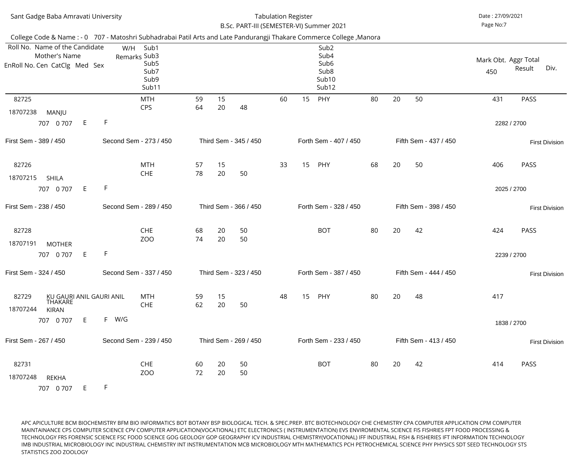| Sant Gadge Baba Amravati University                                                                                   |                        |                                                   | <b>Tabulation Register</b><br>B.Sc. PART-III (SEMESTER-VI) Summer 2021 |          | Date: 27/09/2021<br>Page No:7 |    |    |                                                                                    |    |    |                       |                             |                       |
|-----------------------------------------------------------------------------------------------------------------------|------------------------|---------------------------------------------------|------------------------------------------------------------------------|----------|-------------------------------|----|----|------------------------------------------------------------------------------------|----|----|-----------------------|-----------------------------|-----------------------|
| College Code & Name : - 0 707 - Matoshri Subhadrabai Patil Arts and Late Pandurangji Thakare Commerce College, Manora |                        |                                                   |                                                                        |          |                               |    |    |                                                                                    |    |    |                       |                             |                       |
| Roll No. Name of the Candidate<br>Mother's Name<br>EnRoll No. Cen CatClg Med Sex                                      | W/H<br>Remarks Sub3    | Sub1<br>Sub <sub>5</sub><br>Sub7<br>Sub9<br>Sub11 |                                                                        |          |                               |    |    | Sub <sub>2</sub><br>Sub4<br>Sub <sub>6</sub><br>Sub <sub>8</sub><br>Sub10<br>Sub12 |    |    |                       | Mark Obt. Aggr Total<br>450 | Div.<br>Result        |
| 82725<br>18707238<br>MANJU                                                                                            |                        | <b>MTH</b><br><b>CPS</b>                          | 59<br>64                                                               | 15<br>20 | 48                            | 60 | 15 | PHY                                                                                | 80 | 20 | 50                    | 431                         | <b>PASS</b>           |
| E<br>707 0 707                                                                                                        | F.                     |                                                   |                                                                        |          |                               |    |    |                                                                                    |    |    |                       |                             | 2282 / 2700           |
| First Sem - 389 / 450                                                                                                 | Second Sem - 273 / 450 |                                                   | Third Sem - 345 / 450                                                  |          |                               |    |    | Forth Sem - 407 / 450                                                              |    |    | Fifth Sem - 437 / 450 |                             | <b>First Division</b> |
| 82726<br>18707215<br><b>SHILA</b><br>E<br>707 0 707                                                                   | F.                     | <b>MTH</b><br><b>CHE</b>                          | 57<br>78                                                               | 15<br>20 | 50                            | 33 | 15 | PHY                                                                                | 68 | 20 | 50                    | 406                         | PASS<br>2025 / 2700   |
| First Sem - 238 / 450                                                                                                 | Second Sem - 289 / 450 |                                                   |                                                                        |          | Third Sem - 366 / 450         |    |    | Forth Sem - 328 / 450                                                              |    |    | Fifth Sem - 398 / 450 |                             | <b>First Division</b> |
| 82728<br>18707191<br><b>MOTHER</b>                                                                                    | -F                     | <b>CHE</b><br>ZO <sub>O</sub>                     | 68<br>74                                                               | 20<br>20 | 50<br>50                      |    |    | <b>BOT</b>                                                                         | 80 | 20 | 42                    | 424                         | <b>PASS</b>           |
| 707 0 707 E                                                                                                           |                        |                                                   |                                                                        |          |                               |    |    |                                                                                    |    |    |                       |                             | 2239 / 2700           |
| First Sem - 324 / 450                                                                                                 | Second Sem - 337 / 450 |                                                   |                                                                        |          | Third Sem - 323 / 450         |    |    | Forth Sem - 387 / 450                                                              |    |    | Fifth Sem - 444 / 450 |                             | <b>First Division</b> |
| 82729<br>KU GAURI ANIL GAURI ANIL<br><b>THAKARE</b><br>18707244<br><b>KIRAN</b>                                       |                        | <b>MTH</b><br><b>CHE</b>                          | 59<br>62                                                               | 15<br>20 | 50                            | 48 | 15 | PHY                                                                                | 80 | 20 | 48                    | 417                         |                       |
| E<br>707 0 707                                                                                                        | F W/G                  |                                                   |                                                                        |          |                               |    |    |                                                                                    |    |    |                       |                             | 1838 / 2700           |
| First Sem - 267 / 450                                                                                                 | Second Sem - 239 / 450 |                                                   |                                                                        |          | Third Sem - 269 / 450         |    |    | Forth Sem - 233 / 450                                                              |    |    | Fifth Sem - 413 / 450 |                             | <b>First Division</b> |
| 82731<br>18707248<br><b>REKHA</b><br>707 0 707<br>E.                                                                  | F.                     | <b>CHE</b><br>ZOO                                 | 60<br>72                                                               | 20<br>20 | 50<br>50                      |    |    | <b>BOT</b>                                                                         | 80 | 20 | 42                    | 414                         | PASS                  |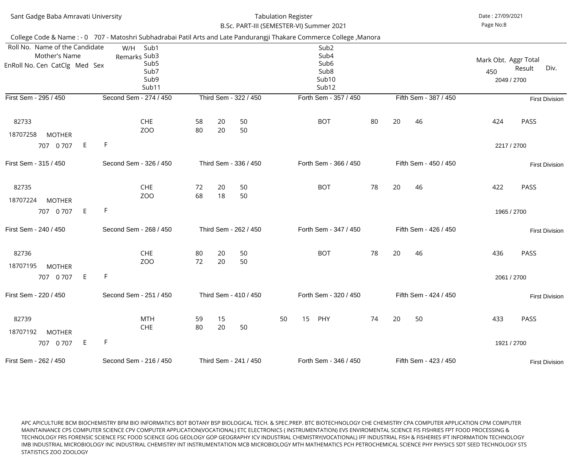| Sant Gadge Baba Amravati University                                                                                   |         |                                                                          | <b>Tabulation Register</b><br>B.Sc. PART-III (SEMESTER-VI) Summer 2021 |          | Date: 27/09/2021<br>Page No:8 |                       |                                                                                                |    |    |                       |                                            |                       |
|-----------------------------------------------------------------------------------------------------------------------|---------|--------------------------------------------------------------------------|------------------------------------------------------------------------|----------|-------------------------------|-----------------------|------------------------------------------------------------------------------------------------|----|----|-----------------------|--------------------------------------------|-----------------------|
| College Code & Name : - 0 707 - Matoshri Subhadrabai Patil Arts and Late Pandurangji Thakare Commerce College, Manora |         |                                                                          |                                                                        |          |                               |                       |                                                                                                |    |    |                       |                                            |                       |
| Roll No. Name of the Candidate<br>Mother's Name<br>EnRoll No. Cen CatClg Med Sex                                      |         | W/H<br>Sub1<br>Remarks Sub3<br>Sub <sub>5</sub><br>Sub7<br>Sub9<br>Sub11 |                                                                        |          |                               |                       | Sub <sub>2</sub><br>Sub4<br>Sub <sub>6</sub><br>Sub <sub>8</sub><br>Sub <sub>10</sub><br>Sub12 |    |    |                       | Mark Obt. Aggr Total<br>450<br>2049 / 2700 | Div.<br>Result        |
| First Sem - 295 / 450                                                                                                 |         | Second Sem - 274 / 450                                                   |                                                                        |          | Third Sem - 322 / 450         |                       | Forth Sem - 357 / 450                                                                          |    |    | Fifth Sem - 387 / 450 |                                            | <b>First Division</b> |
| 82733<br>18707258<br><b>MOTHER</b>                                                                                    |         | <b>CHE</b><br>ZO <sub>O</sub>                                            | 58<br>80                                                               | 20<br>20 | 50<br>50                      |                       | <b>BOT</b>                                                                                     | 80 | 20 | 46                    | 424                                        | <b>PASS</b>           |
| 707 0 707                                                                                                             | F<br>E  |                                                                          |                                                                        |          |                               |                       |                                                                                                |    |    |                       | 2217 / 2700                                |                       |
| First Sem - 315 / 450                                                                                                 |         | Second Sem - 326 / 450                                                   | Third Sem - 336 / 450                                                  |          |                               | Forth Sem - 366 / 450 |                                                                                                |    |    | Fifth Sem - 450 / 450 |                                            | <b>First Division</b> |
| 82735<br>18707224<br><b>MOTHER</b>                                                                                    |         | <b>CHE</b><br>ZO <sub>O</sub>                                            | 72<br>68                                                               | 20<br>18 | 50<br>50                      |                       | <b>BOT</b>                                                                                     | 78 | 20 | 46                    | 422                                        | PASS                  |
| 707 0 707                                                                                                             | F<br>E. |                                                                          |                                                                        |          |                               |                       |                                                                                                |    |    |                       | 1965 / 2700                                |                       |
| First Sem - 240 / 450                                                                                                 |         | Second Sem - 268 / 450                                                   |                                                                        |          | Third Sem - 262 / 450         |                       | Forth Sem - 347 / 450                                                                          |    |    | Fifth Sem - 426 / 450 |                                            | <b>First Division</b> |
| 82736<br>18707195<br><b>MOTHER</b>                                                                                    |         | <b>CHE</b><br>ZO <sub>O</sub>                                            | 80<br>72                                                               | 20<br>20 | 50<br>50                      |                       | <b>BOT</b>                                                                                     | 78 | 20 | 46                    | 436                                        | <b>PASS</b>           |
| 707 0 707                                                                                                             | F<br>E  |                                                                          |                                                                        |          |                               |                       |                                                                                                |    |    |                       | 2061 / 2700                                |                       |
| First Sem - 220 / 450                                                                                                 |         | Second Sem - 251 / 450                                                   | Third Sem - 410 / 450                                                  |          |                               |                       | Forth Sem - 320 / 450                                                                          |    |    | Fifth Sem - 424 / 450 |                                            | <b>First Division</b> |
| 82739<br>18707192<br><b>MOTHER</b>                                                                                    |         | <b>MTH</b><br><b>CHE</b>                                                 | 59<br>80                                                               | 15<br>20 | 50                            | 50                    | 15<br>PHY                                                                                      | 74 | 20 | 50                    | 433                                        | <b>PASS</b>           |
| 707 0 707                                                                                                             | F<br>E. |                                                                          |                                                                        |          |                               |                       |                                                                                                |    |    | 1921 / 2700           |                                            |                       |
| First Sem - 262 / 450                                                                                                 |         | Second Sem - 216 / 450                                                   |                                                                        |          | Third Sem - 241 / 450         |                       | Forth Sem - 346 / 450                                                                          |    |    | Fifth Sem - 423 / 450 |                                            | <b>First Division</b> |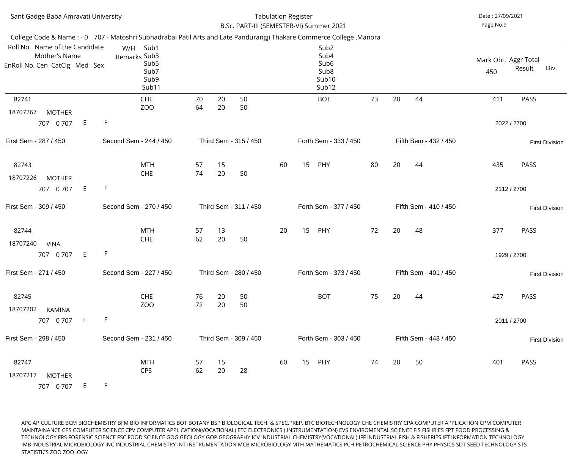| Sant Gadge Baba Amravati University                                                                                                                          | <b>Tabulation Register</b><br>B.Sc. PART-III (SEMESTER-VI) Summer 2021                                                | Date: 27/09/2021<br>Page No:9                  |
|--------------------------------------------------------------------------------------------------------------------------------------------------------------|-----------------------------------------------------------------------------------------------------------------------|------------------------------------------------|
|                                                                                                                                                              | College Code & Name : - 0 707 - Matoshri Subhadrabai Patil Arts and Late Pandurangji Thakare Commerce College, Manora |                                                |
| Roll No. Name of the Candidate<br>Sub1<br>W/H<br>Mother's Name<br>Remarks Sub3<br>Sub <sub>5</sub><br>EnRoll No. Cen CatClg Med Sex<br>Sub7<br>Sub9<br>Sub11 | Sub <sub>2</sub><br>Sub4<br>Sub <sub>6</sub><br>Sub <sub>8</sub><br>Sub10<br>Sub12                                    | Mark Obt. Aggr Total<br>Div.<br>Result<br>450  |
| 82741<br><b>CHE</b>                                                                                                                                          | 20<br>73<br>20<br>50<br>70<br><b>BOT</b>                                                                              | 44<br>411<br><b>PASS</b>                       |
| ZO <sub>O</sub><br>18707267<br><b>MOTHER</b>                                                                                                                 | 20<br>50<br>64                                                                                                        |                                                |
| F<br>E<br>707 0 707                                                                                                                                          |                                                                                                                       | 2022 / 2700                                    |
| Second Sem - 244 / 450<br>First Sem - 287 / 450                                                                                                              | Third Sem - 315 / 450<br>Forth Sem - 333 / 450                                                                        | Fifth Sem - 432 / 450<br><b>First Division</b> |
| <b>MTH</b><br>82743                                                                                                                                          | 15<br>20<br>57<br>15<br>PHY<br>80<br>60                                                                               | 435<br>PASS<br>44                              |
| <b>CHE</b><br>18707226<br><b>MOTHER</b>                                                                                                                      | 74<br>20<br>50                                                                                                        |                                                |
| F<br>$E_{\perp}$<br>707 0 707                                                                                                                                |                                                                                                                       | 2112 / 2700                                    |
| Second Sem - 270 / 450<br>First Sem - 309 / 450                                                                                                              | Third Sem - 311 / 450<br>Forth Sem - 377 / 450                                                                        | Fifth Sem - 410 / 450<br><b>First Division</b> |
| 82744<br>MTH                                                                                                                                                 | 20<br>13<br>15<br>72<br>57<br>20<br>PHY                                                                               | 48<br>377<br><b>PASS</b>                       |
| <b>CHE</b><br>18707240<br><b>VINA</b>                                                                                                                        | 62<br>20<br>50                                                                                                        |                                                |
| F<br>E.<br>707<br>0 707                                                                                                                                      |                                                                                                                       | 1929 / 2700                                    |
| First Sem - 271 / 450<br>Second Sem - 227 / 450                                                                                                              | Third Sem - 280 / 450<br>Forth Sem - 373 / 450                                                                        | Fifth Sem - 401 / 450<br><b>First Division</b> |
| <b>CHE</b><br>82745                                                                                                                                          | 75<br>20<br><b>BOT</b><br>20<br>50<br>76                                                                              | 427<br>PASS<br>44                              |
| ZOO<br>18707202<br><b>KAMINA</b>                                                                                                                             | 20<br>72<br>50                                                                                                        |                                                |
| F<br>$E_{\parallel}$<br>707 0 707                                                                                                                            |                                                                                                                       | 2011 / 2700                                    |
| First Sem - 298 / 450<br>Second Sem - 231 / 450                                                                                                              | Third Sem - 309 / 450<br>Forth Sem - 303 / 450                                                                        | Fifth Sem - 443 / 450<br><b>First Division</b> |
| 82747<br><b>MTH</b>                                                                                                                                          | 20<br>15 PHY<br>74<br>57<br>15<br>60                                                                                  | 50<br>401<br><b>PASS</b>                       |
| <b>CPS</b><br>18707217<br><b>MOTHER</b>                                                                                                                      | 62<br>20<br>28                                                                                                        |                                                |
| F<br>E<br>707 0 707                                                                                                                                          |                                                                                                                       |                                                |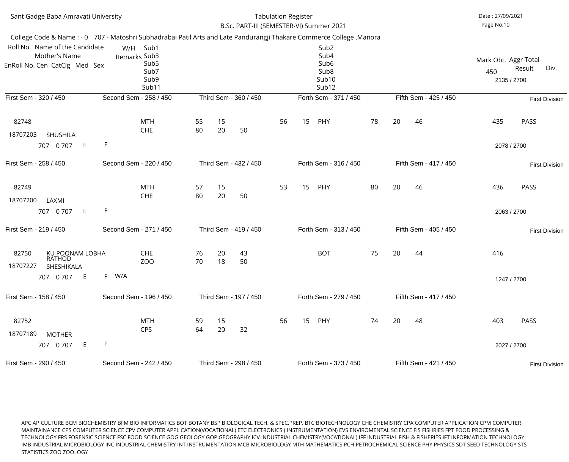| Sant Gadge Baba Amravati University                                              |                                                                          |                                  | <b>Tabulation Register</b><br>B.Sc. PART-III (SEMESTER-VI) Summer 2021                                                |                       | Date: 27/09/2021<br>Page No:10                               |  |  |
|----------------------------------------------------------------------------------|--------------------------------------------------------------------------|----------------------------------|-----------------------------------------------------------------------------------------------------------------------|-----------------------|--------------------------------------------------------------|--|--|
|                                                                                  |                                                                          |                                  | College Code & Name : - 0 707 - Matoshri Subhadrabai Patil Arts and Late Pandurangji Thakare Commerce College, Manora |                       |                                                              |  |  |
| Roll No. Name of the Candidate<br>Mother's Name<br>EnRoll No. Cen CatClg Med Sex | W/H<br>Sub1<br>Remarks Sub3<br>Sub <sub>5</sub><br>Sub7<br>Sub9<br>Sub11 |                                  | Sub <sub>2</sub><br>Sub4<br>Sub <sub>6</sub><br>Sub <sub>8</sub><br>Sub <sub>10</sub><br>Sub <sub>12</sub>            |                       | Mark Obt. Aggr Total<br>Result<br>Div.<br>450<br>2135 / 2700 |  |  |
| First Sem - 320 / 450                                                            | Second Sem - 258 / 450                                                   | Third Sem - 360 / 450            | Forth Sem - 371 / 450                                                                                                 | Fifth Sem - 425 / 450 | <b>First Division</b>                                        |  |  |
| 82748<br>18707203<br><b>SHUSHILA</b>                                             | <b>MTH</b><br><b>CHE</b>                                                 | 15<br>55<br>80<br>20<br>50       | 56<br>15<br>PHY                                                                                                       | 78<br>20<br>46        | 435<br><b>PASS</b>                                           |  |  |
| E.<br>707 0 707                                                                  | F.                                                                       |                                  |                                                                                                                       |                       | 2078 / 2700                                                  |  |  |
| First Sem - 258 / 450                                                            | Second Sem - 220 / 450                                                   | Third Sem - 432 / 450            | Forth Sem - 316 / 450                                                                                                 | Fifth Sem - 417 / 450 | <b>First Division</b>                                        |  |  |
| 82749<br>18707200<br>LAXMI                                                       | <b>MTH</b><br><b>CHE</b>                                                 | 15<br>57<br>80<br>20<br>50       | 15<br>53<br>PHY                                                                                                       | 80<br>20<br>46        | 436<br><b>PASS</b>                                           |  |  |
| E.<br>707 0 707                                                                  | F                                                                        |                                  |                                                                                                                       |                       | 2063 / 2700                                                  |  |  |
| First Sem - 219 / 450                                                            | Second Sem - 271 / 450                                                   | Third Sem - 419 / 450            | Forth Sem - 313 / 450                                                                                                 | Fifth Sem - 405 / 450 | <b>First Division</b>                                        |  |  |
| 82750<br><b>KU POONAM LOBHA</b><br><b>RATHOD</b><br>18707227<br>SHESHIKALA       | <b>CHE</b><br>ZO <sub>O</sub>                                            | 76<br>20<br>43<br>70<br>50<br>18 | <b>BOT</b>                                                                                                            | 75<br>20<br>44        | 416                                                          |  |  |
| E.<br>707 0 707                                                                  | W/A<br>F.                                                                |                                  |                                                                                                                       |                       | 1247 / 2700                                                  |  |  |
| First Sem - 158 / 450                                                            | Second Sem - 196 / 450                                                   | Third Sem - 197 / 450            | Forth Sem - 279 / 450                                                                                                 | Fifth Sem - 417 / 450 |                                                              |  |  |
| 82752<br>18707189<br><b>MOTHER</b><br>E.<br>707 0 707                            | <b>MTH</b><br><b>CPS</b><br>F                                            | 59<br>15<br>64<br>20<br>32       | 15<br>56<br>PHY                                                                                                       | 74<br>20<br>48        | 403<br>PASS<br>2027 / 2700                                   |  |  |
| First Sem - 290 / 450                                                            | Second Sem - 242 / 450                                                   | Third Sem - 298 / 450            | Forth Sem - 373 / 450                                                                                                 | Fifth Sem - 421 / 450 | <b>First Division</b>                                        |  |  |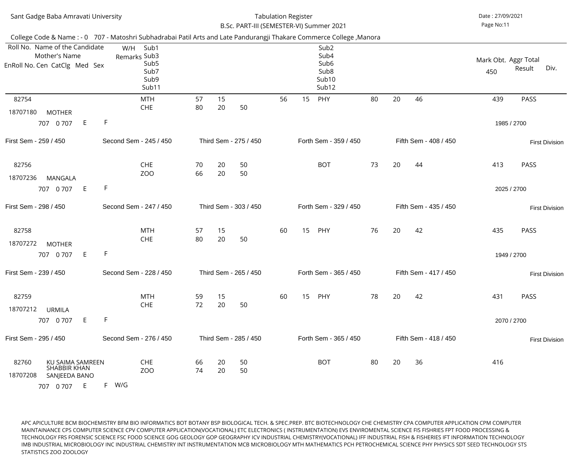| Sant Gadge Baba Amravati University                                                                                                                                                                       |                                                                          |                                  | <b>Tabulation Register</b><br>B.Sc. PART-III (SEMESTER-VI) Summer 2021 |                       | Date: 27/09/2021<br>Page No:11 |    |                                                                                                |    |    |                       |     |                                        |
|-----------------------------------------------------------------------------------------------------------------------------------------------------------------------------------------------------------|--------------------------------------------------------------------------|----------------------------------|------------------------------------------------------------------------|-----------------------|--------------------------------|----|------------------------------------------------------------------------------------------------|----|----|-----------------------|-----|----------------------------------------|
| College Code & Name : - 0 707 - Matoshri Subhadrabai Patil Arts and Late Pandurangji Thakare Commerce College, Manora<br>Roll No. Name of the Candidate<br>Mother's Name<br>EnRoll No. Cen CatClg Med Sex | Sub1<br>W/H<br>Remarks Sub3<br>Sub <sub>5</sub><br>Sub7<br>Sub9<br>Sub11 |                                  |                                                                        |                       |                                |    | Sub <sub>2</sub><br>Sub4<br>Sub <sub>6</sub><br>Sub <sub>8</sub><br>Sub <sub>10</sub><br>Sub12 |    |    |                       | 450 | Mark Obt. Aggr Total<br>Div.<br>Result |
| 82754<br>18707180<br><b>MOTHER</b><br>E<br>707 0 707                                                                                                                                                      | <b>MTH</b><br><b>CHE</b><br>F                                            | 57<br>80                         | 15<br>20                                                               | 50                    | 56                             | 15 | PHY                                                                                            | 80 | 20 | 46                    | 439 | <b>PASS</b><br>1985 / 2700             |
| First Sem - 259 / 450                                                                                                                                                                                     | Second Sem - 245 / 450                                                   |                                  |                                                                        | Third Sem - 275 / 450 |                                |    | Forth Sem - 359 / 450                                                                          |    |    | Fifth Sem - 408 / 450 |     | <b>First Division</b>                  |
| 82756<br>18707236<br><b>MANGALA</b><br>E<br>707 0 707                                                                                                                                                     | <b>CHE</b><br>ZO <sub>O</sub><br>$\mathsf F$                             | 70<br>66                         | 20<br>20                                                               | 50<br>50              |                                |    | <b>BOT</b>                                                                                     | 73 | 20 | 44                    | 413 | PASS<br>2025 / 2700                    |
| First Sem - 298 / 450                                                                                                                                                                                     | Second Sem - 247 / 450                                                   |                                  |                                                                        | Third Sem - 303 / 450 |                                |    | Forth Sem - 329 / 450                                                                          |    |    | Fifth Sem - 435 / 450 |     | <b>First Division</b>                  |
| 82758<br>18707272<br><b>MOTHER</b><br>E<br>707 0 707                                                                                                                                                      | <b>MTH</b><br><b>CHE</b><br>F                                            | 57<br>80                         | 15<br>20                                                               | 50                    | 60                             | 15 | PHY                                                                                            | 76 | 20 | 42                    | 435 | <b>PASS</b><br>1949 / 2700             |
| First Sem - 239 / 450                                                                                                                                                                                     | Second Sem - 228 / 450                                                   |                                  |                                                                        | Third Sem - 265 / 450 |                                |    | Forth Sem - 365 / 450                                                                          |    |    | Fifth Sem - 417 / 450 |     | <b>First Division</b>                  |
| 82759<br>18707212<br><b>URMILA</b><br>E<br>707 0 707                                                                                                                                                      | <b>MTH</b><br><b>CHE</b><br>F                                            | 59<br>72                         | 15<br>20                                                               | 50                    | 60                             | 15 | PHY                                                                                            | 78 | 20 | 42                    | 431 | <b>PASS</b><br>2070 / 2700             |
| First Sem - 295 / 450                                                                                                                                                                                     | Second Sem - 276 / 450                                                   |                                  |                                                                        | Third Sem - 285 / 450 |                                |    | Forth Sem - 365 / 450                                                                          |    |    | Fifth Sem - 418 / 450 |     | <b>First Division</b>                  |
| <b>KU SAIMA SAMREEN</b><br>82760<br><b>SHABBIR KHAN</b><br>18707208<br>SANJEEDA BANO<br>E.<br>707 0 707                                                                                                   | <b>CHE</b><br>ZO <sub>O</sub><br>F W/G                                   | 50<br>66<br>20<br>74<br>20<br>50 |                                                                        |                       |                                |    | <b>BOT</b>                                                                                     | 80 | 20 | 36                    | 416 |                                        |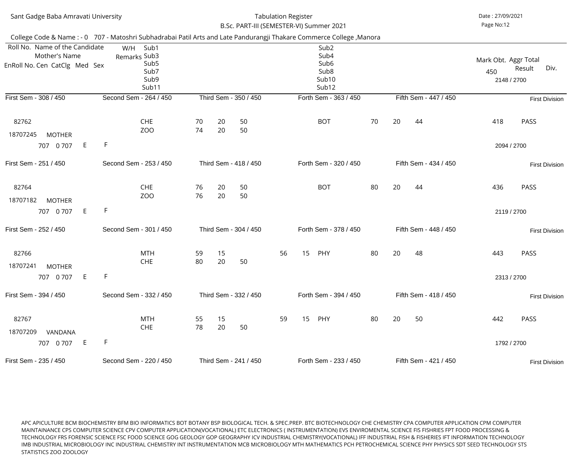| Sant Gadge Baba Amravati University                                              |                                                                                                                       |                       | <b>Tabulation Register</b><br>B.Sc. PART-III (SEMESTER-VI) Summer 2021 |                                                                                                | Date: 27/09/2021<br>Page No:12 |                       |                                            |                       |  |
|----------------------------------------------------------------------------------|-----------------------------------------------------------------------------------------------------------------------|-----------------------|------------------------------------------------------------------------|------------------------------------------------------------------------------------------------|--------------------------------|-----------------------|--------------------------------------------|-----------------------|--|
|                                                                                  | College Code & Name : - 0 707 - Matoshri Subhadrabai Patil Arts and Late Pandurangji Thakare Commerce College, Manora |                       |                                                                        |                                                                                                |                                |                       |                                            |                       |  |
| Roll No. Name of the Candidate<br>Mother's Name<br>EnRoll No. Cen CatClg Med Sex | W/H<br>Sub1<br>Remarks Sub3<br>Sub <sub>5</sub><br>Sub7<br>Sub9<br>Sub11                                              |                       |                                                                        | Sub <sub>2</sub><br>Sub4<br>Sub <sub>6</sub><br>Sub <sub>8</sub><br>Sub <sub>10</sub><br>Sub12 |                                |                       | Mark Obt. Aggr Total<br>450<br>2148 / 2700 | Div.<br>Result        |  |
| First Sem - 308 / 450                                                            | Second Sem - 264 / 450                                                                                                | Third Sem - 350 / 450 |                                                                        | Forth Sem - 363 / 450                                                                          |                                | Fifth Sem - 447 / 450 |                                            | <b>First Division</b> |  |
| 82762<br>18707245<br><b>MOTHER</b>                                               | <b>CHE</b><br>ZO <sub>O</sub>                                                                                         | 20<br>70<br>74<br>20  | 50<br>50                                                               | <b>BOT</b>                                                                                     | 70                             | 20<br>44              | 418                                        | <b>PASS</b>           |  |
| E<br>707 0 707                                                                   | F                                                                                                                     |                       |                                                                        |                                                                                                |                                |                       | 2094 / 2700                                |                       |  |
| First Sem - 251 / 450                                                            | Second Sem - 253 / 450                                                                                                | Third Sem - 418 / 450 |                                                                        | Forth Sem - 320 / 450                                                                          |                                | Fifth Sem - 434 / 450 |                                            | <b>First Division</b> |  |
| 82764<br>18707182<br><b>MOTHER</b>                                               | <b>CHE</b><br>ZO <sub>O</sub>                                                                                         | 20<br>76<br>20<br>76  | 50<br>50                                                               | <b>BOT</b>                                                                                     | 80                             | 20<br>44              | 436                                        | <b>PASS</b>           |  |
| E<br>707 0 707                                                                   | $\mathsf{F}$                                                                                                          |                       |                                                                        |                                                                                                |                                |                       | 2119 / 2700                                |                       |  |
| First Sem - 252 / 450                                                            | Second Sem - 301 / 450                                                                                                | Third Sem - 304 / 450 |                                                                        | Forth Sem - 378 / 450                                                                          |                                | Fifth Sem - 448 / 450 |                                            | <b>First Division</b> |  |
| 82766<br>18707241<br><b>MOTHER</b>                                               | <b>MTH</b><br><b>CHE</b>                                                                                              | 15<br>59<br>20<br>80  | 50                                                                     | 56<br>15<br>PHY                                                                                | 80                             | 20<br>48              | 443                                        | <b>PASS</b>           |  |
| E<br>707 0 707                                                                   | F                                                                                                                     |                       |                                                                        |                                                                                                |                                |                       | 2313 / 2700                                |                       |  |
| First Sem - 394 / 450                                                            | Second Sem - 332 / 450                                                                                                | Third Sem - 332 / 450 |                                                                        | Forth Sem - 394 / 450                                                                          |                                | Fifth Sem - 418 / 450 |                                            | <b>First Division</b> |  |
| 82767<br>18707209<br>VANDANA                                                     | <b>MTH</b><br><b>CHE</b><br>F                                                                                         | 15<br>55<br>78<br>20  | 50                                                                     | 59<br>15<br>PHY                                                                                | 80                             | 20<br>50              | 442                                        | <b>PASS</b>           |  |
| E.<br>707 0 707                                                                  |                                                                                                                       |                       |                                                                        |                                                                                                |                                |                       | 1792 / 2700                                |                       |  |
| First Sem - 235 / 450                                                            | Second Sem - 220 / 450                                                                                                | Third Sem - 241 / 450 |                                                                        | Forth Sem - 233 / 450                                                                          | Fifth Sem - 421 / 450          | <b>First Division</b> |                                            |                       |  |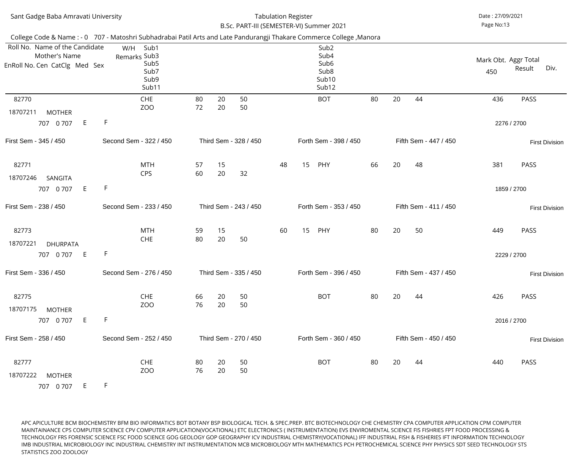| Sant Gadge Baba Amravati University                                                                                   |              |                                                                   | <b>Tabulation Register</b><br>B.Sc. PART-III (SEMESTER-VI) Summer 2021 |    | Date: 27/09/2021<br>Page No:13 |    |    |                                                                                                |    |    |    |                       |                             |             |                       |
|-----------------------------------------------------------------------------------------------------------------------|--------------|-------------------------------------------------------------------|------------------------------------------------------------------------|----|--------------------------------|----|----|------------------------------------------------------------------------------------------------|----|----|----|-----------------------|-----------------------------|-------------|-----------------------|
| College Code & Name : - 0 707 - Matoshri Subhadrabai Patil Arts and Late Pandurangji Thakare Commerce College, Manora |              |                                                                   |                                                                        |    |                                |    |    |                                                                                                |    |    |    |                       |                             |             |                       |
| Roll No. Name of the Candidate<br>Mother's Name<br>EnRoll No. Cen CatClg Med Sex                                      | W/H          | Sub1<br>Remarks Sub3<br>Sub <sub>5</sub><br>Sub7<br>Sub9<br>Sub11 |                                                                        |    |                                |    |    | Sub <sub>2</sub><br>Sub4<br>Sub <sub>6</sub><br>Sub <sub>8</sub><br>Sub <sub>10</sub><br>Sub12 |    |    |    |                       | Mark Obt. Aggr Total<br>450 | Result      | Div.                  |
| 82770                                                                                                                 |              | <b>CHE</b>                                                        | 80                                                                     | 20 | 50                             |    |    | <b>BOT</b>                                                                                     | 80 | 20 | 44 |                       | 436                         | <b>PASS</b> |                       |
| 18707211<br><b>MOTHER</b>                                                                                             |              | ZOO                                                               | 72                                                                     | 20 | 50                             |    |    |                                                                                                |    |    |    |                       |                             |             |                       |
| E<br>707 0 707                                                                                                        | F            |                                                                   |                                                                        |    |                                |    |    |                                                                                                |    |    |    |                       |                             | 2276 / 2700 |                       |
| First Sem - 345 / 450                                                                                                 |              | Second Sem - 322 / 450                                            | Third Sem - 328 / 450                                                  |    |                                |    |    | Forth Sem - 398 / 450                                                                          |    |    |    | Fifth Sem - 447 / 450 |                             |             | <b>First Division</b> |
| 82771                                                                                                                 |              | <b>MTH</b>                                                        | 57                                                                     | 15 |                                | 48 | 15 | PHY                                                                                            | 66 | 20 | 48 |                       | 381                         | PASS        |                       |
| 18707246<br>SANGITA                                                                                                   |              | <b>CPS</b>                                                        | 60                                                                     | 20 | 32                             |    |    |                                                                                                |    |    |    |                       |                             |             |                       |
| E<br>707 0 707                                                                                                        | $\mathsf{F}$ |                                                                   |                                                                        |    |                                |    |    |                                                                                                |    |    |    |                       |                             | 1859 / 2700 |                       |
| First Sem - 238 / 450                                                                                                 |              | Second Sem - 233 / 450                                            |                                                                        |    | Third Sem - 243 / 450          |    |    | Forth Sem - 353 / 450                                                                          |    |    |    | Fifth Sem - 411 / 450 |                             |             | <b>First Division</b> |
| 82773                                                                                                                 |              | <b>MTH</b>                                                        | 59                                                                     | 15 |                                | 60 | 15 | PHY                                                                                            | 80 | 20 | 50 |                       | 449                         | <b>PASS</b> |                       |
| 18707221<br><b>DHURPATA</b>                                                                                           |              | <b>CHE</b>                                                        | 80                                                                     | 20 | 50                             |    |    |                                                                                                |    |    |    |                       |                             |             |                       |
| E<br>707 0 707                                                                                                        | F            |                                                                   |                                                                        |    |                                |    |    |                                                                                                |    |    |    |                       |                             | 2229 / 2700 |                       |
| First Sem - 336 / 450                                                                                                 |              | Second Sem - 276 / 450                                            |                                                                        |    | Third Sem - 335 / 450          |    |    | Forth Sem - 396 / 450                                                                          |    |    |    | Fifth Sem - 437 / 450 |                             |             | <b>First Division</b> |
| 82775                                                                                                                 |              | <b>CHE</b>                                                        | 66                                                                     | 20 | 50                             |    |    | <b>BOT</b>                                                                                     | 80 | 20 | 44 |                       | 426                         | PASS        |                       |
| 18707175<br><b>MOTHER</b>                                                                                             |              | ZO <sub>O</sub>                                                   | 76                                                                     | 20 | 50                             |    |    |                                                                                                |    |    |    |                       |                             |             |                       |
| E<br>707 0 707                                                                                                        | F            |                                                                   |                                                                        |    |                                |    |    |                                                                                                |    |    |    |                       |                             | 2016 / 2700 |                       |
| First Sem - 258 / 450                                                                                                 |              | Second Sem - 252 / 450                                            |                                                                        |    | Third Sem - 270 / 450          |    |    | Forth Sem - 360 / 450                                                                          |    |    |    | Fifth Sem - 450 / 450 |                             |             | <b>First Division</b> |
| 82777                                                                                                                 |              | <b>CHE</b>                                                        | 80                                                                     | 20 | 50                             |    |    | <b>BOT</b>                                                                                     | 80 | 20 | 44 |                       | 440                         | <b>PASS</b> |                       |
| 18707222<br><b>MOTHER</b>                                                                                             |              | ZOO                                                               | 76                                                                     | 20 | 50                             |    |    |                                                                                                |    |    |    |                       |                             |             |                       |
| E.<br>707 0 707                                                                                                       | F            |                                                                   |                                                                        |    |                                |    |    |                                                                                                |    |    |    |                       |                             |             |                       |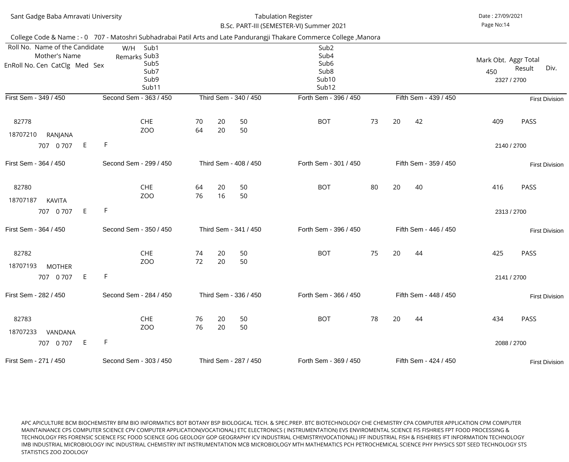| Sant Gadge Baba Amravati University                                              |                                                                                                                       |                       |          | <b>Tabulation Register</b><br>B.Sc. PART-III (SEMESTER-VI) Summer 2021 |                                                                                                            | Date: 27/09/2021<br>Page No:14 |    |                       |                                                              |                       |  |  |
|----------------------------------------------------------------------------------|-----------------------------------------------------------------------------------------------------------------------|-----------------------|----------|------------------------------------------------------------------------|------------------------------------------------------------------------------------------------------------|--------------------------------|----|-----------------------|--------------------------------------------------------------|-----------------------|--|--|
|                                                                                  | College Code & Name : - 0 707 - Matoshri Subhadrabai Patil Arts and Late Pandurangji Thakare Commerce College, Manora |                       |          |                                                                        |                                                                                                            |                                |    |                       |                                                              |                       |  |  |
| Roll No. Name of the Candidate<br>Mother's Name<br>EnRoll No. Cen CatClg Med Sex | W/H<br>Sub1<br>Remarks Sub3<br>Sub <sub>5</sub><br>Sub7<br>Sub9<br>Sub11                                              |                       |          |                                                                        | Sub <sub>2</sub><br>Sub4<br>Sub <sub>6</sub><br>Sub <sub>8</sub><br>Sub <sub>10</sub><br>Sub <sub>12</sub> |                                |    |                       | Mark Obt. Aggr Total<br>Div.<br>Result<br>450<br>2327 / 2700 |                       |  |  |
| First Sem - 349 / 450                                                            | Second Sem - 363 / 450                                                                                                |                       |          | Third Sem - 340 / 450                                                  | Forth Sem - 396 / 450                                                                                      |                                |    | Fifth Sem - 439 / 450 |                                                              | <b>First Division</b> |  |  |
| 82778<br>18707210<br>RANJANA                                                     | <b>CHE</b><br>ZO <sub>O</sub>                                                                                         | 70<br>64              | 20<br>20 | 50<br>50                                                               | <b>BOT</b>                                                                                                 | 73                             | 20 | 42                    | 409                                                          | <b>PASS</b>           |  |  |
| E<br>707 0 707                                                                   | F                                                                                                                     |                       |          |                                                                        |                                                                                                            |                                |    |                       | 2140 / 2700                                                  |                       |  |  |
| First Sem - 364 / 450                                                            | Second Sem - 299 / 450                                                                                                | Third Sem - 408 / 450 |          |                                                                        | Forth Sem - 301 / 450                                                                                      |                                |    | Fifth Sem - 359 / 450 |                                                              | <b>First Division</b> |  |  |
| 82780<br>18707187<br><b>KAVITA</b>                                               | <b>CHE</b><br>ZO <sub>O</sub>                                                                                         | 64<br>76              | 20<br>16 | 50<br>50                                                               | <b>BOT</b>                                                                                                 | 80                             | 20 | 40                    | 416                                                          | <b>PASS</b>           |  |  |
| E<br>707 0 707                                                                   | F                                                                                                                     |                       |          |                                                                        |                                                                                                            |                                |    |                       | 2313 / 2700                                                  |                       |  |  |
| First Sem - 364 / 450                                                            | Second Sem - 350 / 450                                                                                                |                       |          | Third Sem - 341 / 450                                                  | Forth Sem - 396 / 450                                                                                      |                                |    | Fifth Sem - 446 / 450 |                                                              | <b>First Division</b> |  |  |
| 82782<br>18707193<br><b>MOTHER</b>                                               | <b>CHE</b><br>ZO <sub>O</sub>                                                                                         | 74<br>72              | 20<br>20 | 50<br>50                                                               | <b>BOT</b>                                                                                                 | 75                             | 20 | 44                    | 425                                                          | <b>PASS</b>           |  |  |
| E<br>707 0 707                                                                   | F                                                                                                                     |                       |          |                                                                        |                                                                                                            |                                |    |                       | 2141 / 2700                                                  |                       |  |  |
| First Sem - 282 / 450                                                            | Second Sem - 284 / 450                                                                                                | Third Sem - 336 / 450 |          |                                                                        | Forth Sem - 366 / 450                                                                                      |                                |    | Fifth Sem - 448 / 450 |                                                              | <b>First Division</b> |  |  |
| 82783<br>18707233<br>VANDANA<br>E<br>707 0 707                                   | <b>CHE</b><br>ZO <sub>O</sub><br>F                                                                                    | 76<br>76              | 20<br>20 | 50<br>50                                                               | <b>BOT</b>                                                                                                 | 78                             | 20 | 44                    | 434<br>2088 / 2700                                           | <b>PASS</b>           |  |  |
|                                                                                  |                                                                                                                       |                       |          |                                                                        |                                                                                                            |                                |    |                       |                                                              |                       |  |  |
| First Sem - 271 / 450                                                            | Second Sem - 303 / 450                                                                                                |                       |          | Third Sem - 287 / 450                                                  | Forth Sem - 369 / 450                                                                                      |                                |    | Fifth Sem - 424 / 450 |                                                              | <b>First Division</b> |  |  |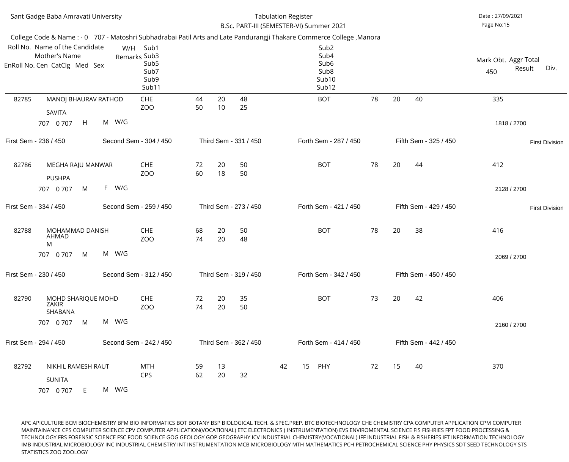| Sant Gadge Baba Amravati University |                                                                                                                                                                                                           |           |                                                                   |                       |          | <b>Tabulation Register</b><br>B.Sc. PART-III (SEMESTER-VI) Summer 2021 |    | Date: 27/09/2021<br>Page No:15 |                                                                                                            |    |    |                       |                             |                       |  |
|-------------------------------------|-----------------------------------------------------------------------------------------------------------------------------------------------------------------------------------------------------------|-----------|-------------------------------------------------------------------|-----------------------|----------|------------------------------------------------------------------------|----|--------------------------------|------------------------------------------------------------------------------------------------------------|----|----|-----------------------|-----------------------------|-----------------------|--|
|                                     | College Code & Name : - 0 707 - Matoshri Subhadrabai Patil Arts and Late Pandurangji Thakare Commerce College, Manora<br>Roll No. Name of the Candidate<br>Mother's Name<br>EnRoll No. Cen CatClg Med Sex | W/H       | Sub1<br>Remarks Sub3<br>Sub <sub>5</sub><br>Sub7<br>Sub9<br>Sub11 |                       |          |                                                                        |    |                                | Sub <sub>2</sub><br>Sub4<br>Sub <sub>6</sub><br>Sub <sub>8</sub><br>Sub <sub>10</sub><br>Sub <sub>12</sub> |    |    |                       | Mark Obt. Aggr Total<br>450 | Div.<br>Result        |  |
| 82785                               | MANOJ BHAURAV RATHOD<br>SAVITA<br>H<br>707 0 707                                                                                                                                                          | M W/G     | CHE<br>ZOO                                                        | 44<br>50              | 20<br>10 | 48<br>25                                                               |    |                                | <b>BOT</b>                                                                                                 | 78 | 20 | 40                    | 335<br>1818 / 2700          |                       |  |
|                                     | First Sem - 236 / 450                                                                                                                                                                                     |           | Second Sem - 304 / 450                                            | Third Sem - 331 / 450 |          |                                                                        |    |                                | Forth Sem - 287 / 450                                                                                      |    |    | Fifth Sem - 325 / 450 |                             | <b>First Division</b> |  |
| 82786                               | MEGHA RAJU MANWAR<br><b>PUSHPA</b><br>M<br>707 0 707                                                                                                                                                      | W/G<br>F. | <b>CHE</b><br>ZO <sub>O</sub>                                     | 72<br>60              | 20<br>18 | 50<br>50                                                               |    |                                | <b>BOT</b>                                                                                                 | 78 | 20 | 44                    | 412<br>2128 / 2700          |                       |  |
|                                     | First Sem - 334 / 450                                                                                                                                                                                     |           | Second Sem - 259 / 450                                            |                       |          | Third Sem - 273 / 450                                                  |    |                                | Forth Sem - 421 / 450                                                                                      |    |    | Fifth Sem - 429 / 450 |                             | <b>First Division</b> |  |
| 82788                               | MOHAMMAD DANISH<br><b>AHMAD</b><br>M<br>707 0 707<br>M                                                                                                                                                    | M W/G     | <b>CHE</b><br>ZOO                                                 | 68<br>74              | 20<br>20 | 50<br>48                                                               |    |                                | <b>BOT</b>                                                                                                 | 78 | 20 | 38                    | 416<br>2069 / 2700          |                       |  |
|                                     | First Sem - 230 / 450                                                                                                                                                                                     |           | Second Sem - 312 / 450                                            |                       |          | Third Sem - 319 / 450                                                  |    |                                | Forth Sem - 342 / 450                                                                                      |    |    | Fifth Sem - 450 / 450 |                             |                       |  |
| 82790                               | MOHD SHARIQUE MOHD<br>ZAKIR<br>SHABANA<br>M<br>707 0 707                                                                                                                                                  | M W/G     | <b>CHE</b><br>ZOO                                                 | 72<br>74              | 20<br>20 | 35<br>50                                                               |    |                                | <b>BOT</b>                                                                                                 | 73 | 20 | 42                    | 406<br>2160 / 2700          |                       |  |
|                                     | First Sem - 294 / 450                                                                                                                                                                                     |           | Second Sem - 242 / 450                                            |                       |          | Third Sem - 362 / 450                                                  |    |                                | Forth Sem - 414 / 450                                                                                      |    |    | Fifth Sem - 442 / 450 |                             |                       |  |
| 82792                               | NIKHIL RAMESH RAUT<br><b>SUNITA</b><br>707 0 707<br>E.                                                                                                                                                    | M W/G     | MTH<br><b>CPS</b>                                                 | 59<br>62              | 13<br>20 | 32                                                                     | 42 | 15                             | PHY                                                                                                        | 72 | 15 | 40                    | 370                         |                       |  |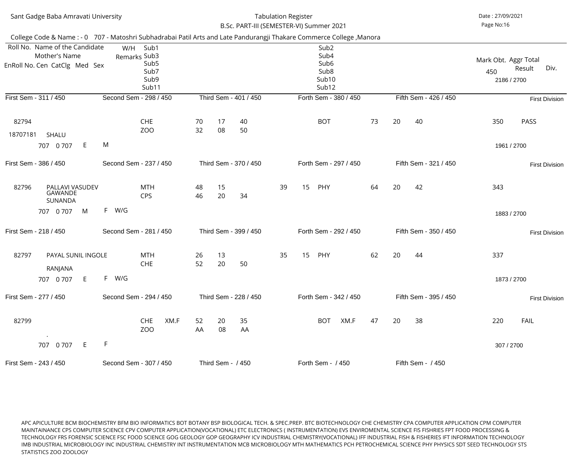| Sant Gadge Baba Amravati University                                                                                   |                    |                        |                                                                   |      | B.Sc. PART-III (SEMESTER-VI) Summer 2021 | <b>Tabulation Register</b> |                       |    |    |                                                                                                |    | Date: 27/09/2021<br>Page No:16 |                       |                                            |                       |
|-----------------------------------------------------------------------------------------------------------------------|--------------------|------------------------|-------------------------------------------------------------------|------|------------------------------------------|----------------------------|-----------------------|----|----|------------------------------------------------------------------------------------------------|----|--------------------------------|-----------------------|--------------------------------------------|-----------------------|
| College Code & Name : - 0 707 - Matoshri Subhadrabai Patil Arts and Late Pandurangji Thakare Commerce College, Manora |                    |                        |                                                                   |      |                                          |                            |                       |    |    |                                                                                                |    |                                |                       |                                            |                       |
| Roll No. Name of the Candidate<br>Mother's Name<br>EnRoll No. Cen CatClg Med Sex                                      |                    | W/H                    | Sub1<br>Remarks Sub3<br>Sub <sub>5</sub><br>Sub7<br>Sub9<br>Sub11 |      |                                          |                            |                       |    |    | Sub <sub>2</sub><br>Sub4<br>Sub <sub>6</sub><br>Sub <sub>8</sub><br>Sub <sub>10</sub><br>Sub12 |    |                                |                       | Mark Obt. Aggr Total<br>450<br>2186 / 2700 | Div.<br>Result        |
| First Sem - 311 / 450                                                                                                 |                    | Second Sem - 298 / 450 |                                                                   |      |                                          |                            | Third Sem - 401 / 450 |    |    | Forth Sem - 380 / 450                                                                          |    |                                | Fifth Sem - 426 / 450 |                                            | <b>First Division</b> |
| 82794<br>18707181<br><b>SHALU</b>                                                                                     |                    |                        | <b>CHE</b><br>ZO <sub>O</sub>                                     |      | 70<br>32                                 | 17<br>08                   | 40<br>50              |    |    | <b>BOT</b>                                                                                     | 73 | 20                             | 40                    | 350                                        | <b>PASS</b>           |
| 707 0 707                                                                                                             | E                  | M                      |                                                                   |      |                                          |                            |                       |    |    |                                                                                                |    |                                |                       | 1961 / 2700                                |                       |
| First Sem - 386 / 450                                                                                                 |                    | Second Sem - 237 / 450 |                                                                   |      |                                          |                            | Third Sem - 370 / 450 |    |    | Forth Sem - 297 / 450                                                                          |    |                                | Fifth Sem - 321 / 450 |                                            | <b>First Division</b> |
| 82796<br>GAWANDE<br>SUNANDA                                                                                           | PALLAVI VASUDEV    |                        | <b>MTH</b><br><b>CPS</b>                                          |      | 48<br>46                                 | 15<br>20                   | 34                    | 39 | 15 | PHY                                                                                            | 64 | 20                             | 42                    | 343                                        |                       |
| 707 0 707                                                                                                             | M                  | F W/G                  |                                                                   |      |                                          |                            |                       |    |    |                                                                                                |    |                                |                       | 1883 / 2700                                |                       |
| First Sem - 218 / 450                                                                                                 |                    | Second Sem - 281 / 450 |                                                                   |      |                                          |                            | Third Sem - 399 / 450 |    |    | Forth Sem - 292 / 450                                                                          |    |                                | Fifth Sem - 350 / 450 |                                            | <b>First Division</b> |
| 82797<br><b>RANJANA</b>                                                                                               | PAYAL SUNIL INGOLE |                        | <b>MTH</b><br><b>CHE</b>                                          |      | 26<br>52                                 | 13<br>20                   | 50                    | 35 | 15 | PHY                                                                                            | 62 | 20                             | 44                    | 337                                        |                       |
| 707 0 707                                                                                                             | E                  | F W/G                  |                                                                   |      |                                          |                            |                       |    |    |                                                                                                |    |                                |                       | 1873 / 2700                                |                       |
| First Sem - 277 / 450                                                                                                 |                    | Second Sem - 294 / 450 |                                                                   |      |                                          |                            | Third Sem - 228 / 450 |    |    | Forth Sem - 342 / 450                                                                          |    |                                | Fifth Sem - 395 / 450 |                                            | <b>First Division</b> |
| 82799                                                                                                                 |                    |                        | <b>CHE</b><br>ZO <sub>O</sub>                                     | XM.F | 52<br>AA                                 | 20<br>08                   | 35<br>AA              |    |    | <b>BOT</b><br>XM.F                                                                             | 47 | 20                             | 38                    | 220                                        | <b>FAIL</b>           |
| 707 0 707                                                                                                             | E                  | F                      |                                                                   |      |                                          |                            |                       |    |    |                                                                                                |    |                                |                       | 307 / 2700                                 |                       |
| First Sem - 243 / 450                                                                                                 |                    | Second Sem - 307 / 450 |                                                                   |      |                                          | Third Sem - / 450          |                       |    |    | Forth Sem - / 450                                                                              |    |                                | Fifth Sem - / 450     |                                            |                       |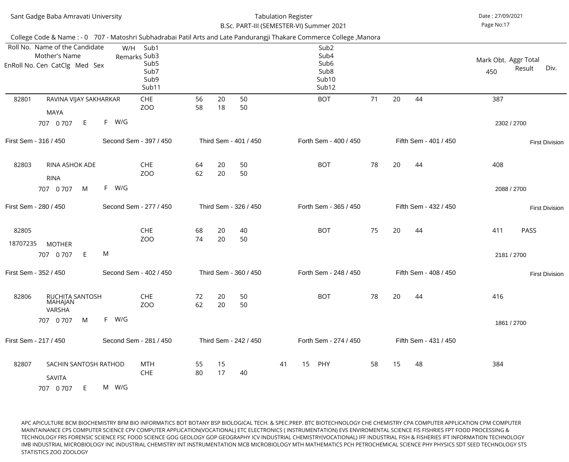|                   | Sant Gadge Baba Amravati University                                                                                   |          |                                                                   |          |          | B.Sc. PART-III (SEMESTER-VI) Summer 2021 | <b>Tabulation Register</b> |    |                                                                                    |    |    |    |                       | Date: 27/09/2021<br>Page No:17 |                            |                       |
|-------------------|-----------------------------------------------------------------------------------------------------------------------|----------|-------------------------------------------------------------------|----------|----------|------------------------------------------|----------------------------|----|------------------------------------------------------------------------------------|----|----|----|-----------------------|--------------------------------|----------------------------|-----------------------|
|                   | College Code & Name : - 0 707 - Matoshri Subhadrabai Patil Arts and Late Pandurangji Thakare Commerce College, Manora |          |                                                                   |          |          |                                          |                            |    |                                                                                    |    |    |    |                       |                                |                            |                       |
|                   | Roll No. Name of the Candidate<br>Mother's Name<br>EnRoll No. Cen CatClg Med Sex                                      | W/H      | Sub1<br>Remarks Sub3<br>Sub <sub>5</sub><br>Sub7<br>Sub9<br>Sub11 |          |          |                                          |                            |    | Sub <sub>2</sub><br>Sub4<br>Sub <sub>6</sub><br>Sub <sub>8</sub><br>Sub10<br>Sub12 |    |    |    |                       | Mark Obt. Aggr Total<br>450    | Result                     | Div.                  |
| 82801             | RAVINA VIJAY SAKHARKAR<br><b>MAYA</b>                                                                                 |          | <b>CHE</b><br>ZOO                                                 | 56<br>58 | 20<br>18 | 50<br>50                                 |                            |    | <b>BOT</b>                                                                         | 71 | 20 | 44 |                       | 387                            |                            |                       |
|                   | 707 0 707<br>E                                                                                                        | F W/G    |                                                                   |          |          |                                          |                            |    |                                                                                    |    |    |    |                       |                                | 2302 / 2700                |                       |
|                   | First Sem - 316 / 450                                                                                                 |          | Second Sem - 397 / 450                                            |          |          | Third Sem - 401 / 450                    |                            |    | Forth Sem - 400 / 450                                                              |    |    |    | Fifth Sem - 401 / 450 |                                |                            | <b>First Division</b> |
| 82803             | RINA ASHOK ADE<br><b>RINA</b>                                                                                         |          | <b>CHE</b><br>ZO <sub>O</sub>                                     | 64<br>62 | 20<br>20 | 50<br>50                                 |                            |    | <b>BOT</b>                                                                         | 78 | 20 | 44 |                       | 408                            |                            |                       |
|                   | M<br>707 0 707                                                                                                        | F<br>W/G |                                                                   |          |          |                                          |                            |    |                                                                                    |    |    |    |                       |                                | 2088 / 2700                |                       |
|                   | First Sem - 280 / 450                                                                                                 |          | Second Sem - 277 / 450                                            |          |          | Third Sem - 326 / 450                    |                            |    | Forth Sem - 365 / 450                                                              |    |    |    | Fifth Sem - 432 / 450 |                                |                            | <b>First Division</b> |
| 82805<br>18707235 | <b>MOTHER</b><br>707 0 707<br>E                                                                                       | M        | <b>CHE</b><br>ZOO                                                 | 68<br>74 | 20<br>20 | 40<br>50                                 |                            |    | <b>BOT</b>                                                                         | 75 | 20 | 44 |                       | 411                            | <b>PASS</b><br>2181 / 2700 |                       |
|                   |                                                                                                                       |          |                                                                   |          |          |                                          |                            |    |                                                                                    |    |    |    |                       |                                |                            |                       |
|                   | First Sem - 352 / 450                                                                                                 |          | Second Sem - 402 / 450                                            |          |          | Third Sem - 360 / 450                    |                            |    | Forth Sem - 248 / 450                                                              |    |    |    | Fifth Sem - 408 / 450 |                                |                            | <b>First Division</b> |
| 82806             | <b>RUCHITA SANTOSH</b><br>MAHAJAN<br>VARSHA                                                                           |          | <b>CHE</b><br>ZO <sub>O</sub>                                     | 72<br>62 | 20<br>20 | 50<br>50                                 |                            |    | <b>BOT</b>                                                                         | 78 | 20 | 44 |                       | 416                            |                            |                       |
|                   | 707 0 707<br>M                                                                                                        | F W/G    |                                                                   |          |          |                                          |                            |    |                                                                                    |    |    |    |                       |                                | 1861 / 2700                |                       |
|                   | First Sem - 217 / 450                                                                                                 |          | Second Sem - 281 / 450                                            |          |          | Third Sem - 242 / 450                    |                            |    | Forth Sem - 274 / 450                                                              |    |    |    | Fifth Sem - 431 / 450 |                                |                            |                       |
| 82807             | SACHIN SANTOSH RATHOD<br>SAVITA<br>E<br>707 0 707                                                                     | M W/G    | MTH<br><b>CHE</b>                                                 | 55<br>80 | 15<br>17 | 40                                       | 41                         | 15 | PHY                                                                                | 58 | 15 | 48 |                       | 384                            |                            |                       |
|                   |                                                                                                                       |          |                                                                   |          |          |                                          |                            |    |                                                                                    |    |    |    |                       |                                |                            |                       |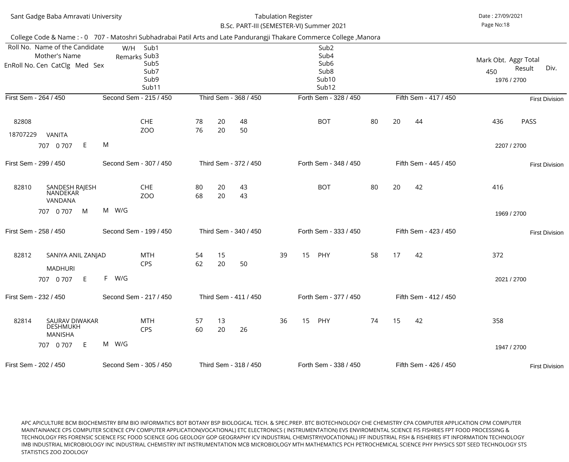| Sant Gadge Baba Amravati University                                                                                   |          |                                                                   |          |          | B.Sc. PART-III (SEMESTER-VI) Summer 2021 | <b>Tabulation Register</b> |    |                                                                                                |    |    |                       | Date: 27/09/2021<br>Page No:18             |                       |
|-----------------------------------------------------------------------------------------------------------------------|----------|-------------------------------------------------------------------|----------|----------|------------------------------------------|----------------------------|----|------------------------------------------------------------------------------------------------|----|----|-----------------------|--------------------------------------------|-----------------------|
| College Code & Name : - 0 707 - Matoshri Subhadrabai Patil Arts and Late Pandurangji Thakare Commerce College, Manora |          |                                                                   |          |          |                                          |                            |    |                                                                                                |    |    |                       |                                            |                       |
| Roll No. Name of the Candidate<br>Mother's Name<br>EnRoll No. Cen CatClg Med Sex                                      | W/H      | Sub1<br>Remarks Sub3<br>Sub <sub>5</sub><br>Sub7<br>Sub9<br>Sub11 |          |          |                                          |                            |    | Sub <sub>2</sub><br>Sub4<br>Sub <sub>6</sub><br>Sub <sub>8</sub><br>Sub <sub>10</sub><br>Sub12 |    |    |                       | Mark Obt. Aggr Total<br>450<br>1976 / 2700 | Div.<br>Result        |
| First Sem - 264 / 450                                                                                                 |          | Second Sem - 215 / 450                                            |          |          | Third Sem - 368 / 450                    |                            |    | Forth Sem - 328 / 450                                                                          |    |    | Fifth Sem - 417 / 450 |                                            | <b>First Division</b> |
| 82808<br>18707229<br><b>VANITA</b>                                                                                    |          | <b>CHE</b><br>ZO <sub>O</sub>                                     | 78<br>76 | 20<br>20 | 48<br>50                                 |                            |    | <b>BOT</b>                                                                                     | 80 | 20 | 44                    | 436                                        | <b>PASS</b>           |
| E<br>707 0 707                                                                                                        | M        |                                                                   |          |          |                                          |                            |    |                                                                                                |    |    |                       | 2207 / 2700                                |                       |
| First Sem - 299 / 450                                                                                                 |          | Second Sem - 307 / 450                                            |          |          | Third Sem - 372 / 450                    |                            |    | Forth Sem - 348 / 450                                                                          |    |    | Fifth Sem - 445 / 450 |                                            | <b>First Division</b> |
| 82810<br>SANDESH RAJESH<br>NANDEKAR<br>VANDANA                                                                        |          | <b>CHE</b><br>ZO <sub>O</sub>                                     | 80<br>68 | 20<br>20 | 43<br>43                                 |                            |    | <b>BOT</b>                                                                                     | 80 | 20 | 42                    | 416                                        |                       |
| 707 0 707<br>M                                                                                                        | W/G<br>M |                                                                   |          |          |                                          |                            |    |                                                                                                |    |    |                       | 1969 / 2700                                |                       |
| First Sem - 258 / 450                                                                                                 |          | Second Sem - 199 / 450                                            |          |          | Third Sem - 340 / 450                    |                            |    | Forth Sem - 333 / 450                                                                          |    |    | Fifth Sem - 423 / 450 |                                            | <b>First Division</b> |
| 82812<br>SANIYA ANIL ZANJAD<br><b>MADHURI</b>                                                                         |          | <b>MTH</b><br><b>CPS</b>                                          | 54<br>62 | 15<br>20 | 50                                       | 39                         | 15 | PHY                                                                                            | 58 | 17 | 42                    | 372                                        |                       |
| E<br>707 0 707                                                                                                        | F W/G    |                                                                   |          |          |                                          |                            |    |                                                                                                |    |    |                       | 2021 / 2700                                |                       |
| First Sem - 232 / 450                                                                                                 |          | Second Sem - 217 / 450                                            |          |          | Third Sem - 411 / 450                    |                            |    | Forth Sem - 377 / 450                                                                          |    |    | Fifth Sem - 412 / 450 |                                            |                       |
| 82814<br>SAURAV DIWAKAR<br><b>DESHMUKH</b><br><b>MANISHA</b>                                                          |          | <b>MTH</b><br><b>CPS</b>                                          | 57<br>60 | 13<br>20 | 26                                       | 36                         | 15 | PHY                                                                                            | 74 | 15 | 42                    | 358                                        |                       |
| E<br>707 0 707                                                                                                        | M W/G    |                                                                   |          |          |                                          |                            |    |                                                                                                |    |    |                       | 1947 / 2700                                |                       |
| First Sem - 202 / 450                                                                                                 |          | Second Sem - 305 / 450                                            |          |          | Third Sem - 318 / 450                    |                            |    | Forth Sem - 338 / 450                                                                          |    |    | Fifth Sem - 426 / 450 |                                            | <b>First Division</b> |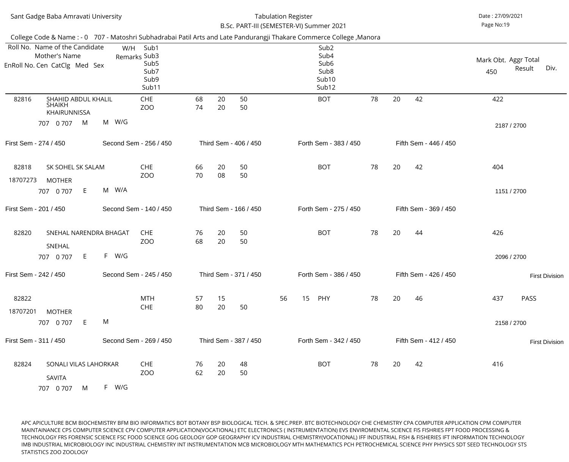|                   | Sant Gadge Baba Amravati University                                              |       |                                                                   |          |          |                       | <b>Tabulation Register</b> | B.Sc. PART-III (SEMESTER-VI) Summer 2021                                                                                                                                                                                |    |    |                       | Date: 27/09/2021<br>Page No:19 |             |                       |
|-------------------|----------------------------------------------------------------------------------|-------|-------------------------------------------------------------------|----------|----------|-----------------------|----------------------------|-------------------------------------------------------------------------------------------------------------------------------------------------------------------------------------------------------------------------|----|----|-----------------------|--------------------------------|-------------|-----------------------|
|                   | Roll No. Name of the Candidate<br>Mother's Name<br>EnRoll No. Cen CatClg Med Sex | W/H   | Sub1<br>Remarks Sub3<br>Sub <sub>5</sub><br>Sub7<br>Sub9<br>Sub11 |          |          |                       |                            | College Code & Name : - 0 707 - Matoshri Subhadrabai Patil Arts and Late Pandurangji Thakare Commerce College, Manora<br>Sub <sub>2</sub><br>Sub4<br>Sub <sub>6</sub><br>Sub <sub>8</sub><br>Sub <sub>10</sub><br>Sub12 |    |    |                       | Mark Obt. Aggr Total<br>450    | Result      | Div.                  |
| 82816             | SHAHID ABDUL KHALIL<br><b>SHAIKH</b><br>KHAIRUNNISSA<br>707 0 707<br>M           | M W/G | <b>CHE</b><br>ZOO                                                 | 68<br>74 | 20<br>20 | 50<br>50              |                            | <b>BOT</b>                                                                                                                                                                                                              | 78 | 20 | 42                    | 422<br>2187 / 2700             |             |                       |
|                   | First Sem - 274 / 450                                                            |       | Second Sem - 256 / 450                                            |          |          | Third Sem - 406 / 450 |                            | Forth Sem - 383 / 450                                                                                                                                                                                                   |    |    | Fifth Sem - 446 / 450 |                                |             |                       |
| 82818<br>18707273 | SK SOHEL SK SALAM<br><b>MOTHER</b><br>E<br>707 0 707                             | M W/A | <b>CHE</b><br>ZO <sub>O</sub>                                     | 66<br>70 | 20<br>08 | 50<br>50              |                            | <b>BOT</b>                                                                                                                                                                                                              | 78 | 20 | 42                    | 404<br>1151 / 2700             |             |                       |
|                   | First Sem - 201 / 450                                                            |       | Second Sem - 140 / 450                                            |          |          | Third Sem - 166 / 450 |                            | Forth Sem - 275 / 450                                                                                                                                                                                                   |    |    | Fifth Sem - 369 / 450 |                                |             |                       |
| 82820             | SNEHAL NARENDRA BHAGAT<br>SNEHAL<br>E.<br>707 0 707                              | F W/G | <b>CHE</b><br>ZOO                                                 | 76<br>68 | 20<br>20 | 50<br>50              |                            | <b>BOT</b>                                                                                                                                                                                                              | 78 | 20 | 44                    | 426<br>2096 / 2700             |             |                       |
|                   | First Sem - 242 / 450                                                            |       | Second Sem - 245 / 450                                            |          |          | Third Sem - 371 / 450 |                            | Forth Sem - 386 / 450                                                                                                                                                                                                   |    |    | Fifth Sem - 426 / 450 |                                |             | <b>First Division</b> |
| 82822<br>18707201 | <b>MOTHER</b><br>E<br>707 0 707                                                  | M     | <b>MTH</b><br><b>CHE</b>                                          | 57<br>80 | 15<br>20 | 50                    | 56                         | 15<br>PHY                                                                                                                                                                                                               | 78 | 20 | 46                    | 437<br>2158 / 2700             | <b>PASS</b> |                       |
|                   | First Sem - 311 / 450                                                            |       | Second Sem - 269 / 450                                            |          |          | Third Sem - 387 / 450 |                            | Forth Sem - 342 / 450                                                                                                                                                                                                   |    |    | Fifth Sem - 412 / 450 |                                |             | <b>First Division</b> |
| 82824             | SONALI VILAS LAHORKAR<br><b>SAVITA</b><br>707 0 707<br>M                         | F W/G | <b>CHE</b><br>ZOO                                                 | 76<br>62 | 20<br>20 | 48<br>50              |                            | <b>BOT</b>                                                                                                                                                                                                              | 78 | 20 | 42                    | 416                            |             |                       |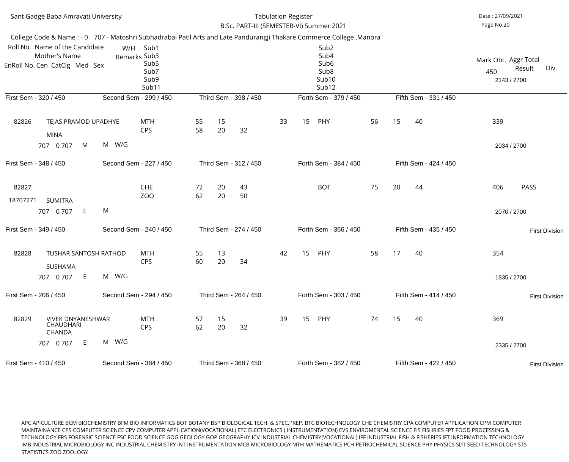|                   | Sant Gadge Baba Amravati University                                                                                   |       |                                                                   |          |          | B.Sc. PART-III (SEMESTER-VI) Summer 2021 | <b>Tabulation Register</b> |    |                                                                                                            |    |    |                       | Date: 27/09/2021<br>Page No:20             |                       |
|-------------------|-----------------------------------------------------------------------------------------------------------------------|-------|-------------------------------------------------------------------|----------|----------|------------------------------------------|----------------------------|----|------------------------------------------------------------------------------------------------------------|----|----|-----------------------|--------------------------------------------|-----------------------|
|                   | College Code & Name : - 0 707 - Matoshri Subhadrabai Patil Arts and Late Pandurangji Thakare Commerce College, Manora |       |                                                                   |          |          |                                          |                            |    |                                                                                                            |    |    |                       |                                            |                       |
|                   | Roll No. Name of the Candidate<br>Mother's Name<br>EnRoll No. Cen CatClg Med Sex                                      | W/H   | Sub1<br>Remarks Sub3<br>Sub <sub>5</sub><br>Sub7<br>Sub9<br>Sub11 |          |          |                                          |                            |    | Sub <sub>2</sub><br>Sub4<br>Sub <sub>6</sub><br>Sub <sub>8</sub><br>Sub <sub>10</sub><br>Sub <sub>12</sub> |    |    |                       | Mark Obt. Aggr Total<br>450<br>2143 / 2700 | Result<br>Div.        |
|                   | First Sem - 320 / 450                                                                                                 |       | Second Sem - 299 / 450                                            |          |          | Third Sem - 398 / 450                    |                            |    | Forth Sem - 379 / 450                                                                                      |    |    | Fifth Sem - 331 / 450 |                                            |                       |
| 82826             | TEJAS PRAMOD UPADHYE<br><b>MINA</b>                                                                                   |       | <b>MTH</b><br><b>CPS</b>                                          | 55<br>58 | 15<br>20 | 32                                       | 33                         | 15 | PHY                                                                                                        | 56 | 15 | 40                    | 339                                        |                       |
|                   | M<br>707 0 707                                                                                                        | M W/G |                                                                   |          |          |                                          |                            |    |                                                                                                            |    |    |                       | 2034 / 2700                                |                       |
|                   | First Sem - 348 / 450                                                                                                 |       | Second Sem - 227 / 450                                            |          |          | Third Sem - 312 / 450                    |                            |    | Forth Sem - 384 / 450                                                                                      |    |    | Fifth Sem - 424 / 450 |                                            |                       |
| 82827<br>18707271 | <b>SUMITRA</b>                                                                                                        |       | <b>CHE</b><br><b>ZOO</b>                                          | 72<br>62 | 20<br>20 | 43<br>50                                 |                            |    | <b>BOT</b>                                                                                                 | 75 | 20 | 44                    | 406                                        | <b>PASS</b>           |
|                   | E.<br>707 0 707                                                                                                       | M     |                                                                   |          |          |                                          |                            |    |                                                                                                            |    |    |                       | 2070 / 2700                                |                       |
|                   | First Sem - 349 / 450                                                                                                 |       | Second Sem - 240 / 450                                            |          |          | Third Sem - 274 / 450                    |                            |    | Forth Sem - 366 / 450                                                                                      |    |    | Fifth Sem - 435 / 450 |                                            | <b>First Division</b> |
| 82828             | <b>TUSHAR SANTOSH RATHOD</b><br><b>SUSHAMA</b>                                                                        |       | <b>MTH</b><br><b>CPS</b>                                          | 55<br>60 | 13<br>20 | 34                                       | 42                         | 15 | PHY                                                                                                        | 58 | 17 | 40                    | 354                                        |                       |
|                   | E<br>707 0 707                                                                                                        | M W/G |                                                                   |          |          |                                          |                            |    |                                                                                                            |    |    |                       | 1835 / 2700                                |                       |
|                   | First Sem - 206 / 450                                                                                                 |       | Second Sem - 294 / 450                                            |          |          | Third Sem - 264 / 450                    |                            |    | Forth Sem - 303 / 450                                                                                      |    |    | Fifth Sem - 414 / 450 |                                            | <b>First Division</b> |
| 82829             | <b>VIVEK DNYANESHWAR</b><br><b>CHAUDHARI</b><br><b>CHANDA</b>                                                         |       | <b>MTH</b><br><b>CPS</b>                                          | 57<br>62 | 15<br>20 | 32                                       | 39                         | 15 | PHY                                                                                                        | 74 | 15 | 40                    | 369                                        |                       |
|                   | 707 0 707<br>E.                                                                                                       | M W/G |                                                                   |          |          |                                          |                            |    |                                                                                                            |    |    |                       | 2335 / 2700                                |                       |
|                   | First Sem - 410 / 450                                                                                                 |       | Second Sem - 384 / 450                                            |          |          | Third Sem - 368 / 450                    |                            |    | Forth Sem - 382 / 450                                                                                      |    |    | Fifth Sem - 422 / 450 |                                            | <b>First Division</b> |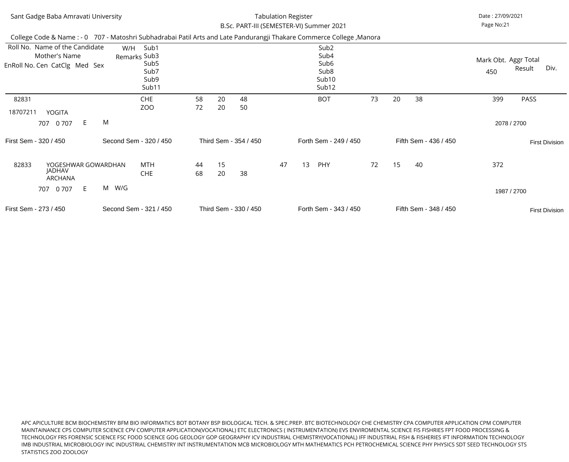| Sant Gadge Baba Amravati University                                                                                   |                                                              |          |          | B.Sc. PART-III (SEMESTER-VI) Summer 2021 | <b>Tabulation Register</b> |    |                                                                                                            |    |    |                       | Date: 27/09/2021<br>Page No:21 |             |                       |
|-----------------------------------------------------------------------------------------------------------------------|--------------------------------------------------------------|----------|----------|------------------------------------------|----------------------------|----|------------------------------------------------------------------------------------------------------------|----|----|-----------------------|--------------------------------|-------------|-----------------------|
| College Code & Name : - 0 707 - Matoshri Subhadrabai Patil Arts and Late Pandurangji Thakare Commerce College, Manora |                                                              |          |          |                                          |                            |    |                                                                                                            |    |    |                       |                                |             |                       |
| Roll No. Name of the Candidate<br>Mother's Name<br>EnRoll No. Cen CatClg Med Sex                                      | Sub1<br>W/H<br>Remarks Sub3<br>Sub5<br>Sub7<br>Sub9<br>Sub11 |          |          |                                          |                            |    | Sub <sub>2</sub><br>Sub4<br>Sub <sub>6</sub><br>Sub <sub>8</sub><br>Sub <sub>10</sub><br>Sub <sub>12</sub> |    |    |                       | Mark Obt. Aggr Total<br>450    | Result      | Div.                  |
| 82831<br>18707211<br>YOGITA                                                                                           | <b>CHE</b><br>ZOO                                            | 58<br>72 | 20<br>20 | 48<br>50                                 |                            |    | <b>BOT</b>                                                                                                 | 73 | 20 | 38                    | 399                            | PASS        |                       |
| M<br>E<br>707 0 707                                                                                                   |                                                              |          |          |                                          |                            |    |                                                                                                            |    |    |                       |                                | 2078 / 2700 |                       |
| First Sem - 320 / 450                                                                                                 | Second Sem - 320 / 450                                       |          |          | Third Sem - 354 / 450                    |                            |    | Forth Sem - 249 / 450                                                                                      |    |    | Fifth Sem - 436 / 450 |                                |             | <b>First Division</b> |
| 82833<br>YOGESHWAR GOWARDHAN<br><b>JADHAV</b><br><b>ARCHANA</b>                                                       | MTH<br><b>CHE</b>                                            | 44<br>68 | 15<br>20 | 38                                       | 47                         | 13 | PHY                                                                                                        | 72 | 15 | 40                    | 372                            |             |                       |
| 0 7 0 7<br>E<br>707                                                                                                   | M W/G                                                        |          |          |                                          |                            |    |                                                                                                            |    |    |                       |                                | 1987 / 2700 |                       |
| First Sem - 273 / 450                                                                                                 | Second Sem - 321 / 450                                       |          |          | Third Sem - 330 / 450                    |                            |    | Forth Sem - 343 / 450                                                                                      |    |    | Fifth Sem - 348 / 450 |                                |             | <b>First Division</b> |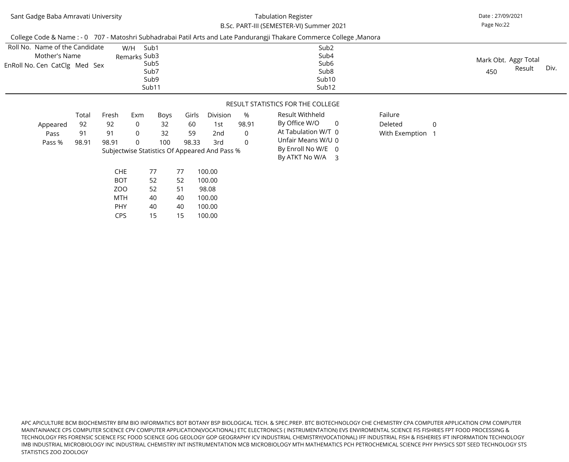### B.Sc. PART-III (SEMESTER-VI) Summer 2021Tabulation Register

Page No:22Date : 27/09/2021

|                                                                                  |                            |                                                      |                                                                          |                            |                            |                                                                                |                                                | College Code & Name : - 0 707 - Matoshri Subhadrabai Patil Arts and Late Pandurangji Thakare Commerce College, Manora                     |                                      |                |                                               |
|----------------------------------------------------------------------------------|----------------------------|------------------------------------------------------|--------------------------------------------------------------------------|----------------------------|----------------------------|--------------------------------------------------------------------------------|------------------------------------------------|-------------------------------------------------------------------------------------------------------------------------------------------|--------------------------------------|----------------|-----------------------------------------------|
| Roll No. Name of the Candidate<br>Mother's Name<br>EnRoll No. Cen CatClg Med Sex |                            |                                                      | Sub1<br>W/H<br>Remarks Sub3<br>Sub <sub>5</sub><br>Sub7<br>Sub9<br>Sub11 |                            |                            |                                                                                |                                                | Sub <sub>2</sub><br>Sub4<br>Sub <sub>6</sub><br>Sub <sub>8</sub><br>Sub <sub>10</sub><br>Sub12                                            |                                      |                | Mark Obt. Aggr Total<br>Div.<br>Result<br>450 |
|                                                                                  |                            |                                                      |                                                                          |                            |                            |                                                                                |                                                | RESULT STATISTICS FOR THE COLLEGE                                                                                                         |                                      |                |                                               |
| Appeared<br>Pass<br>Pass %                                                       | Total<br>92<br>91<br>98.91 | Fresh<br>92<br>91<br>98.91                           | Exm<br>$\overline{0}$<br>$\overline{0}$<br>$\overline{0}$                | Boys<br>32<br>32<br>100    | Girls<br>60<br>59<br>98.33 | Division<br>1st<br>2nd<br>3rd<br>Subjectwise Statistics Of Appeared And Pass % | %<br>98.91<br>$\overline{0}$<br>$\overline{0}$ | Result Withheld<br>By Office W/O<br>$\overline{0}$<br>At Tabulation W/T 0<br>Unfair Means W/U 0<br>By Enroll No W/E 0<br>By ATKT No W/A 3 | Failure<br>Deleted<br>With Exemption | $\overline{0}$ |                                               |
|                                                                                  |                            | <b>CHE</b><br><b>BOT</b><br>ZOO<br>MTH<br><b>PHY</b> |                                                                          | 77<br>52<br>52<br>40<br>40 | 77<br>52<br>51<br>40<br>40 | 100.00<br>100.00<br>98.08<br>100.00<br>100.00                                  |                                                |                                                                                                                                           |                                      |                |                                               |

100.00

15

15

CPS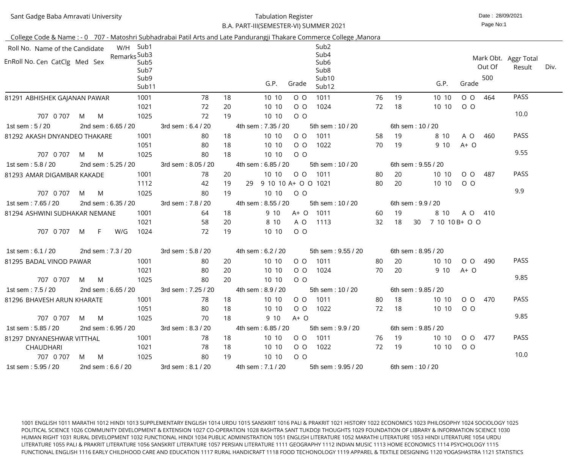| Sant Gadge Baba Amravati University |
|-------------------------------------|
|-------------------------------------|

#### Date : 28/09/2021 Tabulation RegisterB.A. PART-III(SEMESTER-VI) SUMMER 2021

Page No:1

| College Code & Name: - 0 707 - Matoshri Subhadrabai Patil Arts and Late Pandurangji Thakare Commerce College, Manora |                    |     |                    |                           |                    |    |                     |       |                  |                                              |    |                    |                       |         |        |                                |      |
|----------------------------------------------------------------------------------------------------------------------|--------------------|-----|--------------------|---------------------------|--------------------|----|---------------------|-------|------------------|----------------------------------------------|----|--------------------|-----------------------|---------|--------|--------------------------------|------|
| Roll No. Name of the Candidate                                                                                       |                    |     | W/H Sub1           |                           |                    |    |                     |       |                  | Sub <sub>2</sub>                             |    |                    |                       |         |        |                                |      |
| EnRoll No. Cen CatClg Med Sex                                                                                        |                    |     | Remarks Sub3       | Sub <sub>5</sub><br>Sub7  |                    |    |                     |       |                  | Sub4<br>Sub <sub>6</sub><br>Sub <sub>8</sub> |    |                    |                       |         | Out Of | Mark Obt. Aggr Total<br>Result | Div. |
|                                                                                                                      |                    |     |                    | Sub9<br>Sub <sub>11</sub> |                    |    |                     | G.P.  | Grade            | Sub <sub>10</sub><br>Sub12                   |    |                    | G.P.                  | Grade   | 500    |                                |      |
| 81291 ABHISHEK GAJANAN PAWAR                                                                                         |                    |     |                    | 1001                      | 78                 | 18 |                     | 10 10 | $O$ $O$          | 1011                                         | 76 | 19                 | 10 10                 | $O$ $O$ | 464    | <b>PASS</b>                    |      |
|                                                                                                                      |                    |     |                    | 1021                      | 72                 | 20 |                     | 10 10 | $O$ $O$          | 1024                                         | 72 | 18                 | 10 10                 | $O$ $O$ |        |                                |      |
| 707 0 707                                                                                                            | M                  | M   |                    | 1025                      | 72                 | 19 |                     | 10 10 | $O$ $O$          |                                              |    |                    |                       |         |        | 10.0                           |      |
| 1st sem: 5 / 20                                                                                                      |                    |     | 2nd sem: 6.65 / 20 |                           | 3rd sem: 6.4 / 20  |    | 4th sem: 7.35 / 20  |       |                  | 5th sem: 10 / 20                             |    | 6th sem: 10 / 20   |                       |         |        |                                |      |
| 81292 AKASH DNYANDEO THAKARE                                                                                         |                    |     |                    | 1001                      | 80                 | 18 |                     | 10 10 | $O$ $O$          | 1011                                         | 58 | 19                 | 8 10                  | A O     | 460    | <b>PASS</b>                    |      |
|                                                                                                                      |                    |     |                    | 1051                      | 80                 | 18 |                     | 10 10 | $O$ $O$          | 1022                                         | 70 | 19                 | 9 10                  | $A+O$   |        |                                |      |
| 707 0 707                                                                                                            | M                  | M   |                    | 1025                      | 80                 | 18 |                     | 10 10 | $O$ $O$          |                                              |    |                    |                       |         |        | 9.55                           |      |
| 1st sem: 5.8 / 20                                                                                                    |                    |     | 2nd sem: 5.25 / 20 |                           | 3rd sem: 8.05 / 20 |    | 4th sem: 6.85 / 20  |       |                  | 5th sem: 10 / 20                             |    | 6th sem: 9.55 / 20 |                       |         |        |                                |      |
| 81293 AMAR DIGAMBAR KAKADE                                                                                           |                    |     |                    | 1001                      | 78                 | 20 |                     | 10 10 | $O$ $O$          | 1011                                         | 80 | 20                 | 10 10                 | $O$ $O$ | 487    | <b>PASS</b>                    |      |
|                                                                                                                      |                    |     |                    | 1112                      | 42                 | 19 | 29                  |       |                  | 9 10 10 A+ O O 1021                          | 80 | 20                 | 10 10                 | $O$ O   |        |                                |      |
| 707 0 707                                                                                                            | M                  | M   |                    | 1025                      | 80                 | 19 |                     | 10 10 | $O$ O            |                                              |    |                    |                       |         |        | 9.9                            |      |
| 1st sem: 7.65 / 20                                                                                                   | 2nd sem: 6.35 / 20 |     |                    |                           | 3rd sem: 7.8 / 20  |    | 4th sem: 8.55 / 20  |       |                  | 5th sem: 10 / 20                             |    | 6th sem: 9.9 / 20  |                       |         |        |                                |      |
| 81294 ASHWINI SUDHAKAR NEMANE                                                                                        |                    |     |                    | 1001                      | 64                 | 18 |                     | 9 10  | $A+O$            | 1011                                         | 60 | 19                 | 8 10                  | A O 410 |        |                                |      |
|                                                                                                                      |                    |     |                    | 1021                      | 58                 | 20 |                     | 8 10  | A O              | 1113                                         | 32 | 18                 | 7 10 10 B + O O<br>30 |         |        |                                |      |
| 707 0 707                                                                                                            | M                  | F   | W/G                | 1024                      | 72                 | 19 |                     | 10 10 | $O$ $O$          |                                              |    |                    |                       |         |        |                                |      |
| 1st sem: 6.1 / 20                                                                                                    |                    |     | 2nd sem: 7.3 / 20  |                           | 3rd sem: 5.8 / 20  |    | 4th sem: 6.2 / 20   |       |                  | 5th sem: 9.55 / 20                           |    | 6th sem: 8.95 / 20 |                       |         |        |                                |      |
| 81295 BADAL VINOD PAWAR                                                                                              |                    |     |                    | 1001                      | 80                 | 20 |                     | 10 10 | $O$ $O$          | 1011                                         | 80 | 20                 | 10 10                 | $O$ $O$ | 490    | <b>PASS</b>                    |      |
|                                                                                                                      |                    |     |                    | 1021                      | 80                 | 20 |                     | 10 10 | $O$ O            | 1024                                         | 70 | 20                 | 9 10                  | $A+O$   |        |                                |      |
| 707 0 707 M M                                                                                                        |                    |     |                    | 1025                      | 80                 |    | 20 10 10 0 0        |       |                  |                                              |    |                    |                       |         |        | 9.85                           |      |
| 1st sem : 7.5 / 20 2nd sem : 6.65 / 20 3rd sem : 7.25 / 20                                                           |                    |     |                    |                           |                    |    |                     |       |                  | 4th sem : 8.9 / 20 5th sem : 10 / 20         |    | 6th sem: 9.85 / 20 |                       |         |        |                                |      |
| 81296 BHAVESH ARUN KHARATE                                                                                           |                    |     |                    | 1001                      | 78                 | 18 |                     | 10 10 |                  | O O 1011                                     | 80 | 18                 | 10 10                 | O O 470 |        | <b>PASS</b>                    |      |
|                                                                                                                      |                    |     |                    | 1051                      | 80                 | 18 |                     | 10 10 |                  | O O 1022                                     | 72 | 18                 | 10 10                 | $O$ O   |        |                                |      |
| 707 0 707 M M                                                                                                        |                    |     |                    | 1025                      | 70                 | 18 |                     | 9 10  | $A+O$            |                                              |    |                    |                       |         |        | 9.85                           |      |
| 1st sem : 5.85 / 20 2nd sem : 6.95 / 20                                                                              |                    |     |                    |                           | 3rd sem: 8.3 / 20  |    | 4th sem : 6.85 / 20 |       |                  | 5th sem : 9.9 / 20                           |    | 6th sem: 9.85 / 20 |                       |         |        |                                |      |
| 81297 DNYANESHWAR VITTHAL                                                                                            |                    |     |                    | 1001                      | 78                 | 18 |                     | 10 10 |                  | O O 1011                                     |    | 76 19              | 10 10                 | O O 477 |        | <b>PASS</b>                    |      |
| CHAUDHARI                                                                                                            |                    |     |                    | 1021                      | 78                 | 18 |                     | 10 10 |                  | O O 1022                                     | 72 | 19                 | 10 10 0 0             |         |        |                                |      |
| 707 0 707                                                                                                            |                    | M M |                    | 1025                      | 80                 | 19 |                     | 10 10 | $\overline{O}$ O |                                              |    |                    |                       |         |        | 10.0                           |      |
| 1st sem : 5.95 / 20 2nd sem : 6.6 / 20 3rd sem : 8.1 / 20                                                            |                    |     |                    |                           |                    |    |                     |       |                  | 4th sem: 7.1 / 20 5th sem: 9.95 / 20         |    | 6th sem : 10 / 20  |                       |         |        |                                |      |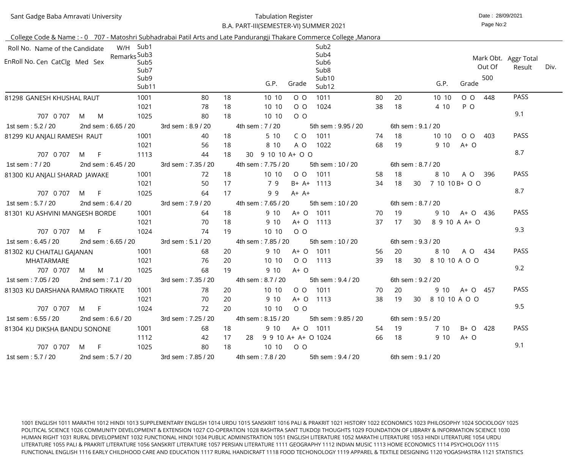| Sant Gadge Baba Amravati University |  |
|-------------------------------------|--|
|                                     |  |

#### Date : 28/09/2021 Tabulation RegisterB.A. PART-III(SEMESTER-VI) SUMMER 2021

Page No:2

|                                            |   |                    |                           |                    |           | College Code & Name : - 0 707 - Matoshri Subhadrabai Patil Arts and Late Pandurangji Thakare Commerce College, Manora |    |                   |                   |                        |         |        |                                |      |
|--------------------------------------------|---|--------------------|---------------------------|--------------------|-----------|-----------------------------------------------------------------------------------------------------------------------|----|-------------------|-------------------|------------------------|---------|--------|--------------------------------|------|
| Roll No. Name of the Candidate             |   |                    | W/H Sub1                  |                    |           | Sub <sub>2</sub>                                                                                                      |    |                   |                   |                        |         |        |                                |      |
| EnRoll No. Cen CatClg Med Sex              |   | Remarks Sub3       | Sub <sub>5</sub><br>Sub7  |                    |           | Sub4<br>Sub <sub>6</sub><br>Sub <sub>8</sub>                                                                          |    |                   |                   |                        |         | Out Of | Mark Obt. Aggr Total<br>Result | Div. |
|                                            |   |                    | Sub9<br>Sub <sub>11</sub> |                    |           | Sub <sub>10</sub><br>G.P.<br>Grade<br>Sub <sub>12</sub>                                                               |    |                   |                   | G.P.                   | Grade   | 500    |                                |      |
| 81298 GANESH KHUSHAL RAUT                  |   |                    | 1001                      | 80                 | 18        | 10 10<br>1011<br>$O$ $O$                                                                                              | 80 | 20                |                   | 10 10                  | $O$ $O$ | 448    | <b>PASS</b>                    |      |
|                                            |   |                    | 1021                      | 78                 | 18        | 10 10<br>$O$ $O$<br>1024                                                                                              | 38 | 18                |                   | 4 10                   | P O     |        |                                |      |
| 707 0 707                                  | M | M                  | 1025                      | 80                 | 18        | $O$ $O$<br>10 10                                                                                                      |    |                   |                   |                        |         |        | 9.1                            |      |
| 1st sem: 5.2 / 20                          |   | 2nd sem: 6.65 / 20 |                           | 3rd sem: 8.9 / 20  |           | 4th sem: 7 / 20<br>5th sem: 9.95 / 20                                                                                 |    |                   | 6th sem: 9.1 / 20 |                        |         |        |                                |      |
| 81299 KU ANJALI RAMESH RAUT                |   |                    | 1001                      | 40                 | 18        | 5 10<br>C O<br>1011                                                                                                   | 74 | 18                |                   | 10 10                  | $O$ O   | 403    | <b>PASS</b>                    |      |
|                                            |   |                    | 1021                      | 56                 | 18        | 8 10<br>A O<br>1022                                                                                                   | 68 | 19                |                   | 9 10                   | $A+O$   |        |                                |      |
| 707 0 707                                  | M | - F                | 1113                      | 44                 | 18        | 9 10 10 A + O O<br>30                                                                                                 |    |                   |                   |                        |         |        | 8.7                            |      |
| 1st sem: 7 / 20                            |   | 2nd sem: 6.45 / 20 |                           | 3rd sem: 7.35 / 20 |           | 4th sem: 7.75 / 20<br>5th sem: 10 / 20                                                                                |    |                   | 6th sem: 8.7 / 20 |                        |         |        |                                |      |
| 81300 KU ANJALI SHARAD JAWAKE              |   |                    | 1001                      | 72                 | 18        | 10 10<br>$O$ $O$<br>1011                                                                                              | 58 | 18                |                   | 8 10                   | A O     | 396    | <b>PASS</b>                    |      |
|                                            |   |                    | 1021                      | 50                 | 17        | 79<br>B+ A+<br>1113                                                                                                   | 34 | 18                | 30                | 7 10 10 B + O O        |         |        |                                |      |
| 707 0 707                                  | M | $-F$               | 1025                      | 64                 | 17        | 99<br>$A+ A+$                                                                                                         |    |                   |                   |                        |         |        | 8.7                            |      |
| 1st sem: 5.7 / 20                          |   | 2nd sem: 6.4 / 20  |                           | 3rd sem: 7.9 / 20  |           | 4th sem: 7.65 / 20<br>5th sem: 10 / 20                                                                                |    |                   | 6th sem: 8.7 / 20 |                        |         |        |                                |      |
| 81301 KU ASHVINI MANGESH BORDE             |   |                    | 1001                      | 64                 | 18        | 9 10<br>A+ O<br>1011                                                                                                  | 70 | 19                |                   | 9 10                   | A+ O    | 436    | <b>PASS</b>                    |      |
|                                            |   |                    | 1021                      | 70                 | 18        | 9 10<br>$A+O$<br>1113                                                                                                 | 37 | 17                | 30                | 8 9 10 A A+ O          |         |        |                                |      |
| 707 0 707                                  | M | -F                 | 1024                      | 74                 | 19        | $O$ $O$<br>10 10                                                                                                      |    |                   |                   |                        |         |        | 9.3                            |      |
| 1st sem: 6.45 / 20                         |   | 2nd sem: 6.65 / 20 |                           | 3rd sem: 5.1 / 20  |           | 4th sem: 7.85 / 20<br>5th sem: 10 / 20                                                                                |    |                   | 6th sem: 9.3 / 20 |                        |         |        |                                |      |
| 81302 KU CHAITALI GAJANAN                  |   |                    | 1001                      | 68                 | 20        | 9 10<br>$A+O$<br>1011                                                                                                 | 56 | 20                |                   | 8 10                   | A O     | 434    | <b>PASS</b>                    |      |
| <b>MHATARMARE</b>                          |   |                    | 1021                      | 76                 | 20        | 10 10<br>$O$ O<br>1113                                                                                                | 39 | 18                | 30                | 8 10 10 A O O          |         |        |                                |      |
| 707 0 707 M M                              |   |                    | 1025                      | 68                 | 19        | 9 10<br>$A+$ $\Omega$                                                                                                 |    |                   |                   |                        |         |        | 9.2                            |      |
|                                            |   |                    |                           |                    |           | 1st sem : 7.05 / 20   2nd sem : 7.1 / 20    3rd sem : 7.35 / 20   4th sem : 8.7 / 20   5th sem : 9.4 / 20             |    | 6th sem: 9.2 / 20 |                   |                        |         |        |                                |      |
| 81303 KU DARSHANA RAMRAO TIRKATE           |   |                    | 1001                      | 78                 | -20       | 10 10 0 0 1011                                                                                                        |    |                   |                   | 70 20 9 10 A + O 457   |         |        | <b>PASS</b>                    |      |
|                                            |   |                    | 1021                      | 70                 | 20        | 9 10<br>A+ O 1113                                                                                                     |    |                   |                   | 38 19 30 8 10 10 A O O |         |        |                                |      |
|                                            |   | 707 0 707 M F      | 1024                      | 72                 | <b>20</b> | 10 10 0 0                                                                                                             |    |                   |                   |                        |         |        | 9.5                            |      |
| $1st$ sem : 6.55 / 20 $2nd$ sem : 6.6 / 20 |   |                    |                           | 3rd sem: 7.25 / 20 |           | 4th sem: 8.15 / 20 5th sem: 9.85 / 20                                                                                 |    | 6th sem: 9.5 / 20 |                   |                        |         |        |                                |      |
| 81304 KU DIKSHA BANDU SONONE               |   |                    | 1001                      | -68                | 18        | 9 10 A+ O 1011                                                                                                        |    |                   |                   | 54 19 7 10 B+ O 428    |         |        | <b>PASS</b>                    |      |
|                                            |   |                    | 1112                      | 42                 | 17        | 28  9  9  10  A+ A+ O 1024                                                                                            |    | 66 18             |                   | $910 \t A+O$           |         |        |                                |      |
|                                            |   | 707 0 707 M F      | 1025                      | 80                 |           | 18 10 10 0 0                                                                                                          |    |                   |                   |                        |         |        | 9.1                            |      |
| 1st sem : 5.7 / 20                         |   |                    |                           |                    |           | 2nd sem : 5.7 / 20 3rd sem : 7.85 / 20 4th sem : 7.8 / 20 5th sem : 9.4 / 20 6th sem : 9.1 / 20                       |    |                   |                   |                        |         |        |                                |      |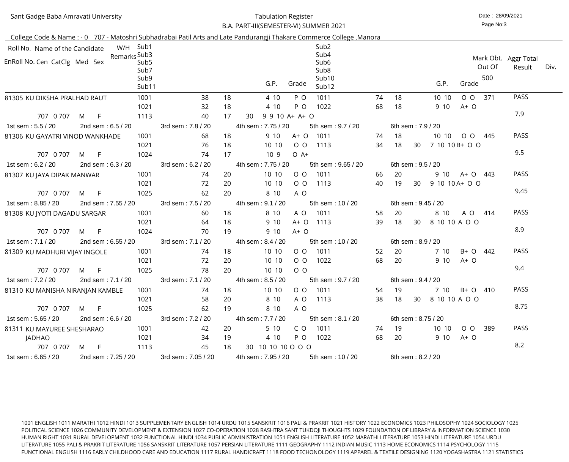## Sant Gadge Baba Amravati University

#### Date : 28/09/2021 Tabulation RegisterB.A. PART-III(SEMESTER-VI) SUMMER 2021

 $\sim$  11

Page No:3

|                                  |                    |                          |                    |                                       | <u> College Code &amp; Name : - 0 707 - Matoshri Subhadrabai Patil Arts and Late Pandurangji Thakare Commerce College ,Manora</u> |                    |                    |                 |                 |                 |        |                      |      |
|----------------------------------|--------------------|--------------------------|--------------------|---------------------------------------|-----------------------------------------------------------------------------------------------------------------------------------|--------------------|--------------------|-----------------|-----------------|-----------------|--------|----------------------|------|
| Roll No. Name of the Candidate   |                    | W/H Sub1                 |                    |                                       | Sub <sub>2</sub>                                                                                                                  |                    |                    |                 |                 |                 |        |                      |      |
|                                  | Remarks Sub3       |                          |                    |                                       | Sub4                                                                                                                              |                    |                    |                 |                 |                 |        | Mark Obt. Aggr Total |      |
| EnRoll No. Cen CatClg Med Sex    |                    | Sub <sub>5</sub><br>Sub7 |                    |                                       | Sub <sub>6</sub><br>Sub <sub>8</sub>                                                                                              |                    |                    |                 |                 |                 | Out Of | Result               | Div. |
|                                  |                    | Sub9                     |                    |                                       | Sub <sub>10</sub>                                                                                                                 |                    |                    |                 |                 |                 | 500    |                      |      |
|                                  |                    | Sub <sub>11</sub>        |                    |                                       | G.P.<br>Grade<br>Sub12                                                                                                            |                    |                    |                 | G.P.            | Grade           |        |                      |      |
| 81305 KU DIKSHA PRALHAD RAUT     |                    | 1001                     | 38                 | 18                                    | 1011<br>4 10<br>P O                                                                                                               | 74                 | 18                 |                 | 10 10           | $O$ $O$         | 371    | <b>PASS</b>          |      |
|                                  |                    | 1021                     | 32                 | 18                                    | 4 10<br>P O<br>1022                                                                                                               | 68                 | 18                 |                 | 9 10            | $A+O$           |        |                      |      |
| 707 0 707                        | $F_{\perp}$<br>M   | 1113                     | 40                 | 17                                    | $9$ 9 10 A+ A+ O<br>30                                                                                                            |                    |                    |                 |                 |                 |        | 7.9                  |      |
| 1st sem: 5.5 / 20                | 2nd sem: 6.5 / 20  |                          | 3rd sem: 7.8 / 20  |                                       | 4th sem: 7.75 / 20<br>5th sem: 9.7 / 20                                                                                           |                    | 6th sem: 7.9 / 20  |                 |                 |                 |        |                      |      |
| 81306 KU GAYATRI VINOD WANKHADE  |                    | 1001                     | 68                 | 18                                    | 9 10<br>A+ O 1011                                                                                                                 | 74                 | -18                |                 |                 | 10 10 0 0 0 445 |        | PASS                 |      |
|                                  |                    | 1021                     | 76                 | 18                                    | 10 10<br>$O$ $O$<br>1113                                                                                                          | 34                 | 18                 | 30              | 7 10 10 B + O O |                 |        |                      |      |
| 707 0 707                        | F<br>M             | 1024                     | 74                 | 17                                    | 10 <sub>9</sub><br>$O$ A+                                                                                                         |                    |                    |                 |                 |                 |        | 9.5                  |      |
| 1st sem: 6.2 / 20                | 2nd sem: 6.3 / 20  |                          | 3rd sem: 6.2 / 20  |                                       | 4th sem: 7.75 / 20<br>5th sem: 9.65 / 20                                                                                          |                    | 6th sem: 9.5 / 20  |                 |                 |                 |        |                      |      |
| 81307 KU JAYA DIPAK MANWAR       |                    | 1001                     | 74                 | 20                                    | 10 10<br>$O$ $O$<br>1011                                                                                                          | 66                 | 20                 |                 | 9 10            | A+ O 443        |        | PASS                 |      |
|                                  |                    | 1021                     | 72                 | 20                                    | 10 10<br>$O$ O<br>1113                                                                                                            | 40                 | 19                 | 30 <sup>°</sup> | 9 10 10 A + O O |                 |        |                      |      |
| 707 0 707                        | – F<br>M           | 1025                     | 62                 | 20                                    | 8 10<br>A O                                                                                                                       |                    |                    |                 |                 |                 |        | 9.45                 |      |
| 1st sem: 8.85 / 20               | 2nd sem: 7.55 / 20 | 3rd sem: 7.5 / 20        |                    | 4th sem: 9.1 / 20<br>5th sem: 10 / 20 |                                                                                                                                   | 6th sem: 9.45 / 20 |                    |                 |                 |                 |        |                      |      |
| 81308 KU JYOTI DAGADU SARGAR     |                    | 1001                     | 60                 | 18                                    | 8 10<br>A O<br>1011                                                                                                               | 58                 | 20                 |                 | 8 10            | A O 414         |        | PASS                 |      |
|                                  |                    | 1021                     | 64                 | 18                                    | 9 10<br>$A+O$<br>1113                                                                                                             | 39                 | 18                 | 30              | 8 10 10 A O O   |                 |        |                      |      |
| 707 0 707                        | $-F$<br>M          | 1024                     | 70                 | 19                                    | 9 10<br>$A+O$                                                                                                                     |                    |                    |                 |                 |                 |        | 8.9                  |      |
| 1st sem: 7.1 / 20                | 2nd sem: 6.55 / 20 |                          | 3rd sem: 7.1 / 20  |                                       | 4th sem: 8.4 / 20<br>5th sem: 10 / 20                                                                                             |                    | 6th sem: 8.9 / 20  |                 |                 |                 |        |                      |      |
| 81309 KU MADHURI VIJAY INGOLE    |                    | 1001                     | 74                 | 18                                    | 10 10<br>$O$ $O$<br>1011                                                                                                          | 52                 | 20                 |                 | 7 10            | B+ O            | 442    | PASS                 |      |
|                                  |                    | 1021                     | 72                 | 20                                    | 10 10<br>$O$ $O$<br>1022                                                                                                          | 68                 | 20                 |                 | 9 10            | $A+O$           |        |                      |      |
| 707 0 707                        | M<br>-F.           | 1025                     | 78                 | 20                                    | 10 10<br>$O$ $O$                                                                                                                  |                    |                    |                 |                 |                 |        | 9.4                  |      |
| 1st sem : 7.2 / 20               | 2nd sem: 7.1 / 20  |                          | 3rd sem: 7.1 / 20  |                                       | 4th sem: 8.5 / 20<br>5th sem: 9.7 / 20                                                                                            |                    | 6th sem: 9.4 / 20  |                 |                 |                 |        |                      |      |
| 81310 KU MANISHA NIRANJAN KAMBLE |                    | 1001                     | 74                 | 18                                    | 10 10<br>O O 1011                                                                                                                 | 54                 | -19                |                 | 7 10            | B+ O 410        |        | <b>PASS</b>          |      |
|                                  |                    | 1021                     | 58                 | 20                                    | 8 10<br>A O<br>1113                                                                                                               | 38                 | 18                 | 30              | 8 10 10 A O O   |                 |        |                      |      |
| 707 0 707                        | M F                | 1025                     | 62                 | 19                                    | 8 10<br>A O                                                                                                                       |                    |                    |                 |                 |                 |        | 8.75                 |      |
| 1st sem: 5.65 / 20               | 2nd sem: 6.6 / 20  |                          | 3rd sem: 7.2 / 20  |                                       | 4th sem: 7.7 / 20<br>5th sem : $8.1 / 20$                                                                                         |                    | 6th sem: 8.75 / 20 |                 |                 |                 |        |                      |      |
| 81311 KU MAYUREE SHESHARAO       |                    | 1001                     | 42                 | 20                                    | 5 10<br>C O<br>1011                                                                                                               | 74                 | - 19               |                 | 10 10           | $O$ $O$         | -389   | <b>PASS</b>          |      |
| <b>JADHAO</b>                    |                    | 1021                     | 34                 | 19                                    | 4 10<br>P O<br>1022                                                                                                               | 68                 | -20                |                 | 9 10            | $A+O$           |        |                      |      |
| 707 0 707                        | M F                | 1113                     | 45                 | 18                                    | 30 10 10 10 0 0 0                                                                                                                 |                    |                    |                 |                 |                 |        | 8.2                  |      |
| 1st sem: 6.65 / 20               | 2nd sem: 7.25 / 20 |                          | 3rd sem: 7.05 / 20 |                                       | 4th sem: 7.95 / 20<br>5th sem: 10 / 20                                                                                            |                    | 6th sem: 8.2 / 20  |                 |                 |                 |        |                      |      |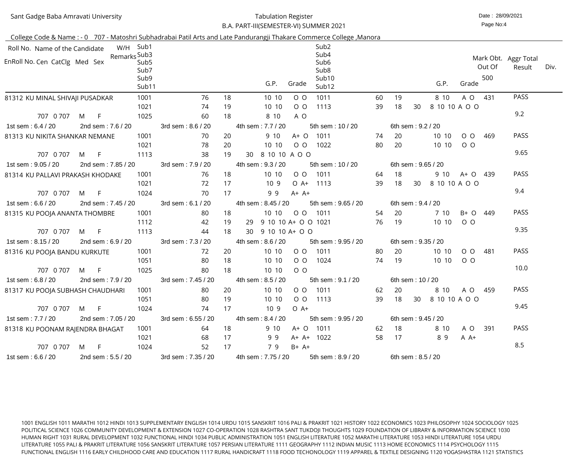Sant Gadge Baba Amravati University

#### Date : 28/09/2021 Tabulation RegisterB.A. PART-III(SEMESTER-VI) SUMMER 2021

Page No:4

| College Code & Name: - 0 707 - Matoshri Subhadrabai Patil Arts and Late Pandurangji Thakare Commerce College, Manora |     |                    |                                  |                     |    |                            |         |                                                       |    |                   |                   |                     |         |               |                                |      |
|----------------------------------------------------------------------------------------------------------------------|-----|--------------------|----------------------------------|---------------------|----|----------------------------|---------|-------------------------------------------------------|----|-------------------|-------------------|---------------------|---------|---------------|--------------------------------|------|
| Roll No. Name of the Candidate                                                                                       |     |                    | W/H Sub1                         |                     |    |                            |         | Sub <sub>2</sub>                                      |    |                   |                   |                     |         |               |                                |      |
| EnRoll No. Cen CatClg Med Sex                                                                                        |     | Remarks Sub3       | Sub <sub>5</sub><br>Sub7<br>Sub9 |                     |    |                            |         | Sub4<br>Sub <sub>6</sub><br>Sub <sub>8</sub><br>Sub10 |    |                   |                   |                     |         | Out Of<br>500 | Mark Obt. Aggr Total<br>Result | Div. |
|                                                                                                                      |     |                    | Sub11                            |                     |    | G.P.                       | Grade   | Sub12                                                 |    |                   |                   | G.P.                | Grade   |               |                                |      |
| 81312 KU MINAL SHIVAJI PUSADKAR                                                                                      |     |                    | 1001                             | 76                  | 18 | 10 10                      | $O$ $O$ | 1011                                                  | 60 | 19                |                   | 8 10                | A O     | 431           | <b>PASS</b>                    |      |
|                                                                                                                      |     |                    | 1021                             | 74                  | 19 | 10 10                      | $O$ $O$ | 1113                                                  | 39 | 18                | 30                | 8 10 10 A O O       |         |               |                                |      |
| 707 0 707                                                                                                            | M   | F.                 | 1025                             | 60                  | 18 | 8 10                       | A O     |                                                       |    |                   |                   |                     |         |               | 9.2                            |      |
| 1st sem: 6.4 / 20                                                                                                    |     | 2nd sem: 7.6 / 20  |                                  | 3rd sem: 8.6 / 20   |    | 4th sem: 7.7 / 20          |         | 5th sem: 10 / 20                                      |    |                   | 6th sem: 9.2 / 20 |                     |         |               |                                |      |
| 81313 KU NIKITA SHANKAR NEMANE                                                                                       |     |                    | 1001                             | 70                  | 20 | 9 10                       | $A+O$   | 1011                                                  | 74 | 20                |                   | 10 10               | $O$ $O$ | 469           | <b>PASS</b>                    |      |
|                                                                                                                      |     |                    | 1021                             | 78                  | 20 | 10 10                      | $O$ $O$ | 1022                                                  | 80 | 20                |                   | 10 10               | $O$ $O$ |               |                                |      |
| 707 0 707                                                                                                            | M   | F                  | 1113                             | 38                  | 19 | 8 10 10 A O O<br>30        |         |                                                       |    |                   |                   |                     |         |               | 9.65                           |      |
| 1st sem: 9.05 / 20                                                                                                   |     | 2nd sem: 7.85 / 20 |                                  | 3rd sem: 7.9 / 20   |    | 4th sem: 9.3 / 20          |         | 5th sem: 10 / 20                                      |    |                   |                   | 6th sem: 9.65 / 20  |         |               |                                |      |
| 81314 KU PALLAVI PRAKASH KHODAKE                                                                                     |     |                    | 1001                             | 76                  | 18 | 10 10                      | $O$ O   | 1011                                                  | 64 | 18                |                   | 9 10                | A+ O    | 439           | <b>PASS</b>                    |      |
|                                                                                                                      |     |                    | 1021                             | 72                  | 17 | 10 <sub>9</sub>            | $O A+$  | 1113                                                  | 39 | 18                | 30                | 8 10 10 A O O       |         |               |                                |      |
| 707 0 707                                                                                                            | M   | $\mathsf{F}$       | 1024                             | 70                  | 17 | 99                         | $A+ A+$ |                                                       |    |                   |                   |                     |         |               | 9.4                            |      |
| 1st sem: 6.6 / 20                                                                                                    |     | 2nd sem: 7.45 / 20 |                                  | 3rd sem: 6.1 / 20   |    | 4th sem: 8.45 / 20         |         | 5th sem: 9.65 / 20                                    |    |                   | 6th sem: 9.4 / 20 |                     |         |               |                                |      |
| 81315 KU POOJA ANANTA THOMBRE                                                                                        |     |                    | 1001                             | 80                  | 18 | 10 10                      | $O$ $O$ | 1011                                                  | 54 | 20                |                   | 7 10                | B+ O    | 449           | <b>PASS</b>                    |      |
|                                                                                                                      |     |                    | 1112                             | 42                  | 19 | 9 10 10 A+ O O 1021<br>-29 |         |                                                       | 76 | 19                |                   | 10 10               | $O$ $O$ |               |                                |      |
| 707 0 707                                                                                                            | M   | F.                 | 1113                             | 44                  | 18 | 9 10 10 A + O O<br>30      |         |                                                       |    |                   |                   |                     |         |               | 9.35                           |      |
| 1st sem: 8.15 / 20                                                                                                   |     | 2nd sem: 6.9 / 20  |                                  | 3rd sem: 7.3 / 20   |    | 4th sem: 8.6 / 20          |         | 5th sem: 9.95 / 20                                    |    |                   |                   | 6th sem: 9.35 / 20  |         |               |                                |      |
| 81316 KU POOJA BANDU KURKUTE                                                                                         |     |                    | 1001                             | 72                  | 20 | 10 10                      | $O$ O   | 1011                                                  | 80 | 20                |                   | 10 10               | $O$ O   | 481           | <b>PASS</b>                    |      |
|                                                                                                                      |     |                    | 1051                             | 80                  | 18 | 10 10                      | $O$ O   | 1024                                                  | 74 | 19                |                   | 10 10               | $O$ $O$ |               |                                |      |
| 707 0 707 M                                                                                                          |     |                    | 1025                             | 80                  | 18 | 10 10                      | $O$ $O$ |                                                       |    |                   |                   |                     |         |               | 10.0                           |      |
| 1st sem : 6.8 / 20                                                                                                   |     | 2nd sem: 7.9 / 20  |                                  | 3rd sem : 7.45 / 20 |    | 4th sem : 8.5 / 20         |         | 5th sem: 9.1 / 20                                     |    | 6th sem: 10 / 20  |                   |                     |         |               |                                |      |
| 81317 KU POOJA SUBHASH CHAUDHARI                                                                                     |     |                    | 1001                             | 80                  | 20 | 10 10                      |         | O O 1011                                              | 62 | - 20              |                   | 8 10 A O 459        |         |               | <b>PASS</b>                    |      |
|                                                                                                                      |     |                    | 1051                             | 80                  | 19 | 10 10                      |         | 0 0 1113                                              | 39 |                   |                   | 18 30 8 10 10 A O O |         |               |                                |      |
| 707 0 707                                                                                                            | M F |                    | 1024                             | 74                  | 17 | 109                        | $O A+$  |                                                       |    |                   |                   |                     |         |               | 9.45                           |      |
| 1st sem : 7.7 / 20                                                                                                   |     | 2nd sem: 7.05 / 20 |                                  | 3rd sem: 6.55 / 20  |    | 4th sem: 8.4 / 20          |         | 5th sem: 9.95 / 20                                    |    |                   |                   | 6th sem: 9.45 / 20  |         |               |                                |      |
| 81318 KU POONAM RAJENDRA BHAGAT                                                                                      |     |                    | 1001                             | 64                  | 18 | 9 10                       |         | A+ O 1011                                             | 62 | 18                |                   | 8 10                | A O 391 |               | <b>PASS</b>                    |      |
|                                                                                                                      |     |                    | 1021                             | 68                  | 17 | 99                         |         | A+ A+ 1022                                            | 58 | 17                |                   | 89                  | $A A+$  |               |                                |      |
| 707 0 707                                                                                                            | M F |                    | 1024                             | 52                  | 17 | 79                         | B+ A+   |                                                       |    |                   |                   |                     |         |               | 8.5                            |      |
| 1st sem : 6.6 / 20                                                                                                   |     | 2nd sem: 5.5 / 20  |                                  | 3rd sem: 7.35 / 20  |    | 4th sem: 7.75 / 20         |         | 5th sem: 8.9 / 20                                     |    | 6th sem: 8.5 / 20 |                   |                     |         |               |                                |      |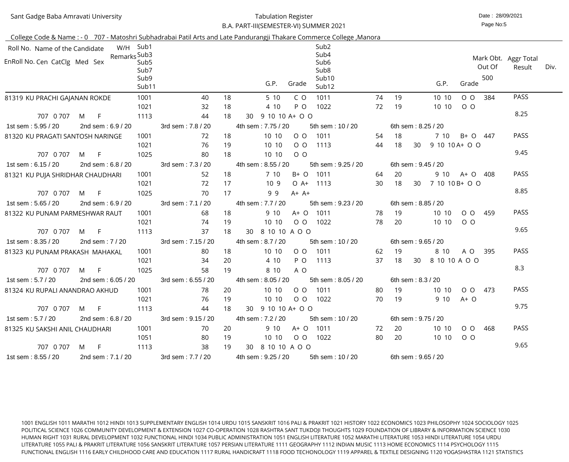| Sant Gadge Baba Amravati University |  |  |
|-------------------------------------|--|--|
|                                     |  |  |

#### Date : 28/09/2021 Tabulation RegisterB.A. PART-III(SEMESTER-VI) SUMMER 2021

Page No:5

|                                  |                                    |                                                       |                          |    | College Code & Name: - 0 707 - Matoshri Subhadrabai Patil Arts and Late Pandurangji Thakare Commerce College, Manora |    |       |                       |                        |                                        |
|----------------------------------|------------------------------------|-------------------------------------------------------|--------------------------|----|----------------------------------------------------------------------------------------------------------------------|----|-------|-----------------------|------------------------|----------------------------------------|
| Roll No. Name of the Candidate   |                                    | W/H Sub1                                              |                          |    | Sub <sub>2</sub>                                                                                                     |    |       |                       |                        |                                        |
| EnRoll No. Cen CatClg Med Sex    | Remarks Sub3                       | Sub <sub>5</sub><br>Sub7<br>Sub9<br>Sub <sub>11</sub> |                          |    | Sub4<br>Sub <sub>6</sub><br>Sub <sub>8</sub><br>Sub10<br>G.P.<br>Grade<br>Sub12                                      |    |       | G.P.                  | Out Of<br>500<br>Grade | Mark Obt. Aggr Total<br>Div.<br>Result |
| 81319 KU PRACHI GAJANAN ROKDE    |                                    | 1001                                                  | 40                       | 18 | 1011<br>5 10<br>C O                                                                                                  | 74 | 19    | 10 10                 | 384<br>$O$ $O$         | <b>PASS</b>                            |
|                                  |                                    | 1021                                                  | 32                       | 18 | P O<br>1022<br>4 10                                                                                                  | 72 | 19    | 10 10                 | $O$ O                  |                                        |
| 707 0 707                        | M<br>$\overline{F}$                | 1113                                                  | 44                       | 18 | 9 10 10 A + O O<br>30                                                                                                |    |       |                       |                        | 8.25                                   |
| 1st sem: 5.95 / 20               | 2nd sem: 6.9 / 20                  |                                                       | 3rd sem: 7.8 / 20        |    | 4th sem: 7.75 / 20<br>5th sem: 10 / 20                                                                               |    |       | 6th sem: 8.25 / 20    |                        |                                        |
| 81320 KU PRAGATI SANTOSH NARINGE |                                    | 1001                                                  | 72                       | 18 | 10 10<br>1011<br>$O$ O                                                                                               | 54 | 18    | 7 10                  | B+ O<br>447            | <b>PASS</b>                            |
|                                  |                                    | 1021                                                  | 76                       | 19 | 10 10<br>$O$ O<br>1113                                                                                               | 44 | 18    | 9 10 10 A + O O<br>30 |                        |                                        |
| 707 0 707                        | $\overline{F}$<br>M                | 1025                                                  | 80                       | 18 | $O$ $O$<br>10 10                                                                                                     |    |       |                       |                        | 9.45                                   |
| 1st sem: 6.15 / 20               | 2nd sem: 6.8 / 20                  |                                                       | 3rd sem: 7.3 / 20        |    | 4th sem: 8.55 / 20<br>5th sem: 9.25 / 20                                                                             |    |       | 6th sem: 9.45 / 20    |                        |                                        |
| 81321 KU PUJA SHRIDHAR CHAUDHARI |                                    | 1001                                                  | 52                       | 18 | 7 10<br>B+ O<br>1011                                                                                                 | 64 | 20    | 9 10                  | A+ O<br>408            | <b>PASS</b>                            |
|                                  |                                    | 1021                                                  | 72                       | 17 | 10 <sub>9</sub><br>$O A+$<br>1113                                                                                    | 30 | 18    | 7 10 10 B + O O<br>30 |                        |                                        |
| 707 0 707                        | -F<br>M                            | 1025                                                  | 70                       | 17 | 99<br>$A+ A+$                                                                                                        |    |       |                       |                        | 8.85                                   |
| 1st sem: 5.65 / 20               | 2nd sem: 6.9 / 20                  |                                                       | 3rd sem: 7.1 / 20        |    | 4th sem: 7.7 / 20<br>5th sem: 9.23 / 20                                                                              |    |       | 6th sem: 8.85 / 20    |                        |                                        |
| 81322 KU PUNAM PARMESHWAR RAUT   |                                    | 1001                                                  | 68                       | 18 | 9 10<br>A+ O<br>1011                                                                                                 | 78 | 19    | 10 10                 | $O$ $O$<br>459         | <b>PASS</b>                            |
|                                  |                                    | 1021                                                  | 74                       | 19 | 10 10<br>$O$ $O$<br>1022                                                                                             | 78 | 20    | 10 10                 | $O$ O                  |                                        |
| 707 0 707                        | M<br>$-F$                          | 1113                                                  | 37                       | 18 | 8 10 10 A O O<br>30                                                                                                  |    |       |                       |                        | 9.65                                   |
| 1st sem: 8.35 / 20               | 2nd sem: 7 / 20                    |                                                       | 3rd sem: 7.15 / 20       |    | 4th sem: 8.7 / 20<br>5th sem: 10 / 20                                                                                |    |       | 6th sem: 9.65 / 20    |                        |                                        |
| 81323 KU PUNAM PRAKASH MAHAKAL   |                                    | 1001                                                  | 80                       | 18 | 10 10<br>$O$ O<br>1011                                                                                               | 62 | 19    | 8 10                  | A O<br>395             | <b>PASS</b>                            |
|                                  |                                    | 1021                                                  | 34                       | 20 | 4 10<br>P O<br>1113                                                                                                  | 37 | 18    | 30<br>8 10 10 A O O   |                        |                                        |
| 707 0 707                        | M<br>F.                            | 1025                                                  | 58                       | 19 | 8 10<br>A O                                                                                                          |    |       |                       |                        | 8.3                                    |
|                                  |                                    |                                                       |                          |    | 1st sem : 5.7 / 20 2nd sem : 6.05 / 20 3rd sem : 6.55 / 20 4th sem : 8.05 / 20 5th sem : 8.05 / 20                   |    |       | 6th sem: 8.3 / 20     |                        |                                        |
| 81324 KU RUPALI ANANDRAO AKHUD   |                                    | 1001                                                  | 78                       | 20 | 10 10 00 1011                                                                                                        |    | 80 19 |                       | 10 10 0 0 473          | <b>PASS</b>                            |
|                                  |                                    | 1021                                                  | 76                       | 19 | 10 10 0 0 1022                                                                                                       | 70 | 19    | $910 \tA+O$           |                        | 9.75                                   |
|                                  | 707 0 707 M F                      | 1113                                                  | 44                       | 18 | 30 9 10 10 A + O O                                                                                                   |    |       |                       |                        |                                        |
| 1st sem: 5.7 / 20                | 2nd sem: 6.8 / 20                  |                                                       | 3rd sem: 9.15 / 20       |    | 4th sem : 7.2 / 20<br>5th sem: 10 / 20                                                                               |    |       | 6th sem: 9.75 / 20    |                        |                                        |
| 81325 KU SAKSHI ANIL CHAUDHARI   |                                    | 1001                                                  | 70                       | 20 | 9 10 A + O 1011                                                                                                      |    | 72 20 |                       | 10 10 0 0 468          | <b>PASS</b>                            |
|                                  |                                    | 1051                                                  | 80                       | 19 | 10 10 0 0 1022                                                                                                       | 80 | - 20  | 10 10 0 0             |                        | 9.65                                   |
| 1st sem : 8.55 / 20              | 707 0 707 M F<br>2nd sem: 7.1 / 20 | 1113                                                  | 38<br>3rd sem : 7.7 / 20 |    | 19 30 8 10 10 A O O<br>4th sem : 9.25 / 20<br>5th sem : 10 / 20                                                      |    |       | 6th sem: 9.65 / 20    |                        |                                        |
|                                  |                                    |                                                       |                          |    |                                                                                                                      |    |       |                       |                        |                                        |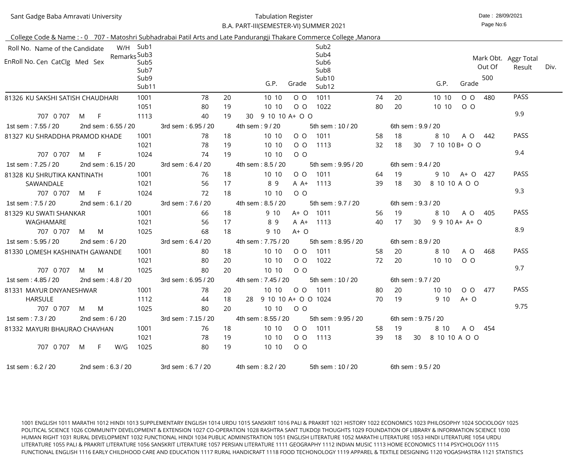Sant Gadge Baba Amravati University

#### Date : 28/09/2021 Tabulation RegisterB.A. PART-III(SEMESTER-VI) SUMMER 2021

Page No:6

| 1st sem : 6.2 / 20                  | 2nd sem: 6.3 / 20         |              |                          | 3rd sem: 6.7 / 20       |          | 4th sem : 8.2 / 20                  | 5th sem: 10 / 20                     |          | 6th sem: 9.5 / 20    |    |                          |          |        |                      |      |
|-------------------------------------|---------------------------|--------------|--------------------------|-------------------------|----------|-------------------------------------|--------------------------------------|----------|----------------------|----|--------------------------|----------|--------|----------------------|------|
| 707 0 707                           | $-$ F $-$<br>M            | W/G          | 1025                     | 80                      | 19       | 10 10<br>$O$ O                      |                                      |          |                      |    |                          |          |        |                      |      |
|                                     |                           |              | 1021                     | 78                      | 19       | 10 10                               | 0 0 1113                             | 39       |                      |    | 18 30 8 10 10 A O O      |          |        |                      |      |
| 81332 MAYURI BHAURAO CHAVHAN        |                           |              | 1001                     | -76                     | 18       | 10 10                               | O O 1011                             | 58       | 19                   |    | 8 10                     | A O 454  |        |                      |      |
| 1st sem: 7.3 / 20                   | 2nd sem : $6/20$          |              |                          | 3rd sem: 7.15 / 20      |          | 4th sem: 8.55 / 20                  | 5th sem: 9.95 / 20                   |          | 6th sem: 9.75 / 20   |    |                          |          |        |                      |      |
| 707 0 707                           | M M                       |              | 1025                     | 80                      | 20       | 10 10 0 0                           |                                      |          |                      |    |                          |          |        | 9.75                 |      |
| <b>HARSULE</b>                      |                           |              | 1112                     | 44                      | 18       | 28 9 10 10 A + O O 1024             |                                      | 70       | - 19                 |    | 9 10                     | $A+O$    |        |                      |      |
| 81331 MAYUR DNYANESHWAR             |                           |              | 1001                     | -78                     | 20       | 10 10 0 0 1011                      |                                      | 80       | - 20                 |    | 10 10                    | O O 477  |        | <b>PASS</b>          |      |
| 1st sem : 4.85 / 20                 | 2nd sem : 4.8 / 20        |              |                          | 3rd sem: 6.95 / 20      |          | 4th sem: 7.45 / 20 5th sem: 10 / 20 |                                      |          | 6th sem : $9.7 / 20$ |    |                          |          |        |                      |      |
| 707 0 707                           | M<br>M                    |              | 1025                     | 80                      | 20       | 10 10<br>$O$ O                      |                                      |          |                      |    |                          |          |        | 9.7                  |      |
|                                     |                           |              | 1021                     | 80                      | 20       | 10 10<br>$O$ $O$                    | 1022                                 | 72       | 20                   |    | 10 10                    | $O$ $O$  |        |                      |      |
| 81330 LOMESH KASHINATH GAWANDE      |                           |              | 1001                     | 80                      | 18       | 10 10<br>$O$ O                      | 1011                                 | 58       | 20                   |    | 8 10                     | A O      | 468    | <b>PASS</b>          |      |
| 1st sem: 5.95 / 20                  | M<br>M<br>2nd sem: $6/20$ |              | 1025                     | 68<br>3rd sem: 6.4 / 20 |          | 4th sem: 7.75 / 20                  | 5th sem: 8.95 / 20                   |          | 6th sem: 8.9 / 20    |    |                          |          |        |                      |      |
| 707 0 707                           |                           |              | 1021                     | 56                      | 18       | 89<br>A A+<br>9 10<br>$A+O$         |                                      |          |                      |    |                          |          |        | 8.9                  |      |
| 81329 KU SWATI SHANKAR<br>WAGHAMARE |                           |              | 1001                     | 66                      | 18<br>17 | 9 10                                | A+ O 1011<br>1113                    | 56<br>40 | 19<br>17             | 30 | 8 10<br>$9$ 9 10 A+ A+ O | A O      | 405    | <b>PASS</b>          |      |
| 1st sem: 7.5 / 20                   | 2nd sem: 6.1 / 20         |              |                          | 3rd sem: 7.6 / 20       |          | 4th sem: 8.5 / 20                   | 5th sem: 9.7 / 20                    |          | 6th sem: 9.3 / 20    |    |                          |          |        |                      |      |
| 707 0 707                           | $-F$<br>M                 |              | 1024                     | 72                      | 18       | 10 10<br>$O$ O                      |                                      |          |                      |    |                          |          |        |                      |      |
| SAWANDALE                           |                           |              | 1021                     | 56                      | 17       | 89<br>A A+                          | 1113                                 | 39       | 18                   | 30 | 8 10 10 A O O            |          |        | 9.3                  |      |
| 81328 KU SHRUTIKA KANTINATH         |                           |              | 1001                     | 76                      | 18       | 10 10<br>$O$ $O$                    | 1011                                 | 64       | 19                   |    | 9 10                     | A+ O 427 |        | <b>PASS</b>          |      |
| 1st sem: 7.25 / 20                  | 2nd sem: 6.15 / 20        |              |                          | 3rd sem: 6.4 / 20       |          | 4th sem: 8.5 / 20                   | 5th sem: 9.95 / 20                   |          | 6th sem: 9.4 / 20    |    |                          |          |        |                      |      |
| 707 0 707                           | $-F$<br>M                 |              | 1024                     | 74                      | 19       | 10 10<br>$O$ O                      |                                      |          |                      |    |                          |          |        |                      |      |
|                                     |                           |              | 1021                     | 78                      | 19       | 10 10<br>$O$ $O$                    | 1113                                 | 32       | 18                   | 30 | 7 10 10 B + O O          |          |        | 9.4                  |      |
| 81327 KU SHRADDHA PRAMOD KHADE      |                           |              | 1001                     | 78                      | 18       | 10 10<br>$O$ O                      | 1011                                 | 58       | 18                   |    | 8 10                     | A O 442  |        | <b>PASS</b>          |      |
| 1st sem: 7.55 / 20                  | 2nd sem: 6.55 / 20        |              |                          | 3rd sem: 6.95 / 20      |          | 4th sem: 9 / 20                     | 5th sem: 10 / 20                     |          | 6th sem: 9.9 / 20    |    |                          |          |        |                      |      |
| 707 0 707                           | $-F$<br>M                 |              | 1113                     | 40                      | 19       | 9 10 10 A + O O<br>30               |                                      |          |                      |    |                          |          |        | 9.9                  |      |
|                                     |                           |              | 1051                     | 80                      | 19       | 10 10<br>$O$ O                      | 1022                                 | 80       | 20                   |    | 10 10                    | $O$ $O$  |        |                      |      |
| 81326 KU SAKSHI SATISH CHAUDHARI    |                           |              | 1001                     | 78                      | 20       | 10 10<br>$O$ O                      | 1011                                 | 74       | 20                   |    | 10 10                    | $O$ $O$  | 480    | <b>PASS</b>          |      |
|                                     |                           |              | Sub <sub>11</sub>        |                         |          | G.P.<br>Grade                       | Sub <sub>12</sub>                    |          |                      |    | G.P.                     | Grade    |        |                      |      |
|                                     |                           |              | Sub9                     |                         |          |                                     | Sub10                                |          |                      |    |                          |          | 500    |                      |      |
| EnRoll No. Cen CatClg Med Sex       |                           |              | Sub <sub>5</sub><br>Sub7 |                         |          |                                     | Sub <sub>6</sub><br>Sub <sub>8</sub> |          |                      |    |                          |          | Out Of | Result               | Div. |
|                                     |                           | Remarks Sub3 |                          |                         |          |                                     | Sub4                                 |          |                      |    |                          |          |        | Mark Obt. Aggr Total |      |
| Roll No. Name of the Candidate      |                           |              | W/H Sub1                 |                         |          |                                     | Sub <sub>2</sub>                     |          |                      |    |                          |          |        |                      |      |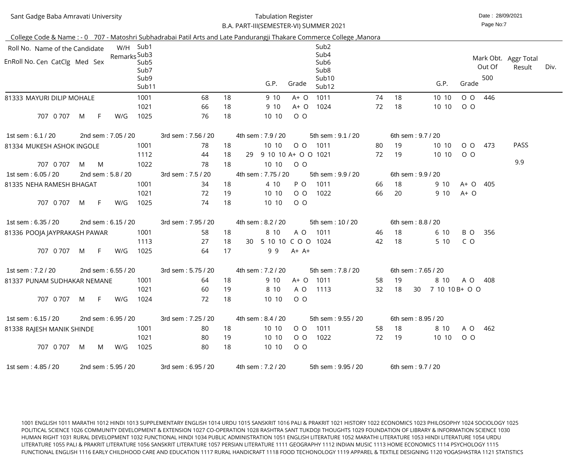| Sant Gadge Baba Amravati University                                                                                  |                    |                  | <b>Tabulation Register</b><br>B.A. PART-III(SEMESTER-VI) SUMMER 2021 |    |                           |         |                            |                 |    |                    | Date: 28/09/2021<br>Page No:7 |        |                                |      |  |  |
|----------------------------------------------------------------------------------------------------------------------|--------------------|------------------|----------------------------------------------------------------------|----|---------------------------|---------|----------------------------|-----------------|----|--------------------|-------------------------------|--------|--------------------------------|------|--|--|
|                                                                                                                      |                    |                  |                                                                      |    |                           |         |                            |                 |    |                    |                               |        |                                |      |  |  |
| College Code & Name: - 0 707 - Matoshri Subhadrabai Patil Arts and Late Pandurangji Thakare Commerce College, Manora |                    | W/H Sub1         |                                                                      |    |                           |         | Sub <sub>2</sub>           |                 |    |                    |                               |        |                                |      |  |  |
| Roll No. Name of the Candidate                                                                                       | Remarks Sub3       |                  |                                                                      |    |                           |         | Sub4                       |                 |    |                    |                               |        |                                |      |  |  |
| EnRoll No. Cen CatClg Med Sex                                                                                        |                    | Sub <sub>5</sub> |                                                                      |    |                           |         | Sub <sub>6</sub>           |                 |    |                    |                               | Out Of | Mark Obt. Aggr Total<br>Result | Div. |  |  |
|                                                                                                                      |                    | Sub7             |                                                                      |    |                           |         | Sub <sub>8</sub>           |                 |    |                    |                               |        |                                |      |  |  |
|                                                                                                                      |                    | Sub9<br>Sub11    |                                                                      |    | G.P.                      | Grade   | Sub10<br>Sub <sub>12</sub> |                 |    | G.P.               | Grade                         | 500    |                                |      |  |  |
| 81333 MAYURI DILIP MOHALE                                                                                            |                    | 1001             | 68                                                                   | 18 | 9 10                      | $A+O$   | 1011                       | 74              | 18 | 10 10              | $O$ $O$                       | 446    |                                |      |  |  |
|                                                                                                                      |                    | 1021             | 66                                                                   | 18 | 9 10                      | $A+O$   | 1024                       | 72              | 18 | 10 10              | $O$ O                         |        |                                |      |  |  |
| 707 0 707<br>-F.<br>M                                                                                                | W/G                | 1025             | 76                                                                   | 18 | 10 10                     | $O$ $O$ |                            |                 |    |                    |                               |        |                                |      |  |  |
| 1st sem: 6.1 / 20                                                                                                    | 2nd sem: 7.05 / 20 |                  | 3rd sem: 7.56 / 20                                                   |    | 4th sem: 7.9 / 20         |         | 5th sem: 9.1 / 20          |                 |    | 6th sem: 9.7 / 20  |                               |        |                                |      |  |  |
| 81334 MUKESH ASHOK INGOLE                                                                                            |                    | 1001             | 78                                                                   | 18 | 10 10                     | $O$ $O$ | 1011                       | 80              | 19 | 10 10              | $O$ $O$                       | 473    | <b>PASS</b>                    |      |  |  |
|                                                                                                                      |                    | 1112             | 44                                                                   | 18 | 9 10 10 A+ O O 1021<br>29 |         |                            | 72              | 19 | 10 10              | $O$ O                         |        |                                |      |  |  |
| 707 0 707<br>M<br>M                                                                                                  |                    | 1022             | 78                                                                   | 18 | 10 10                     | $O$ O   |                            |                 |    |                    |                               |        | 9.9                            |      |  |  |
| 1st sem: 6.05 / 20                                                                                                   | 2nd sem: 5.8 / 20  |                  | 3rd sem: 7.5 / 20                                                    |    | 4th sem: 7.75 / 20        |         | 5th sem: 9.9 / 20          |                 |    | 6th sem: 9.9 / 20  |                               |        |                                |      |  |  |
| 81335 NEHA RAMESH BHAGAT                                                                                             |                    | 1001             | 34                                                                   | 18 | 4 10                      | P O     | 1011                       | 66              | 18 | 9 10               | A+ O                          | 405    |                                |      |  |  |
|                                                                                                                      |                    | 1021             | 72                                                                   | 19 | 10 10                     | $O$ $O$ | 1022                       | 66              | 20 | 9 10               | $A+O$                         |        |                                |      |  |  |
| 707 0 707<br>$\mathsf{F}$<br>M                                                                                       | W/G                | 1025             | 74                                                                   | 18 | 10 10                     | $O$ O   |                            |                 |    |                    |                               |        |                                |      |  |  |
| 1st sem: 6.35 / 20                                                                                                   | 2nd sem: 6.15 / 20 |                  | 3rd sem: 7.95 / 20                                                   |    | 4th sem: 8.2 / 20         |         | 5th sem: 10 / 20           |                 |    | 6th sem: 8.8 / 20  |                               |        |                                |      |  |  |
| 81336 POOJA JAYPRAKASH PAWAR                                                                                         |                    | 1001             | 58                                                                   | 18 | 8 10                      | A O     | 1011                       | 46              | 18 | 6 10               | B O                           | 356    |                                |      |  |  |
|                                                                                                                      |                    | 1113             | 27                                                                   | 18 | 5 10 10 C O O 1024<br>30  |         |                            | 42              | 18 | 5 10               | C O                           |        |                                |      |  |  |
| 707 0 707 M F                                                                                                        | W/G                | 1025             | 64                                                                   | 17 | 99                        | A+ A+   |                            |                 |    |                    |                               |        |                                |      |  |  |
| 1st sem: 7.2 / 20                                                                                                    | 2nd sem: 6.55 / 20 |                  | 3rd sem: 5.75 / 20                                                   |    | 4th sem : 7.2 / 20        |         | 5th sem: 7.8 / 20          |                 |    | 6th sem: 7.65 / 20 |                               |        |                                |      |  |  |
| 81337 PUNAM SUDHAKAR NEMANE                                                                                          |                    | 1001             | 64                                                                   | 18 | 9 10                      |         | A+ O 1011                  | 58              | 19 | 8 10               | A O 408                       |        |                                |      |  |  |
|                                                                                                                      |                    | 1021             | 60                                                                   | 19 | 8 10                      | A O     | 1113                       | 32 <sup>2</sup> | 18 | 30 7 10 10 B + O O |                               |        |                                |      |  |  |
| 707 0 707 M<br>-F.                                                                                                   | W/G                | 1024             | 72                                                                   | 18 | 10 10                     | $O$ O   |                            |                 |    |                    |                               |        |                                |      |  |  |
| 1st sem: 6.15 / 20                                                                                                   | 2nd sem: 6.95 / 20 |                  | 3rd sem: 7.25 / 20                                                   |    | 4th sem: 8.4 / 20         |         | 5th sem: 9.55 / 20         |                 |    | 6th sem: 8.95 / 20 |                               |        |                                |      |  |  |
| 81338 RAJESH MANIK SHINDE                                                                                            |                    | 1001             | 80                                                                   | 18 | 10 10                     | 00      | 1011                       | 58              | 18 | 8 10               | A O 462                       |        |                                |      |  |  |
|                                                                                                                      |                    | 1021             | 80                                                                   | 19 | 10 10                     | $O$ O   | 1022                       | 72              | 19 | 10 10              | $O$ O                         |        |                                |      |  |  |
| 707 0 707 M                                                                                                          | W/G<br>M           | 1025             | 80                                                                   | 18 | 10 10                     | $O$ O   |                            |                 |    |                    |                               |        |                                |      |  |  |
| 1st sem: 4.85 / 20                                                                                                   | 2nd sem: 5.95 / 20 |                  | 3rd sem: 6.95 / 20                                                   |    | 4th sem : 7.2 / 20        |         | 5th sem: 9.95 / 20         |                 |    | 6th sem: 9.7 / 20  |                               |        |                                |      |  |  |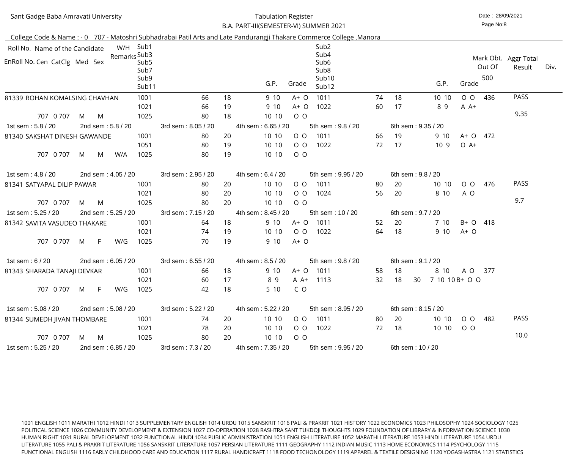#### Date : 28/09/2021 Tabulation RegisterB.A. PART-III(SEMESTER-VI) SUMMER 2021

Page No:8

|                                |   |     |                    |                  |                    |    | College Code & Name: - 0 707 - Matoshri Subhadrabai Patil Arts and Late Pandurangji Thakare Commerce College, Manora |                            |                    |                |                |        |                      |      |
|--------------------------------|---|-----|--------------------|------------------|--------------------|----|----------------------------------------------------------------------------------------------------------------------|----------------------------|--------------------|----------------|----------------|--------|----------------------|------|
| Roll No. Name of the Candidate |   |     |                    | W/H Sub1         |                    |    | Sub <sub>2</sub>                                                                                                     |                            |                    |                |                |        |                      |      |
|                                |   |     | Remarks Sub3       |                  |                    |    | Sub4                                                                                                                 |                            |                    |                |                |        | Mark Obt. Aggr Total |      |
| EnRoll No. Cen CatClg Med Sex  |   |     |                    | Sub <sub>5</sub> |                    |    | Sub <sub>6</sub>                                                                                                     |                            |                    |                |                | Out Of | Result               | Div. |
|                                |   |     |                    | Sub7             |                    |    | Sub <sub>8</sub>                                                                                                     |                            |                    |                |                | 500    |                      |      |
|                                |   |     |                    | Sub9<br>Sub11    |                    |    | G.P.<br>Grade                                                                                                        | Sub10<br>Sub <sub>12</sub> |                    | G.P.           | Grade          |        |                      |      |
| 81339 ROHAN KOMALSING CHAVHAN  |   |     |                    | 1001             | 66                 | 18 | 1011<br>9 10<br>$A+O$                                                                                                | 74                         | 18                 | 10 10          | $O$ $O$        | 436    | <b>PASS</b>          |      |
|                                |   |     |                    | 1021             | 66                 | 19 | 1022<br>9 10<br>$A+O$                                                                                                | 60                         | 17                 | 89             | $A A+$         |        |                      |      |
| 707 0 707                      | M | M   |                    | 1025             | 80                 | 18 | $O$ $O$<br>10 10                                                                                                     |                            |                    |                |                |        | 9.35                 |      |
| 1st sem: 5.8 / 20              |   |     | 2nd sem: 5.8 / 20  |                  | 3rd sem: 8.05 / 20 |    | 4th sem: 6.65 / 20                                                                                                   | 5th sem: 9.8 / 20          | 6th sem: 9.35 / 20 |                |                |        |                      |      |
| 81340 SAKSHAT DINESH GAWANDE   |   |     |                    | 1001             | 80                 | 20 | 10 10<br>$O$ O<br>1011                                                                                               | 66                         | 19                 | 9 10           | A+ O 472       |        |                      |      |
|                                |   |     |                    | 1051             | 80                 | 19 | 10 10<br>$O$ O<br>1022                                                                                               | 72                         | 17                 | 109            | $O A+$         |        |                      |      |
| 707 0 707                      | M | M   | W/A                | 1025             | 80                 | 19 | $O$ O<br>10 10                                                                                                       |                            |                    |                |                |        |                      |      |
| 1st sem : 4.8 / 20             |   |     | 2nd sem: 4.05 / 20 |                  | 3rd sem: 2.95 / 20 |    | 4th sem: 6.4 / 20                                                                                                    | 5th sem: 9.95 / 20         | 6th sem: 9.8 / 20  |                |                |        |                      |      |
| 81341 SATYAPAL DILIP PAWAR     |   |     |                    | 1001             | 80                 | 20 | 10 10<br>1011<br>$O$ O                                                                                               | -80                        | 20                 | 10 10          | $O$ $O$        | 476    | <b>PASS</b>          |      |
|                                |   |     |                    | 1021             | 80                 | 20 | 10 10<br>$O$ O<br>1024                                                                                               | 56                         | 20                 | 8 10           | A O            |        |                      |      |
| 707 0 707                      | M | M   |                    | 1025             | 80                 | 20 | $O$ $O$<br>10 10                                                                                                     |                            |                    |                |                |        | 9.7                  |      |
| 1st sem: 5.25 / 20             |   |     | 2nd sem: 5.25 / 20 |                  | 3rd sem: 7.15 / 20 |    | 4th sem: 8.45 / 20                                                                                                   | 5th sem: 10 / 20           | 6th sem: 9.7 / 20  |                |                |        |                      |      |
| 81342 SAVITA VASUDEO THAKARE   |   |     |                    | 1001             | 64                 | 18 | 9 10<br>$A+O$<br>1011                                                                                                | 52                         | 20                 | 7 10           | B+ O 418       |        |                      |      |
|                                |   |     |                    | 1021             | 74                 | 19 | 10 10<br>$O$ $O$<br>1022                                                                                             | 64                         | 18                 | 9 10           | $A+O$          |        |                      |      |
| 707 0 707                      | M | - F | W/G                | 1025             | 70                 | 19 | $A+O$<br>9 10                                                                                                        |                            |                    |                |                |        |                      |      |
| 1st sem : $6/20$               |   |     | 2nd sem: 6.05 / 20 |                  | 3rd sem: 6.55 / 20 |    | 4th sem: 8.5 / 20                                                                                                    | 5th sem: 9.8 / 20          | 6th sem: 9.1 / 20  |                |                |        |                      |      |
| 81343 SHARADA TANAJI DEVKAR    |   |     |                    | 1001             | 66                 | 18 | 9 10<br>A+ O 1011                                                                                                    | 58                         | 18                 | 8 10           | A O            | 377    |                      |      |
|                                |   |     |                    | 1021             | 60                 | 17 | A A+<br>89<br>1113                                                                                                   | 32                         | 18<br>30           | 7 10 10 B+ O O |                |        |                      |      |
| 707 0 707                      | M | -F. | W/G                | 1025             | 42                 | 18 | 5 10<br>C O                                                                                                          |                            |                    |                |                |        |                      |      |
| 1st sem: 5.08 / 20             |   |     | 2nd sem: 5.08 / 20 |                  | 3rd sem: 5.22 / 20 |    | 4th sem: 5.22 / 20                                                                                                   | 5th sem: 8.95 / 20         | 6th sem: 8.15 / 20 |                |                |        |                      |      |
|                                |   |     |                    | 1001             | 74                 | 20 | 10 10<br>1011<br>$O$ O                                                                                               | 80                         | -20                | 10 10          | 0 <sub>0</sub> | 482    | <b>PASS</b>          |      |
| 81344 SUMEDH JIVAN THOMBARE    |   |     |                    | 1021             | 78                 | 20 | 10 10<br>$O$ O<br>1022                                                                                               | 72                         | 18                 | 10 10          | $O$ O          |        |                      |      |
| 707 0 707                      | M | M   |                    | 1025             | 80                 | 20 | 10 10<br>$O$ O                                                                                                       |                            |                    |                |                |        | 10.0                 |      |
| 1st sem: 5.25 / 20             |   |     | 2nd sem: 6.85 / 20 |                  | 3rd sem: 7.3 / 20  |    | 4th sem: 7.35 / 20                                                                                                   | 5th sem: 9.95 / 20         | 6th sem: 10 / 20   |                |                |        |                      |      |
|                                |   |     |                    |                  |                    |    |                                                                                                                      |                            |                    |                |                |        |                      |      |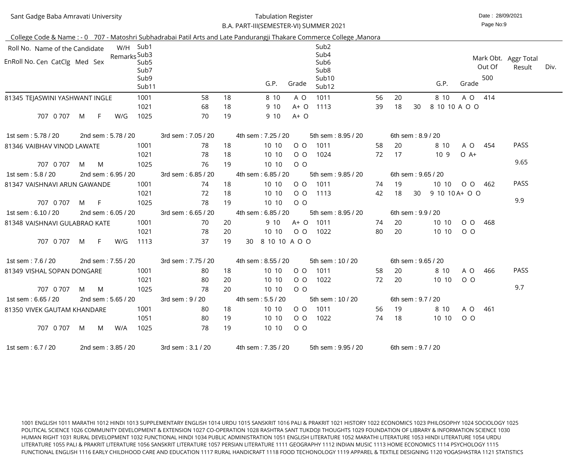| Sant Gadge Baba Amravati University                                                                                             |                    | <b>Tabulation Register</b><br>B.A. PART-III(SEMESTER-VI) SUMMER 2021                                                 | Date: 28/09/2021<br>Page No:9                           |
|---------------------------------------------------------------------------------------------------------------------------------|--------------------|----------------------------------------------------------------------------------------------------------------------|---------------------------------------------------------|
|                                                                                                                                 |                    | College Code & Name: - 0 707 - Matoshri Subhadrabai Patil Arts and Late Pandurangji Thakare Commerce College, Manora |                                                         |
| W/H Sub1<br>Roll No. Name of the Candidate<br>Remarks Sub3<br>EnRoll No. Cen CatClg Med Sex<br>Sub <sub>5</sub><br>Sub7<br>Sub9 |                    | Sub <sub>2</sub><br>Sub4<br>Sub <sub>6</sub><br>Sub <sub>8</sub><br>Sub <sub>10</sub>                                | Mark Obt. Aggr Total<br>Out Of<br>Div.<br>Result<br>500 |
| Sub <sub>11</sub>                                                                                                               |                    | G.P.<br>Grade<br>Sub <sub>12</sub>                                                                                   | G.P.<br>Grade                                           |
| 1001<br>81345 TEJASWINI YASHWANT INGLE                                                                                          | 58                 | 18<br>8 10<br>1011<br>56<br>20<br>A O                                                                                | 414<br>8 10<br>A O                                      |
| 1021                                                                                                                            | 68                 | 1113<br>39<br>18<br>30<br>18<br>9 10<br>$A+O$                                                                        | 8 10 10 A O O                                           |
| 707 0 707<br>F.<br>1025<br>M<br>W/G                                                                                             | 70                 | 19<br>9 10<br>$A+O$                                                                                                  |                                                         |
| 2nd sem: 5.78 / 20<br>1st sem: 5.78 / 20                                                                                        | 3rd sem: 7.05 / 20 | 4th sem: 7.25 / 20<br>5th sem: 8.95 / 20<br>6th sem: 8.9 / 20                                                        |                                                         |
| 1001<br>81346 VAIBHAV VINOD LAWATE                                                                                              | 78                 | 18<br>10 10<br>$O$ O<br>1011<br>20<br>58                                                                             | <b>PASS</b><br>8 10<br>A O<br>454                       |
| 1021                                                                                                                            | 78                 | 72<br>18<br>$O$ $O$<br>17<br>10 10<br>1024                                                                           | $O$ A+<br>10 <sub>9</sub>                               |
| 707 0 707<br>1025<br>M<br>M                                                                                                     | 76                 | 19<br>10 10<br>$O$ O                                                                                                 | 9.65                                                    |
| 1st sem: 5.8 / 20<br>2nd sem: 6.95 / 20                                                                                         | 3rd sem: 6.85 / 20 | 4th sem: 6.85 / 20<br>5th sem: 9.85 / 20<br>6th sem: 9.65 / 20                                                       |                                                         |
| 1001<br>81347 VAISHNAVI ARUN GAWANDE                                                                                            | 74                 | 10 10<br>18<br>$O$ O<br>1011<br>19<br>74                                                                             | <b>PASS</b><br>10 10<br>$O$ $O$<br>462                  |
| 1021                                                                                                                            | 72                 | 18<br>$O$ $O$<br>10 10<br>1113<br>42<br>18<br>30                                                                     | 9 10 10 A + O O                                         |
| 707 0 707<br>F<br>1025<br>M                                                                                                     | 78                 | 19<br>10 10<br>$O$ O                                                                                                 | 9.9                                                     |
| 1st sem: 6.10 / 20<br>2nd sem: 6.05 / 20                                                                                        | 3rd sem: 6.65 / 20 | 4th sem: 6.85 / 20<br>5th sem: 8.95 / 20<br>6th sem: 9.9 / 20                                                        |                                                         |
| 1001<br>81348 VAISHNAVI GULABRAO KATE                                                                                           | 70                 | 9 10<br>$A+O$<br>1011<br>20<br>74<br>20                                                                              | 10 10<br>$O$ $O$<br>468                                 |
| 1021<br>1113<br>707 0 707<br>F.<br>W/G<br>M                                                                                     | 78<br>37           | 1022<br>80<br>20<br>20<br>10 10<br>$O$ $O$<br>8 10 10 A O O<br>19<br>30                                              | 10 10<br>$O$ $O$                                        |
| 2nd sem: 7.55 / 20<br>1st sem : 7.6 / 20                                                                                        | 3rd sem: 7.75 / 20 | 4th sem: 8.55 / 20<br>5th sem: 10 / 20<br>6th sem: 9.65 / 20                                                         |                                                         |
| 1001<br>81349 VISHAL SOPAN DONGARE                                                                                              | -80                | 10 10<br>18<br>1011<br>0 <sub>0</sub><br>58<br>20                                                                    | <b>PASS</b><br>8 10<br>A O<br>466                       |
| 1021                                                                                                                            | 80                 | 72<br>20<br>10 10<br>$O$ O<br>1022<br>20                                                                             | 10 10<br>$O$ $O$                                        |
| 707 0 707<br><b>M</b><br>1025<br>M                                                                                              | 78                 | 20<br>10 10<br>$O$ O                                                                                                 | 9.7                                                     |
| 1st sem: 6.65 / 20<br>2nd sem: 5.65 / 20                                                                                        | 3rd sem: 9 / 20    | 4th sem: 5.5 / 20<br>5th sem: 10 / 20<br>6th sem: 9.7 / 20                                                           |                                                         |
| 1001<br>81350 VIVEK GAUTAM KHANDARE                                                                                             | 80                 | 10 10<br>18<br>O O 1011<br>19<br>56                                                                                  | A O 461<br>8 10                                         |
| 1051                                                                                                                            | 80                 | 74<br>19<br>10 10<br>$O$ O<br>1022<br>18                                                                             | 10 10<br>$O$ O                                          |
| 707 0 707<br>W/A<br>1025<br>M<br>M                                                                                              | 78                 | 19<br>10 10<br>$O$ O                                                                                                 |                                                         |
| 2nd sem: 3.85 / 20<br>1st sem: 6.7 / 20                                                                                         | 3rd sem: 3.1 / 20  | 4th sem: 7.35 / 20<br>6th sem: 9.7 / 20<br>5th sem: 9.95 / 20                                                        |                                                         |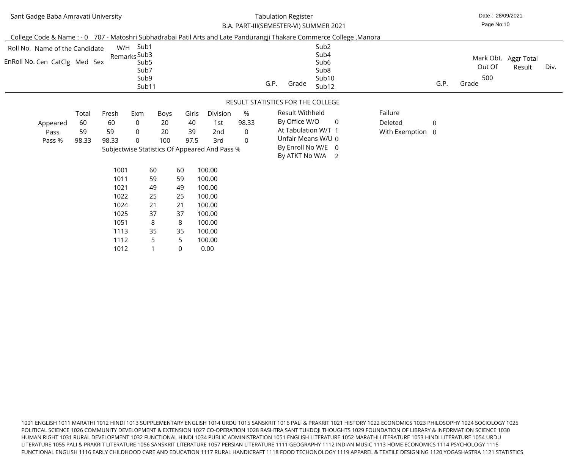#### Date : 28/09/2021 Tabulation RegisterB.A. PART-III(SEMESTER-VI) SUMMER 2021

Page No:10

| Roll No. Name of the Candidate |       |       | W/H Sub1<br>Remarks Sub3 |      |       |                                               |                |      |                 | Sub <sub>2</sub><br>Sub4               |                  |                |        |                                |      |
|--------------------------------|-------|-------|--------------------------|------|-------|-----------------------------------------------|----------------|------|-----------------|----------------------------------------|------------------|----------------|--------|--------------------------------|------|
| EnRoll No. Cen CatClg Med Sex  |       |       | Sub <sub>5</sub>         |      |       |                                               |                |      |                 | Sub <sub>6</sub>                       |                  |                | Out Of | Mark Obt. Aggr Total<br>Result | Div. |
|                                |       |       | Sub7<br>Sub9             |      |       |                                               |                |      |                 | Sub <sub>8</sub><br>Sub10              |                  |                | 500    |                                |      |
|                                |       |       | Sub11                    |      |       |                                               |                | G.P. | Grade           | Sub <sub>12</sub>                      |                  | G.P.           | Grade  |                                |      |
|                                |       |       |                          |      |       |                                               |                |      |                 | RESULT STATISTICS FOR THE COLLEGE      |                  |                |        |                                |      |
|                                | Total | Fresh | Exm                      | Boys | Girls | Division                                      | $\%$           |      | Result Withheld |                                        | Failure          |                |        |                                |      |
| Appeared                       | 60    | 60    | $\overline{0}$           | 20   | 40    | 1st                                           | 98.33          |      | By Office W/O   | $\overline{0}$                         | Deleted          | $\overline{0}$ |        |                                |      |
| Pass                           | 59    | 59    | $\overline{0}$           | 20   | 39    | 2nd                                           | $\overline{0}$ |      |                 | At Tabulation W/T 1                    | With Exemption 0 |                |        |                                |      |
| Pass %                         | 98.33 | 98.33 | $\overline{0}$           | 100  | 97.5  | 3rd                                           | $\overline{0}$ |      |                 | Unfair Means W/U 0                     |                  |                |        |                                |      |
|                                |       |       |                          |      |       | Subjectwise Statistics Of Appeared And Pass % |                |      |                 | By Enroll No W/E 0<br>By ATKT No W/A 2 |                  |                |        |                                |      |
|                                |       | 1001  |                          | 60   | 60    | 100.00                                        |                |      |                 |                                        |                  |                |        |                                |      |
|                                |       | 1011  |                          | 59   | 59    | 100.00                                        |                |      |                 |                                        |                  |                |        |                                |      |
|                                |       | 1021  |                          | 49   | 49    | 100.00                                        |                |      |                 |                                        |                  |                |        |                                |      |
|                                |       | 1022  |                          | 25   | 25    | 100.00                                        |                |      |                 |                                        |                  |                |        |                                |      |
|                                |       | 1024  |                          | 21   | 21    | 100.00                                        |                |      |                 |                                        |                  |                |        |                                |      |
|                                |       | 1025  |                          | 37   | 37    | 100.00                                        |                |      |                 |                                        |                  |                |        |                                |      |
|                                |       | 1051  |                          | 8    | 8     | 100.00                                        |                |      |                 |                                        |                  |                |        |                                |      |
|                                |       | 1113  |                          | 35   | 35    | 100.00                                        |                |      |                 |                                        |                  |                |        |                                |      |
|                                |       | 1112  |                          | 5    | 5     | 100.00                                        |                |      |                 |                                        |                  |                |        |                                |      |
|                                |       | 1012  |                          |      | 0     | 0.00                                          |                |      |                 |                                        |                  |                |        |                                |      |